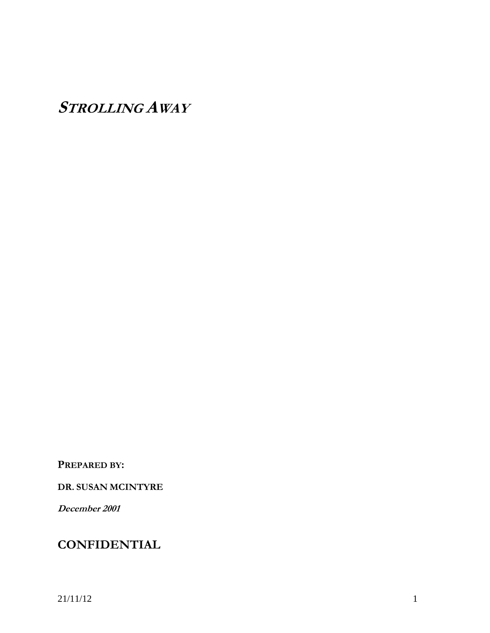**STROLLING AWAY**

**PREPARED BY:**

**DR. SUSAN MCINTYRE**

**December 2001**

# **CONFIDENTIAL**

21/11/12 1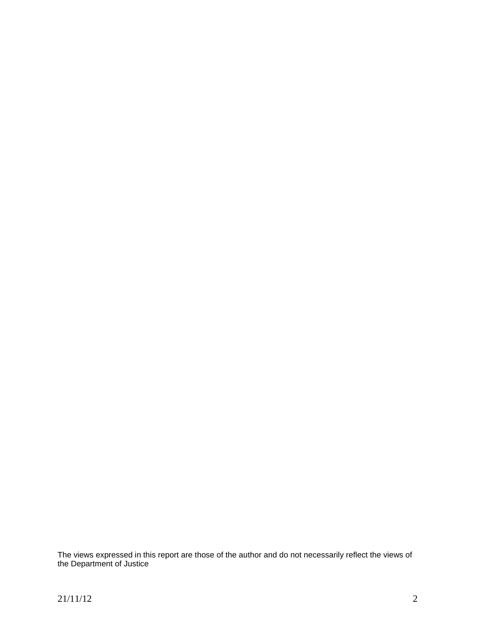The views expressed in this report are those of the author and do not necessarily reflect the views of the Department of Justice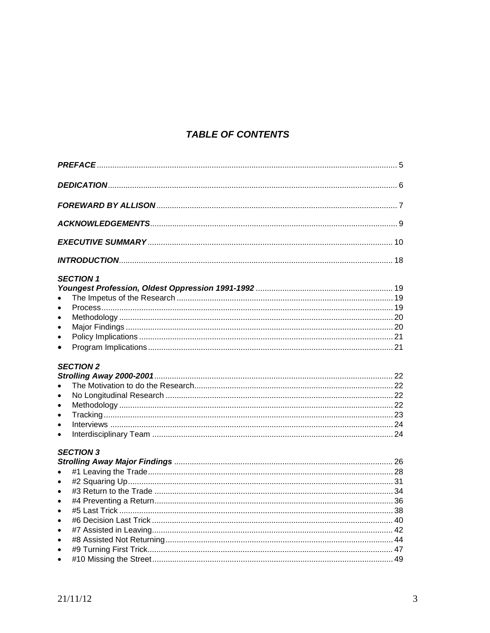# **TABLE OF CONTENTS**

| <b>SECTION 1</b>                                        |  |
|---------------------------------------------------------|--|
| $\bullet$                                               |  |
| $\bullet$                                               |  |
| $\bullet$<br>$\bullet$                                  |  |
| $\bullet$                                               |  |
| <b>SECTION 2</b><br>$\bullet$<br>$\bullet$<br>$\bullet$ |  |
| $\bullet$<br>$\bullet$                                  |  |
| <b>SECTION 3</b>                                        |  |
| $\bullet$                                               |  |
| $\bullet$                                               |  |
| $\bullet$                                               |  |
| $\bullet$                                               |  |
| $\bullet$                                               |  |
| $\bullet$                                               |  |
| $\bullet$                                               |  |
| $\bullet$                                               |  |
| $\bullet$                                               |  |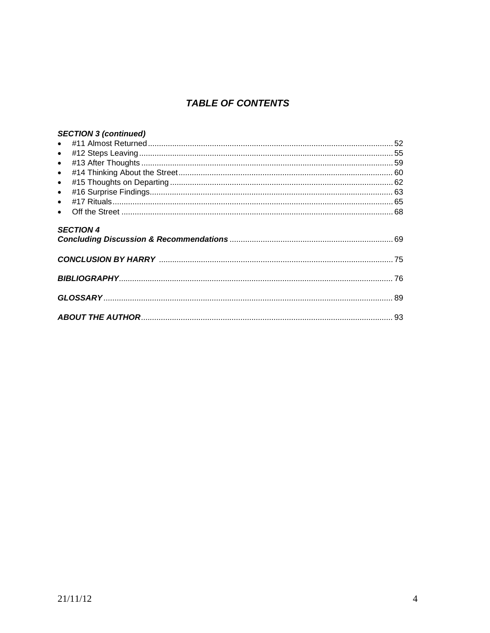# **TABLE OF CONTENTS**

| <b>SECTION 3 (continued)</b> |  |
|------------------------------|--|
|                              |  |
|                              |  |
|                              |  |
| $\bullet$                    |  |
| $\bullet$                    |  |
| $\bullet$                    |  |
|                              |  |
|                              |  |
| <b>SECTION 4</b>             |  |
|                              |  |
|                              |  |
|                              |  |
|                              |  |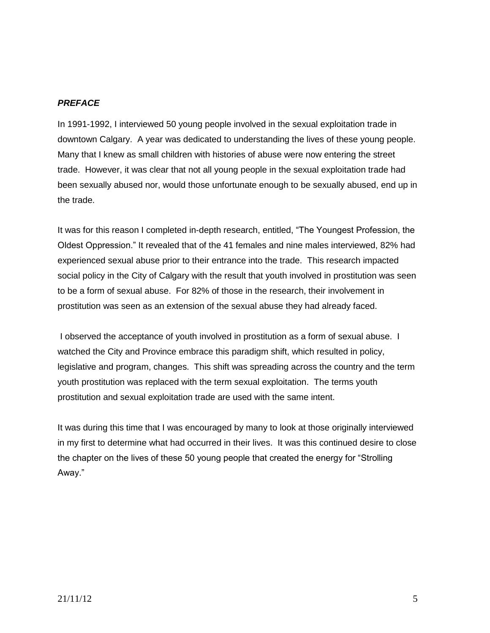#### *PREFACE*

In 1991-1992, I interviewed 50 young people involved in the sexual exploitation trade in downtown Calgary. A year was dedicated to understanding the lives of these young people. Many that I knew as small children with histories of abuse were now entering the street trade. However, it was clear that not all young people in the sexual exploitation trade had been sexually abused nor, would those unfortunate enough to be sexually abused, end up in the trade.

It was for this reason I completed in-depth research, entitled, "The Youngest Profession, the Oldest Oppression." It revealed that of the 41 females and nine males interviewed, 82% had experienced sexual abuse prior to their entrance into the trade. This research impacted social policy in the City of Calgary with the result that youth involved in prostitution was seen to be a form of sexual abuse. For 82% of those in the research, their involvement in prostitution was seen as an extension of the sexual abuse they had already faced.

I observed the acceptance of youth involved in prostitution as a form of sexual abuse. I watched the City and Province embrace this paradigm shift, which resulted in policy, legislative and program, changes. This shift was spreading across the country and the term youth prostitution was replaced with the term sexual exploitation. The terms youth prostitution and sexual exploitation trade are used with the same intent.

It was during this time that I was encouraged by many to look at those originally interviewed in my first to determine what had occurred in their lives. It was this continued desire to close the chapter on the lives of these 50 young people that created the energy for "Strolling Away."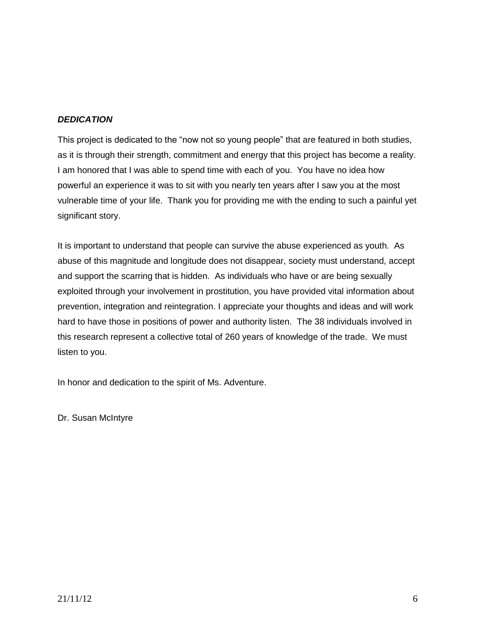# *DEDICATION*

This project is dedicated to the "now not so young people" that are featured in both studies, as it is through their strength, commitment and energy that this project has become a reality. I am honored that I was able to spend time with each of you. You have no idea how powerful an experience it was to sit with you nearly ten years after I saw you at the most vulnerable time of your life. Thank you for providing me with the ending to such a painful yet significant story.

It is important to understand that people can survive the abuse experienced as youth. As abuse of this magnitude and longitude does not disappear, society must understand, accept and support the scarring that is hidden. As individuals who have or are being sexually exploited through your involvement in prostitution, you have provided vital information about prevention, integration and reintegration. I appreciate your thoughts and ideas and will work hard to have those in positions of power and authority listen. The 38 individuals involved in this research represent a collective total of 260 years of knowledge of the trade. We must listen to you.

In honor and dedication to the spirit of Ms. Adventure.

Dr. Susan McIntyre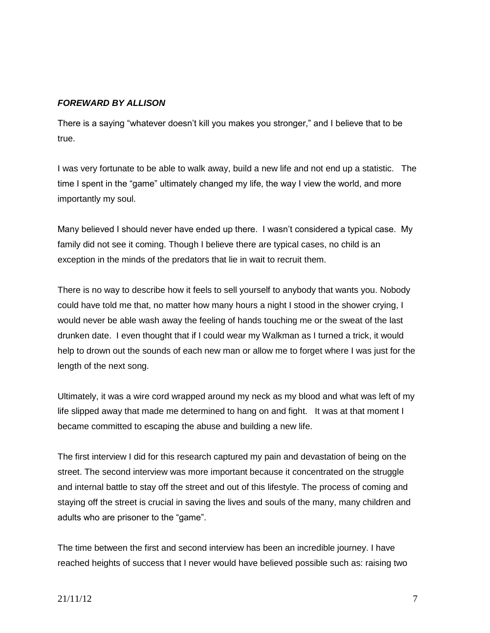# *FOREWARD BY ALLISON*

There is a saying "whatever doesn't kill you makes you stronger," and I believe that to be true.

I was very fortunate to be able to walk away, build a new life and not end up a statistic. The time I spent in the "game" ultimately changed my life, the way I view the world, and more importantly my soul.

Many believed I should never have ended up there. I wasn't considered a typical case. My family did not see it coming. Though I believe there are typical cases, no child is an exception in the minds of the predators that lie in wait to recruit them.

There is no way to describe how it feels to sell yourself to anybody that wants you. Nobody could have told me that, no matter how many hours a night I stood in the shower crying, I would never be able wash away the feeling of hands touching me or the sweat of the last drunken date. I even thought that if I could wear my Walkman as I turned a trick, it would help to drown out the sounds of each new man or allow me to forget where I was just for the length of the next song.

Ultimately, it was a wire cord wrapped around my neck as my blood and what was left of my life slipped away that made me determined to hang on and fight. It was at that moment I became committed to escaping the abuse and building a new life.

The first interview I did for this research captured my pain and devastation of being on the street. The second interview was more important because it concentrated on the struggle and internal battle to stay off the street and out of this lifestyle. The process of coming and staying off the street is crucial in saving the lives and souls of the many, many children and adults who are prisoner to the "game".

The time between the first and second interview has been an incredible journey. I have reached heights of success that I never would have believed possible such as: raising two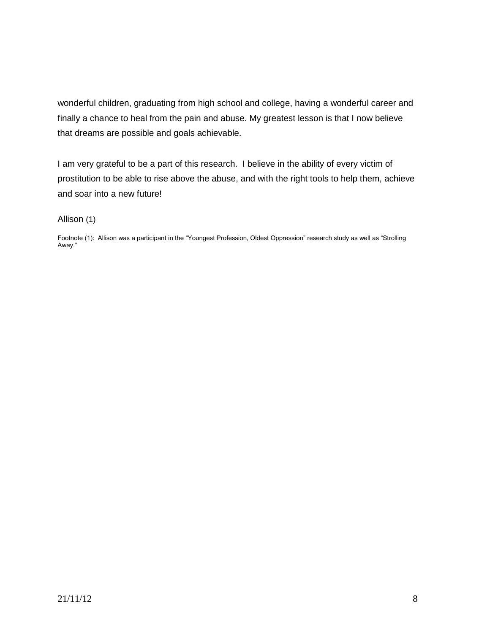wonderful children, graduating from high school and college, having a wonderful career and finally a chance to heal from the pain and abuse. My greatest lesson is that I now believe that dreams are possible and goals achievable.

I am very grateful to be a part of this research. I believe in the ability of every victim of prostitution to be able to rise above the abuse, and with the right tools to help them, achieve and soar into a new future!

#### Allison (1)

Footnote (1): Allison was a participant in the "Youngest Profession, Oldest Oppression" research study as well as "Strolling Away."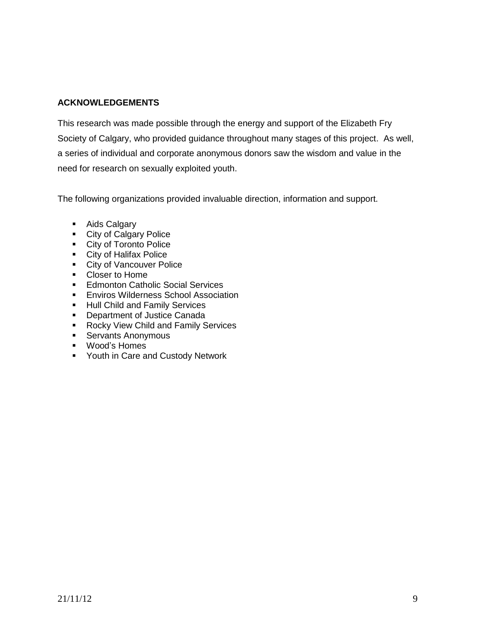# **ACKNOWLEDGEMENTS**

This research was made possible through the energy and support of the Elizabeth Fry Society of Calgary, who provided guidance throughout many stages of this project. As well, a series of individual and corporate anonymous donors saw the wisdom and value in the need for research on sexually exploited youth.

The following organizations provided invaluable direction, information and support.

- **Aids Calgary**
- **City of Calgary Police**
- City of Toronto Police
- **City of Halifax Police**
- **City of Vancouver Police**
- Closer to Home
- **Edmonton Catholic Social Services**
- **Enviros Wilderness School Association**
- **Hull Child and Family Services**
- **•** Department of Justice Canada
- Rocky View Child and Family Services
- **Servants Anonymous**
- Wood's Homes
- Youth in Care and Custody Network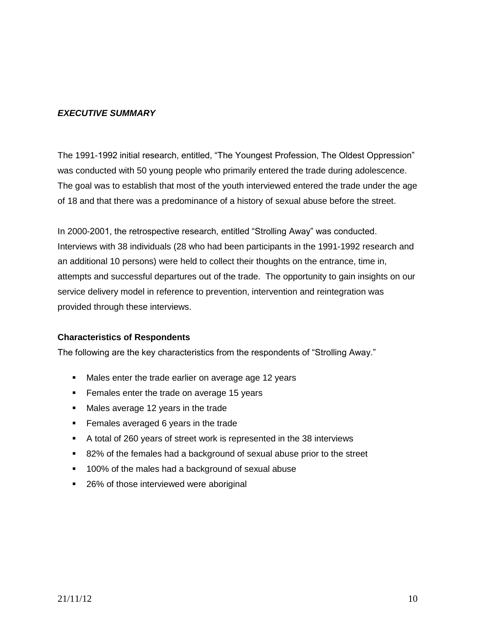# *EXECUTIVE SUMMARY*

The 1991-1992 initial research, entitled, "The Youngest Profession, The Oldest Oppression" was conducted with 50 young people who primarily entered the trade during adolescence. The goal was to establish that most of the youth interviewed entered the trade under the age of 18 and that there was a predominance of a history of sexual abuse before the street.

In 2000-2001, the retrospective research, entitled "Strolling Away" was conducted. Interviews with 38 individuals (28 who had been participants in the 1991-1992 research and an additional 10 persons) were held to collect their thoughts on the entrance, time in, attempts and successful departures out of the trade. The opportunity to gain insights on our service delivery model in reference to prevention, intervention and reintegration was provided through these interviews.

# **Characteristics of Respondents**

The following are the key characteristics from the respondents of "Strolling Away."

- Males enter the trade earlier on average age 12 years
- **Females enter the trade on average 15 years**
- Males average 12 years in the trade
- Females averaged 6 years in the trade
- A total of 260 years of street work is represented in the 38 interviews
- 82% of the females had a background of sexual abuse prior to the street
- 100% of the males had a background of sexual abuse
- 26% of those interviewed were aboriginal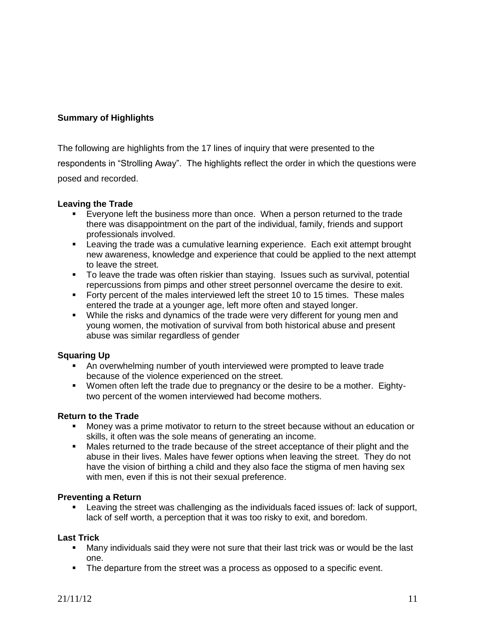# **Summary of Highlights**

The following are highlights from the 17 lines of inquiry that were presented to the respondents in "Strolling Away". The highlights reflect the order in which the questions were posed and recorded.

# **Leaving the Trade**

- **Everyone left the business more than once. When a person returned to the trade** there was disappointment on the part of the individual, family, friends and support professionals involved.
- Leaving the trade was a cumulative learning experience. Each exit attempt brought new awareness, knowledge and experience that could be applied to the next attempt to leave the street.
- To leave the trade was often riskier than staying. Issues such as survival, potential repercussions from pimps and other street personnel overcame the desire to exit.
- **Forty percent of the males interviewed left the street 10 to 15 times. These males** entered the trade at a younger age, left more often and stayed longer.
- While the risks and dynamics of the trade were very different for young men and young women, the motivation of survival from both historical abuse and present abuse was similar regardless of gender

# **Squaring Up**

- An overwhelming number of youth interviewed were prompted to leave trade because of the violence experienced on the street.
- Women often left the trade due to pregnancy or the desire to be a mother. Eightytwo percent of the women interviewed had become mothers.

# **Return to the Trade**

- Money was a prime motivator to return to the street because without an education or skills, it often was the sole means of generating an income.
- Males returned to the trade because of the street acceptance of their plight and the abuse in their lives. Males have fewer options when leaving the street. They do not have the vision of birthing a child and they also face the stigma of men having sex with men, even if this is not their sexual preference.

# **Preventing a Return**

 Leaving the street was challenging as the individuals faced issues of: lack of support, lack of self worth, a perception that it was too risky to exit, and boredom.

# **Last Trick**

- Many individuals said they were not sure that their last trick was or would be the last one.
- The departure from the street was a process as opposed to a specific event.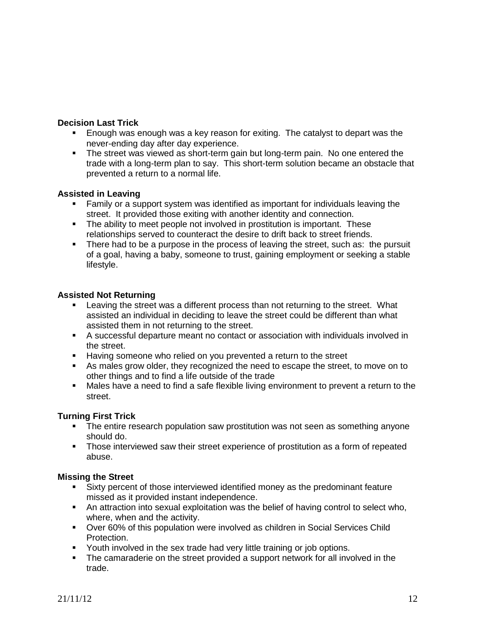# **Decision Last Trick**

- Enough was enough was a key reason for exiting. The catalyst to depart was the never-ending day after day experience.
- The street was viewed as short-term gain but long-term pain. No one entered the trade with a long-term plan to say. This short-term solution became an obstacle that prevented a return to a normal life.

# **Assisted in Leaving**

- Family or a support system was identified as important for individuals leaving the street. It provided those exiting with another identity and connection.
- The ability to meet people not involved in prostitution is important. These relationships served to counteract the desire to drift back to street friends.
- There had to be a purpose in the process of leaving the street, such as: the pursuit of a goal, having a baby, someone to trust, gaining employment or seeking a stable lifestyle.

# **Assisted Not Returning**

- Leaving the street was a different process than not returning to the street. What assisted an individual in deciding to leave the street could be different than what assisted them in not returning to the street.
- A successful departure meant no contact or association with individuals involved in the street.
- **Having someone who relied on you prevented a return to the street**
- As males grow older, they recognized the need to escape the street, to move on to other things and to find a life outside of the trade
- Males have a need to find a safe flexible living environment to prevent a return to the street.

# **Turning First Trick**

- The entire research population saw prostitution was not seen as something anyone should do.
- Those interviewed saw their street experience of prostitution as a form of repeated abuse.

# **Missing the Street**

- Sixty percent of those interviewed identified money as the predominant feature missed as it provided instant independence.
- An attraction into sexual exploitation was the belief of having control to select who, where, when and the activity.
- Over 60% of this population were involved as children in Social Services Child Protection.
- Youth involved in the sex trade had very little training or job options.
- The camaraderie on the street provided a support network for all involved in the trade.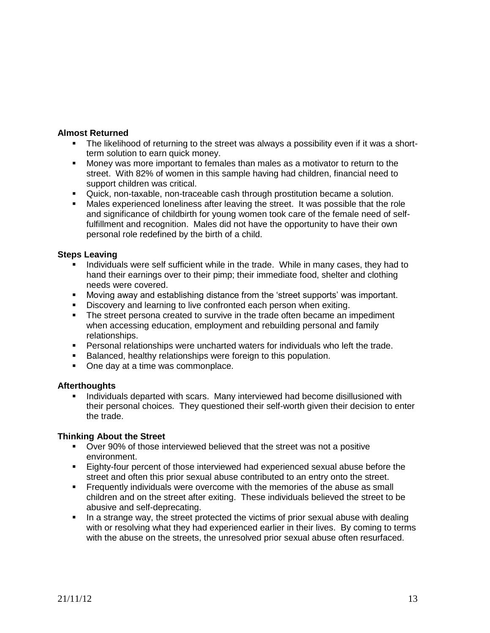#### **Almost Returned**

- The likelihood of returning to the street was always a possibility even if it was a shortterm solution to earn quick money.
- Money was more important to females than males as a motivator to return to the street. With 82% of women in this sample having had children, financial need to support children was critical.
- Quick, non-taxable, non-traceable cash through prostitution became a solution.
- Males experienced loneliness after leaving the street. It was possible that the role and significance of childbirth for young women took care of the female need of selffulfillment and recognition. Males did not have the opportunity to have their own personal role redefined by the birth of a child.

#### **Steps Leaving**

- Individuals were self sufficient while in the trade. While in many cases, they had to hand their earnings over to their pimp; their immediate food, shelter and clothing needs were covered.
- Moving away and establishing distance from the 'street supports' was important.
- Discovery and learning to live confronted each person when exiting.
- The street persona created to survive in the trade often became an impediment when accessing education, employment and rebuilding personal and family relationships.
- Personal relationships were uncharted waters for individuals who left the trade.
- **Balanced, healthy relationships were foreign to this population.**
- One day at a time was commonplace.

#### **Afterthoughts**

**Individuals departed with scars. Many interviewed had become disillusioned with** their personal choices. They questioned their self-worth given their decision to enter the trade.

#### **Thinking About the Street**

- Over 90% of those interviewed believed that the street was not a positive environment.
- Eighty-four percent of those interviewed had experienced sexual abuse before the street and often this prior sexual abuse contributed to an entry onto the street.
- Frequently individuals were overcome with the memories of the abuse as small children and on the street after exiting. These individuals believed the street to be abusive and self-deprecating.
- In a strange way, the street protected the victims of prior sexual abuse with dealing with or resolving what they had experienced earlier in their lives. By coming to terms with the abuse on the streets, the unresolved prior sexual abuse often resurfaced.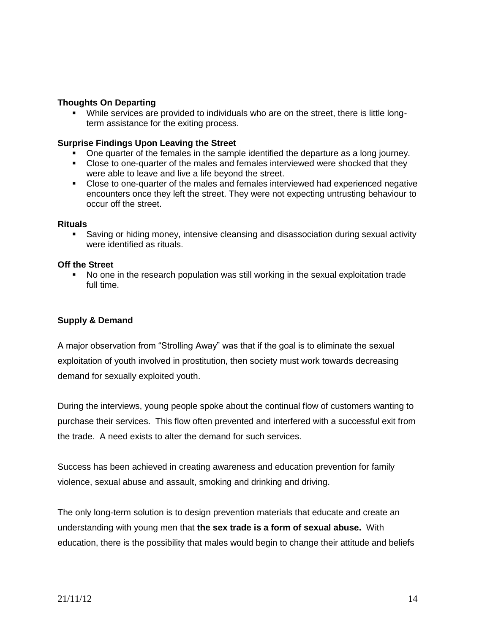#### **Thoughts On Departing**

 While services are provided to individuals who are on the street, there is little longterm assistance for the exiting process.

#### **Surprise Findings Upon Leaving the Street**

- One quarter of the females in the sample identified the departure as a long journey.
- Close to one-quarter of the males and females interviewed were shocked that they were able to leave and live a life beyond the street.
- Close to one-quarter of the males and females interviewed had experienced negative encounters once they left the street. They were not expecting untrusting behaviour to occur off the street.

#### **Rituals**

 Saving or hiding money, intensive cleansing and disassociation during sexual activity were identified as rituals.

#### **Off the Street**

 No one in the research population was still working in the sexual exploitation trade full time.

#### **Supply & Demand**

A major observation from "Strolling Away" was that if the goal is to eliminate the sexual exploitation of youth involved in prostitution, then society must work towards decreasing demand for sexually exploited youth.

During the interviews, young people spoke about the continual flow of customers wanting to purchase their services. This flow often prevented and interfered with a successful exit from the trade. A need exists to alter the demand for such services.

Success has been achieved in creating awareness and education prevention for family violence, sexual abuse and assault, smoking and drinking and driving.

The only long-term solution is to design prevention materials that educate and create an understanding with young men that **the sex trade is a form of sexual abuse.** With education, there is the possibility that males would begin to change their attitude and beliefs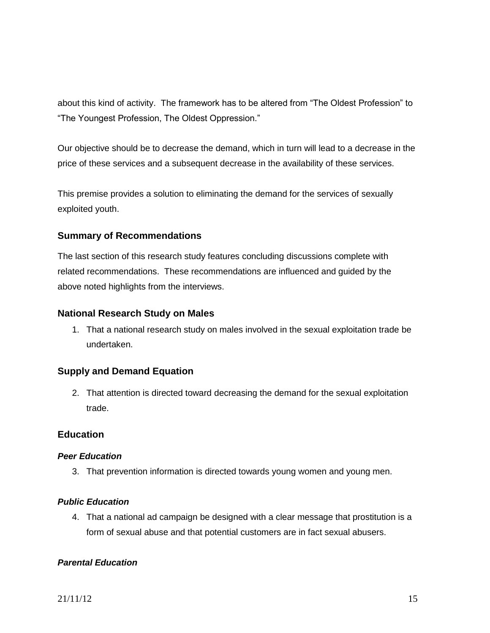about this kind of activity. The framework has to be altered from "The Oldest Profession" to "The Youngest Profession, The Oldest Oppression."

Our objective should be to decrease the demand, which in turn will lead to a decrease in the price of these services and a subsequent decrease in the availability of these services.

This premise provides a solution to eliminating the demand for the services of sexually exploited youth.

# **Summary of Recommendations**

The last section of this research study features concluding discussions complete with related recommendations. These recommendations are influenced and guided by the above noted highlights from the interviews.

# **National Research Study on Males**

1. That a national research study on males involved in the sexual exploitation trade be undertaken.

# **Supply and Demand Equation**

2. That attention is directed toward decreasing the demand for the sexual exploitation trade.

# **Education**

# *Peer Education*

3. That prevention information is directed towards young women and young men.

# *Public Education*

4. That a national ad campaign be designed with a clear message that prostitution is a form of sexual abuse and that potential customers are in fact sexual abusers.

# *Parental Education*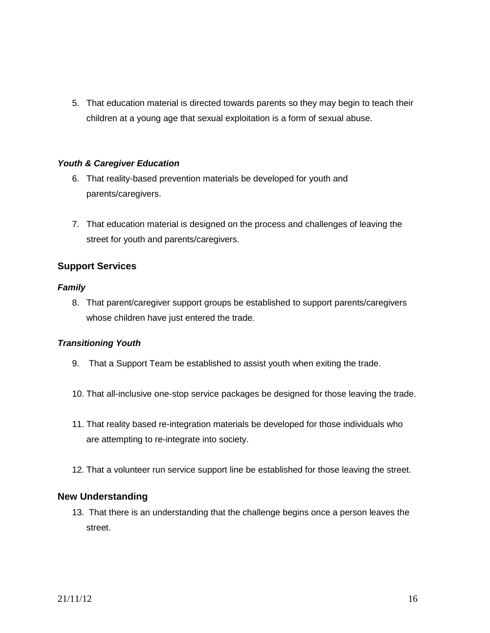5. That education material is directed towards parents so they may begin to teach their children at a young age that sexual exploitation is a form of sexual abuse.

# *Youth & Caregiver Education*

- 6. That reality-based prevention materials be developed for youth and parents/caregivers.
- 7. That education material is designed on the process and challenges of leaving the street for youth and parents/caregivers.

# **Support Services**

# *Family*

8. That parent/caregiver support groups be established to support parents/caregivers whose children have just entered the trade.

# *Transitioning Youth*

- 9. That a Support Team be established to assist youth when exiting the trade.
- 10. That all-inclusive one-stop service packages be designed for those leaving the trade.
- 11. That reality based re-integration materials be developed for those individuals who are attempting to re-integrate into society.
- 12. That a volunteer run service support line be established for those leaving the street.

# **New Understanding**

13. That there is an understanding that the challenge begins once a person leaves the street.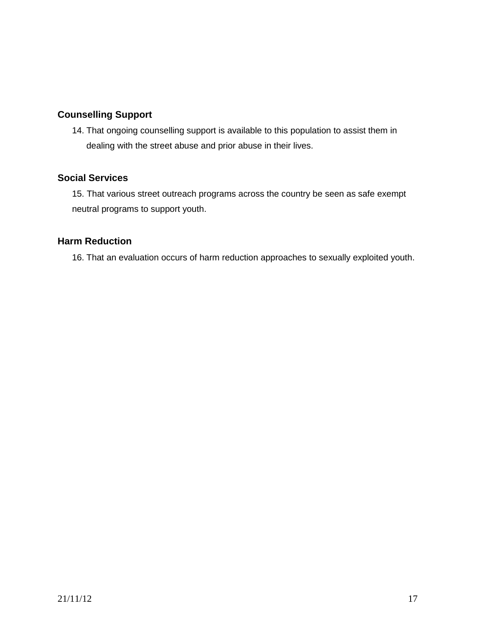# **Counselling Support**

14. That ongoing counselling support is available to this population to assist them in dealing with the street abuse and prior abuse in their lives.

# **Social Services**

15. That various street outreach programs across the country be seen as safe exempt neutral programs to support youth.

# **Harm Reduction**

16. That an evaluation occurs of harm reduction approaches to sexually exploited youth.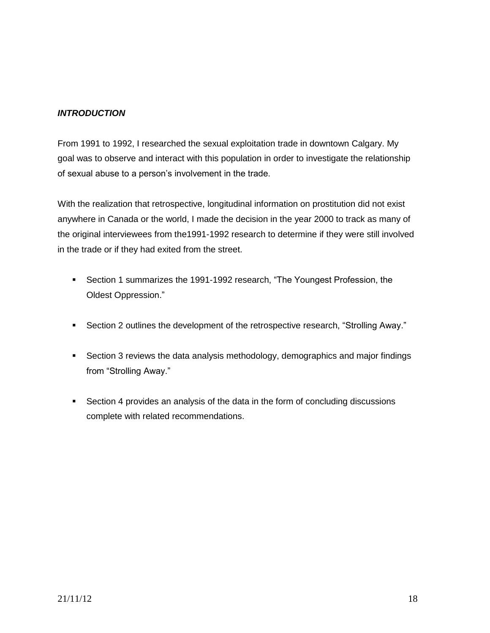# *INTRODUCTION*

From 1991 to 1992, I researched the sexual exploitation trade in downtown Calgary. My goal was to observe and interact with this population in order to investigate the relationship of sexual abuse to a person's involvement in the trade.

With the realization that retrospective, longitudinal information on prostitution did not exist anywhere in Canada or the world, I made the decision in the year 2000 to track as many of the original interviewees from the1991-1992 research to determine if they were still involved in the trade or if they had exited from the street.

- Section 1 summarizes the 1991-1992 research, "The Youngest Profession, the Oldest Oppression."
- Section 2 outlines the development of the retrospective research, "Strolling Away."
- Section 3 reviews the data analysis methodology, demographics and major findings from "Strolling Away."
- Section 4 provides an analysis of the data in the form of concluding discussions complete with related recommendations.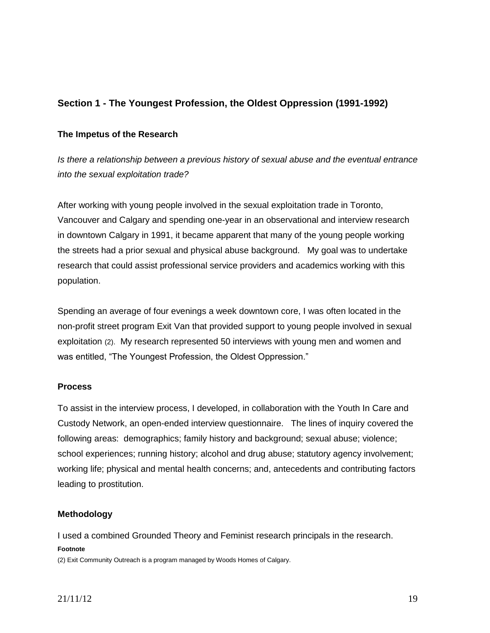# **Section 1 - The Youngest Profession, the Oldest Oppression (1991-1992)**

# **The Impetus of the Research**

*Is there a relationship between a previous history of sexual abuse and the eventual entrance into the sexual exploitation trade?* 

After working with young people involved in the sexual exploitation trade in Toronto, Vancouver and Calgary and spending one-year in an observational and interview research in downtown Calgary in 1991, it became apparent that many of the young people working the streets had a prior sexual and physical abuse background. My goal was to undertake research that could assist professional service providers and academics working with this population.

Spending an average of four evenings a week downtown core, I was often located in the non-profit street program Exit Van that provided support to young people involved in sexual exploitation (2). My research represented 50 interviews with young men and women and was entitled, "The Youngest Profession, the Oldest Oppression."

#### **Process**

To assist in the interview process, I developed, in collaboration with the Youth In Care and Custody Network, an open-ended interview questionnaire. The lines of inquiry covered the following areas: demographics; family history and background; sexual abuse; violence; school experiences; running history; alcohol and drug abuse; statutory agency involvement; working life; physical and mental health concerns; and, antecedents and contributing factors leading to prostitution.

# **Methodology**

I used a combined Grounded Theory and Feminist research principals in the research.

#### **Footnote**

(2) Exit Community Outreach is a program managed by Woods Homes of Calgary.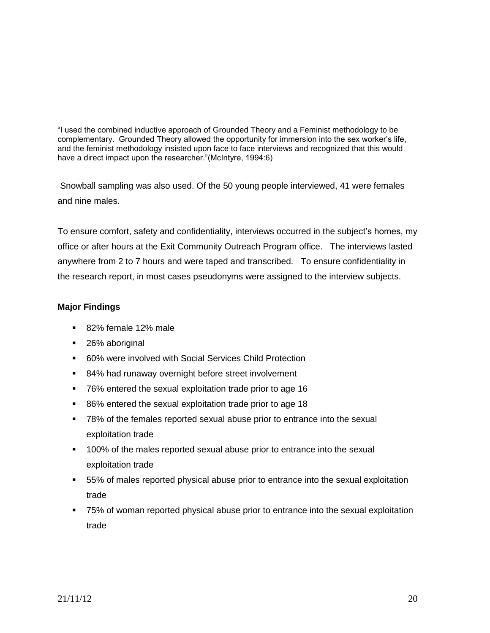"I used the combined inductive approach of Grounded Theory and a Feminist methodology to be complementary. Grounded Theory allowed the opportunity for immersion into the sex worker's life, and the feminist methodology insisted upon face to face interviews and recognized that this would have a direct impact upon the researcher."(McIntyre, 1994:6)

Snowball sampling was also used. Of the 50 young people interviewed, 41 were females and nine males.

To ensure comfort, safety and confidentiality, interviews occurred in the subject's homes, my office or after hours at the Exit Community Outreach Program office. The interviews lasted anywhere from 2 to 7 hours and were taped and transcribed. To ensure confidentiality in the research report, in most cases pseudonyms were assigned to the interview subjects.

# **Major Findings**

- 82% female 12% male
- 26% aboriginal
- 60% were involved with Social Services Child Protection
- 84% had runaway overnight before street involvement
- 76% entered the sexual exploitation trade prior to age 16
- **86%** entered the sexual exploitation trade prior to age 18
- 78% of the females reported sexual abuse prior to entrance into the sexual exploitation trade
- 100% of the males reported sexual abuse prior to entrance into the sexual exploitation trade
- 55% of males reported physical abuse prior to entrance into the sexual exploitation trade
- 75% of woman reported physical abuse prior to entrance into the sexual exploitation trade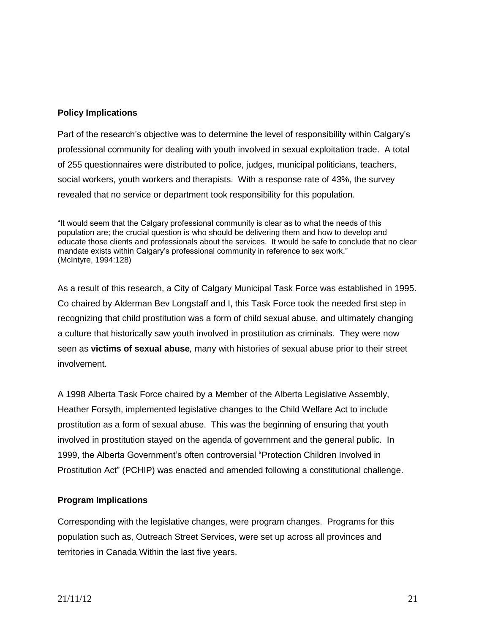# **Policy Implications**

Part of the research's objective was to determine the level of responsibility within Calgary's professional community for dealing with youth involved in sexual exploitation trade. A total of 255 questionnaires were distributed to police, judges, municipal politicians, teachers, social workers, youth workers and therapists. With a response rate of 43%, the survey revealed that no service or department took responsibility for this population.

"It would seem that the Calgary professional community is clear as to what the needs of this population are; the crucial question is who should be delivering them and how to develop and educate those clients and professionals about the services. It would be safe to conclude that no clear mandate exists within Calgary's professional community in reference to sex work." (McIntyre, 1994:128)

As a result of this research, a City of Calgary Municipal Task Force was established in 1995. Co chaired by Alderman Bev Longstaff and I, this Task Force took the needed first step in recognizing that child prostitution was a form of child sexual abuse, and ultimately changing a culture that historically saw youth involved in prostitution as criminals. They were now seen as **victims of sexual abuse***,* many with histories of sexual abuse prior to their street involvement.

A 1998 Alberta Task Force chaired by a Member of the Alberta Legislative Assembly, Heather Forsyth, implemented legislative changes to the Child Welfare Act to include prostitution as a form of sexual abuse. This was the beginning of ensuring that youth involved in prostitution stayed on the agenda of government and the general public. In 1999, the Alberta Government's often controversial "Protection Children Involved in Prostitution Act" (PCHIP) was enacted and amended following a constitutional challenge.

# **Program Implications**

Corresponding with the legislative changes, were program changes. Programs for this population such as, Outreach Street Services, were set up across all provinces and territories in Canada Within the last five years.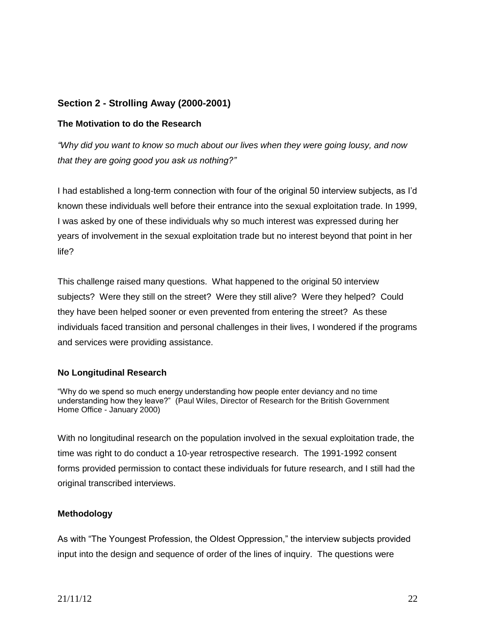# **Section 2 - Strolling Away (2000-2001)**

#### **The Motivation to do the Research**

*"Why did you want to know so much about our lives when they were going lousy, and now that they are going good you ask us nothing?"*

I had established a long-term connection with four of the original 50 interview subjects, as I'd known these individuals well before their entrance into the sexual exploitation trade. In 1999, I was asked by one of these individuals why so much interest was expressed during her years of involvement in the sexual exploitation trade but no interest beyond that point in her life?

This challenge raised many questions. What happened to the original 50 interview subjects? Were they still on the street? Were they still alive? Were they helped? Could they have been helped sooner or even prevented from entering the street? As these individuals faced transition and personal challenges in their lives, I wondered if the programs and services were providing assistance.

# **No Longitudinal Research**

"Why do we spend so much energy understanding how people enter deviancy and no time understanding how they leave?" (Paul Wiles, Director of Research for the British Government Home Office - January 2000)

With no longitudinal research on the population involved in the sexual exploitation trade, the time was right to do conduct a 10-year retrospective research. The 1991-1992 consent forms provided permission to contact these individuals for future research, and I still had the original transcribed interviews.

# **Methodology**

As with "The Youngest Profession, the Oldest Oppression," the interview subjects provided input into the design and sequence of order of the lines of inquiry. The questions were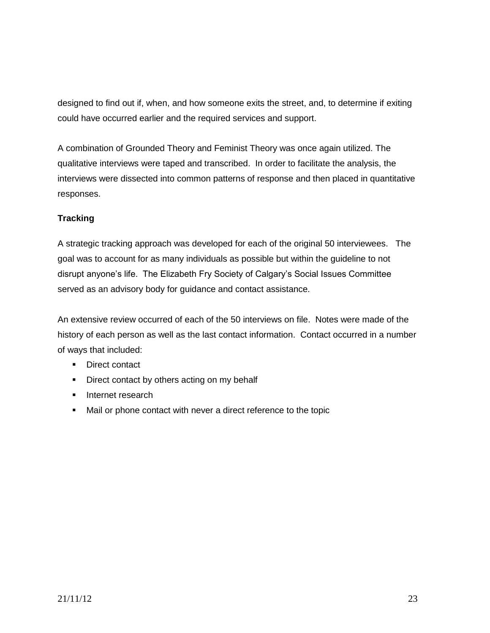designed to find out if, when, and how someone exits the street, and, to determine if exiting could have occurred earlier and the required services and support.

A combination of Grounded Theory and Feminist Theory was once again utilized. The qualitative interviews were taped and transcribed. In order to facilitate the analysis, the interviews were dissected into common patterns of response and then placed in quantitative responses.

# **Tracking**

A strategic tracking approach was developed for each of the original 50 interviewees. The goal was to account for as many individuals as possible but within the guideline to not disrupt anyone's life. The Elizabeth Fry Society of Calgary's Social Issues Committee served as an advisory body for guidance and contact assistance.

An extensive review occurred of each of the 50 interviews on file. Notes were made of the history of each person as well as the last contact information. Contact occurred in a number of ways that included:

- **Direct contact**
- **Direct contact by others acting on my behalf**
- **Internet research**
- Mail or phone contact with never a direct reference to the topic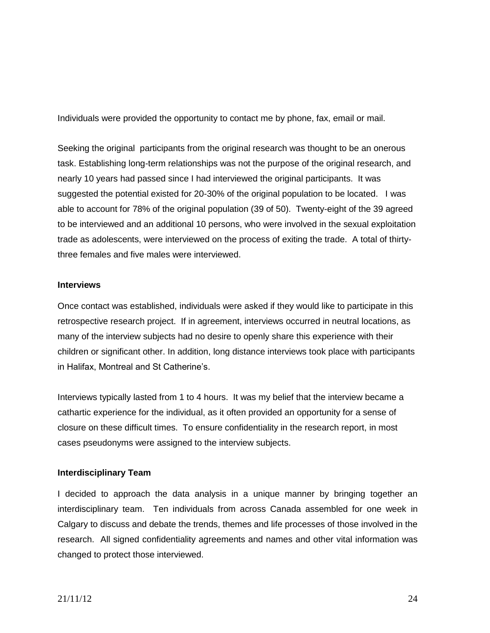Individuals were provided the opportunity to contact me by phone, fax, email or mail.

Seeking the original participants from the original research was thought to be an onerous task. Establishing long-term relationships was not the purpose of the original research, and nearly 10 years had passed since I had interviewed the original participants. It was suggested the potential existed for 20-30% of the original population to be located. I was able to account for 78% of the original population (39 of 50). Twenty-eight of the 39 agreed to be interviewed and an additional 10 persons, who were involved in the sexual exploitation trade as adolescents, were interviewed on the process of exiting the trade. A total of thirtythree females and five males were interviewed.

#### **Interviews**

Once contact was established, individuals were asked if they would like to participate in this retrospective research project. If in agreement, interviews occurred in neutral locations, as many of the interview subjects had no desire to openly share this experience with their children or significant other. In addition, long distance interviews took place with participants in Halifax, Montreal and St Catherine's.

Interviews typically lasted from 1 to 4 hours. It was my belief that the interview became a cathartic experience for the individual, as it often provided an opportunity for a sense of closure on these difficult times. To ensure confidentiality in the research report, in most cases pseudonyms were assigned to the interview subjects.

# **Interdisciplinary Team**

I decided to approach the data analysis in a unique manner by bringing together an interdisciplinary team. Ten individuals from across Canada assembled for one week in Calgary to discuss and debate the trends, themes and life processes of those involved in the research. All signed confidentiality agreements and names and other vital information was changed to protect those interviewed.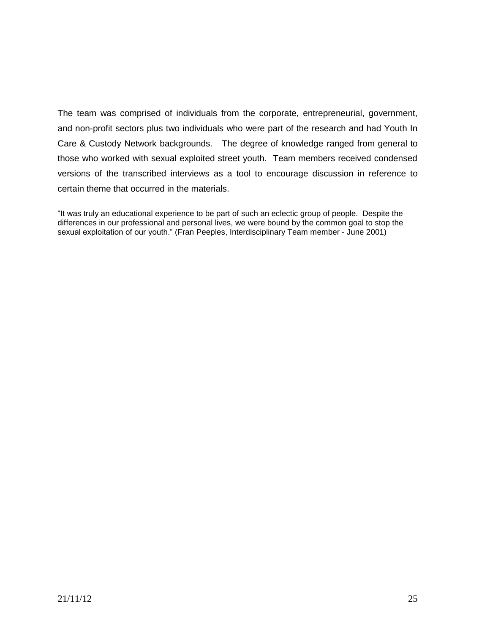The team was comprised of individuals from the corporate, entrepreneurial, government, and non-profit sectors plus two individuals who were part of the research and had Youth In Care & Custody Network backgrounds. The degree of knowledge ranged from general to those who worked with sexual exploited street youth. Team members received condensed versions of the transcribed interviews as a tool to encourage discussion in reference to certain theme that occurred in the materials.

"It was truly an educational experience to be part of such an eclectic group of people. Despite the differences in our professional and personal lives, we were bound by the common goal to stop the sexual exploitation of our youth." (Fran Peeples, Interdisciplinary Team member - June 2001)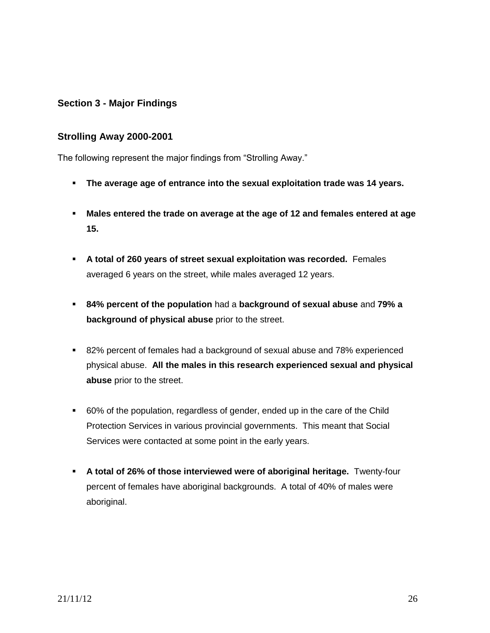# **Section 3 - Major Findings**

# **Strolling Away 2000-2001**

The following represent the major findings from "Strolling Away."

- **The average age of entrance into the sexual exploitation trade was 14 years.**
- **Males entered the trade on average at the age of 12 and females entered at age 15.**
- **A total of 260 years of street sexual exploitation was recorded.** Females averaged 6 years on the street, while males averaged 12 years.
- **84% percent of the population** had a **background of sexual abuse** and **79% a background of physical abuse** prior to the street.
- 82% percent of females had a background of sexual abuse and 78% experienced physical abuse. **All the males in this research experienced sexual and physical abuse** prior to the street.
- 60% of the population, regardless of gender, ended up in the care of the Child Protection Services in various provincial governments. This meant that Social Services were contacted at some point in the early years.
- **A total of 26% of those interviewed were of aboriginal heritage.** Twenty-four percent of females have aboriginal backgrounds. A total of 40% of males were aboriginal.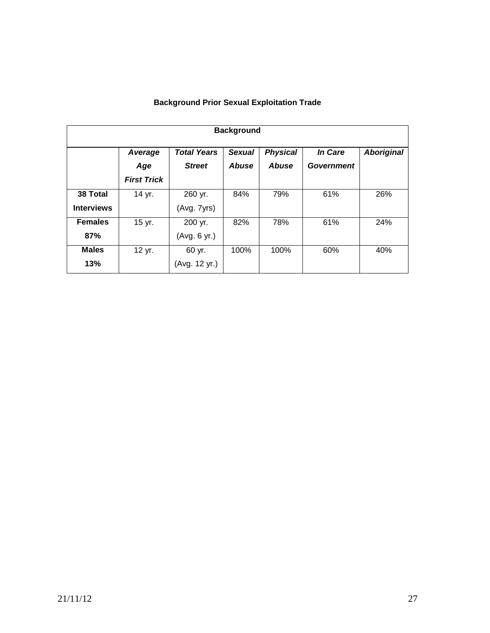| <b>Background</b> |                    |                    |               |                 |            |                   |
|-------------------|--------------------|--------------------|---------------|-----------------|------------|-------------------|
|                   | Average            | <b>Total Years</b> | <b>Sexual</b> | <b>Physical</b> | In Care    | <b>Aboriginal</b> |
|                   | Age                | <b>Street</b>      | <b>Abuse</b>  | <b>Abuse</b>    | Government |                   |
|                   | <b>First Trick</b> |                    |               |                 |            |                   |
| 38 Total          | 14 yr.             | 260 yr.            | 84%           | 79%             | 61%        | 26%               |
| <b>Interviews</b> |                    | (Avg. 7yrs)        |               |                 |            |                   |
| <b>Females</b>    | 15 yr.             | 200 yr.            | 82%           | 78%             | 61%        | 24%               |
| 87%               |                    | (Avg. 6 yr.)       |               |                 |            |                   |
| <b>Males</b>      | 12 yr.             | 60 yr.             | 100%          | 100%            | 60%        | 40%               |
| 13%               |                    | (Avg. 12 yr.)      |               |                 |            |                   |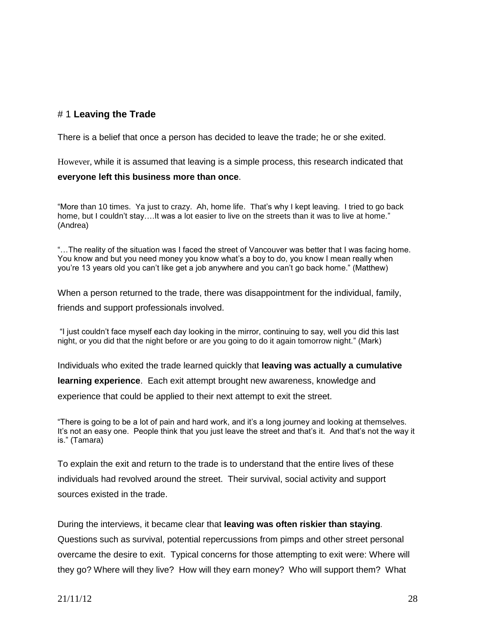# # 1 **Leaving the Trade**

There is a belief that once a person has decided to leave the trade; he or she exited.

However, while it is assumed that leaving is a simple process, this research indicated that

# **everyone left this business more than once**.

"More than 10 times. Ya just to crazy. Ah, home life. That's why I kept leaving. I tried to go back home, but I couldn't stay....It was a lot easier to live on the streets than it was to live at home." (Andrea)

"…The reality of the situation was I faced the street of Vancouver was better that I was facing home. You know and but you need money you know what's a boy to do, you know I mean really when you're 13 years old you can't like get a job anywhere and you can't go back home." (Matthew)

When a person returned to the trade, there was disappointment for the individual, family, friends and support professionals involved.

"I just couldn't face myself each day looking in the mirror, continuing to say, well you did this last night, or you did that the night before or are you going to do it again tomorrow night." (Mark)

Individuals who exited the trade learned quickly that **leaving was actually a cumulative learning experience**. Each exit attempt brought new awareness, knowledge and experience that could be applied to their next attempt to exit the street.

"There is going to be a lot of pain and hard work, and it's a long journey and looking at themselves. It's not an easy one. People think that you just leave the street and that's it. And that's not the way it is." (Tamara)

To explain the exit and return to the trade is to understand that the entire lives of these individuals had revolved around the street. Their survival, social activity and support sources existed in the trade.

During the interviews, it became clear that **leaving was often riskier than staying***.* Questions such as survival, potential repercussions from pimps and other street personal overcame the desire to exit. Typical concerns for those attempting to exit were: Where will they go? Where will they live? How will they earn money? Who will support them? What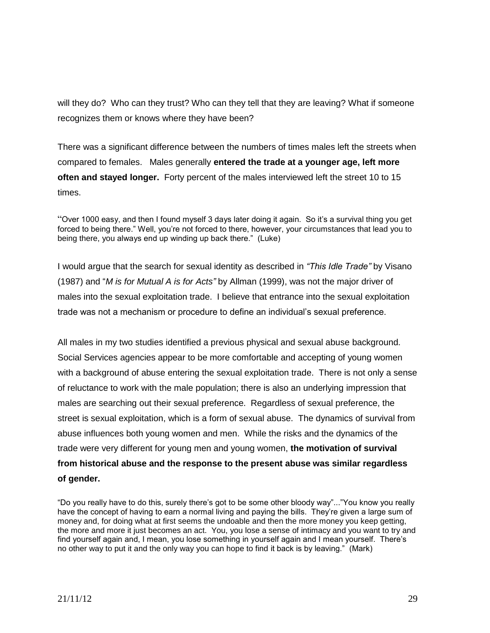will they do? Who can they trust? Who can they tell that they are leaving? What if someone recognizes them or knows where they have been?

There was a significant difference between the numbers of times males left the streets when compared to females. Males generally **entered the trade at a younger age, left more often and stayed longer.** Forty percent of the males interviewed left the street 10 to 15 times.

"Over 1000 easy, and then I found myself 3 days later doing it again. So it's a survival thing you get forced to being there." Well, you're not forced to there, however, your circumstances that lead you to being there, you always end up winding up back there." (Luke)

I would argue that the search for sexual identity as described in *"This Idle Trade"* by Visano (1987) and "*M is for Mutual A is for Acts"* by Allman (1999), was not the major driver of males into the sexual exploitation trade. I believe that entrance into the sexual exploitation trade was not a mechanism or procedure to define an individual's sexual preference.

All males in my two studies identified a previous physical and sexual abuse background. Social Services agencies appear to be more comfortable and accepting of young women with a background of abuse entering the sexual exploitation trade. There is not only a sense of reluctance to work with the male population; there is also an underlying impression that males are searching out their sexual preference. Regardless of sexual preference, the street is sexual exploitation, which is a form of sexual abuse. The dynamics of survival from abuse influences both young women and men. While the risks and the dynamics of the trade were very different for young men and young women, **the motivation of survival from historical abuse and the response to the present abuse was similar regardless of gender.**

"Do you really have to do this, surely there's got to be some other bloody way"..."You know you really have the concept of having to earn a normal living and paying the bills. They're given a large sum of money and, for doing what at first seems the undoable and then the more money you keep getting, the more and more it just becomes an act. You, you lose a sense of intimacy and you want to try and find yourself again and, I mean, you lose something in yourself again and I mean yourself. There's no other way to put it and the only way you can hope to find it back is by leaving." (Mark)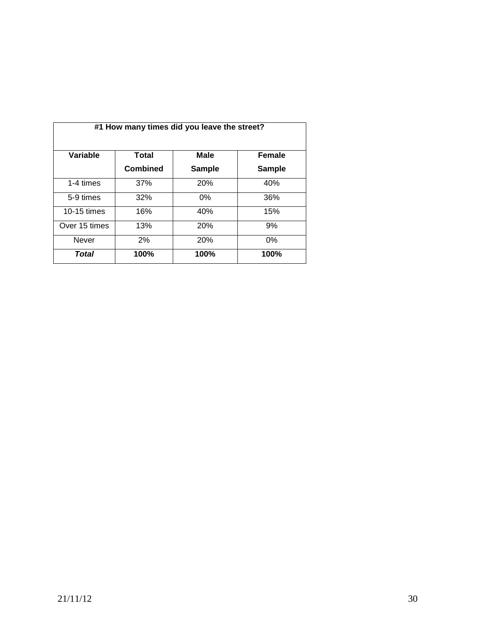| #1 How many times did you leave the street? |                 |               |               |
|---------------------------------------------|-----------------|---------------|---------------|
| Variable                                    | <b>Total</b>    | <b>Male</b>   | <b>Female</b> |
|                                             | <b>Combined</b> | <b>Sample</b> | <b>Sample</b> |
| 1-4 times                                   | 37%             | 20%           | 40%           |
| 5-9 times                                   | 32%             | 0%            | 36%           |
| $10-15 \times$                              | 16%             | 40%           | 15%           |
| Over 15 times                               | 13%             | <b>20%</b>    | 9%            |
| Never                                       | 2%              | 20%           | $0\%$         |
| Total                                       | 100%            | 100%          | 100%          |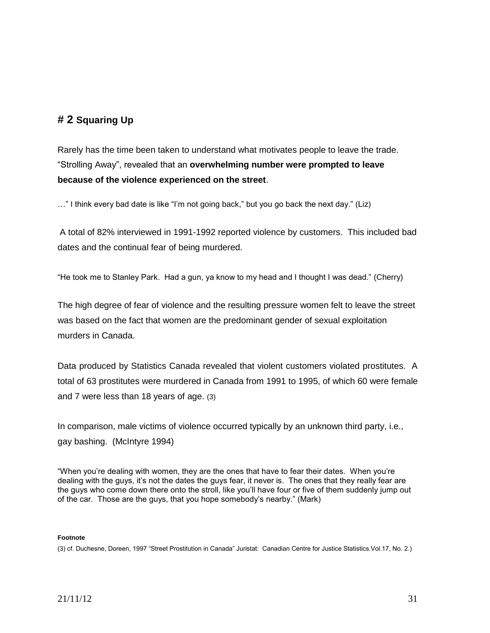# **# 2 Squaring Up**

Rarely has the time been taken to understand what motivates people to leave the trade. "Strolling Away", revealed that an **overwhelming number were prompted to leave because of the violence experienced on the street**.

…" I think every bad date is like "I'm not going back," but you go back the next day." (Liz)

A total of 82% interviewed in 1991-1992 reported violence by customers. This included bad dates and the continual fear of being murdered.

"He took me to Stanley Park. Had a gun, ya know to my head and I thought I was dead." (Cherry)

The high degree of fear of violence and the resulting pressure women felt to leave the street was based on the fact that women are the predominant gender of sexual exploitation murders in Canada.

Data produced by Statistics Canada revealed that violent customers violated prostitutes. A total of 63 prostitutes were murdered in Canada from 1991 to 1995, of which 60 were female and 7 were less than 18 years of age. (3)

In comparison, male victims of violence occurred typically by an unknown third party, i.e., gay bashing. (McIntyre 1994)

"When you're dealing with women, they are the ones that have to fear their dates. When you're dealing with the guys, it's not the dates the guys fear, it never is. The ones that they really fear are the guys who come down there onto the stroll, like you'll have four or five of them suddenly jump out of the car. Those are the guys, that you hope somebody's nearby." (Mark)

#### **Footnote**

(3) cf. Duchesne, Doreen, 1997 "Street Prostitution in Canada" Juristat: Canadian Centre for Justice Statistics.Vol.17, No. 2.)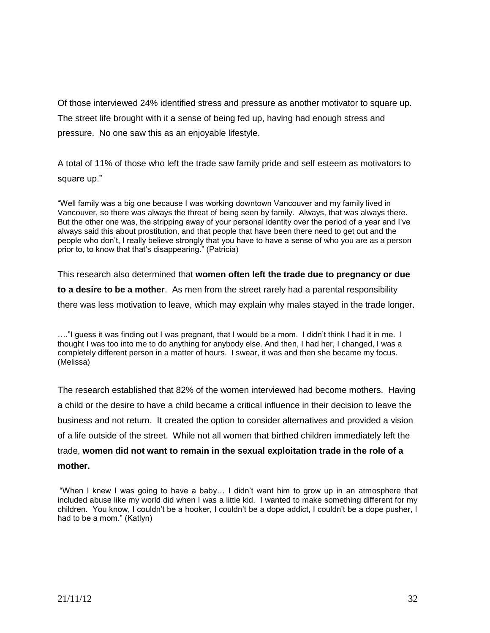Of those interviewed 24% identified stress and pressure as another motivator to square up. The street life brought with it a sense of being fed up, having had enough stress and pressure. No one saw this as an enjoyable lifestyle.

A total of 11% of those who left the trade saw family pride and self esteem as motivators to square up."

"Well family was a big one because I was working downtown Vancouver and my family lived in Vancouver, so there was always the threat of being seen by family. Always, that was always there. But the other one was, the stripping away of your personal identity over the period of a year and I've always said this about prostitution, and that people that have been there need to get out and the people who don't, I really believe strongly that you have to have a sense of who you are as a person prior to, to know that that's disappearing." (Patricia)

This research also determined that **women often left the trade due to pregnancy or due to a desire to be a mother**. As men from the street rarely had a parental responsibility there was less motivation to leave, which may explain why males stayed in the trade longer.

…."I guess it was finding out I was pregnant, that I would be a mom. I didn't think I had it in me. I thought I was too into me to do anything for anybody else. And then, I had her, I changed, I was a completely different person in a matter of hours. I swear, it was and then she became my focus. (Melissa)

The research established that 82% of the women interviewed had become mothers. Having a child or the desire to have a child became a critical influence in their decision to leave the business and not return. It created the option to consider alternatives and provided a vision of a life outside of the street. While not all women that birthed children immediately left the trade, **women did not want to remain in the sexual exploitation trade in the role of a** 

**mother.**

"When I knew I was going to have a baby… I didn't want him to grow up in an atmosphere that included abuse like my world did when I was a little kid. I wanted to make something different for my children. You know, I couldn't be a hooker, I couldn't be a dope addict, I couldn't be a dope pusher, I had to be a mom." (Katlyn)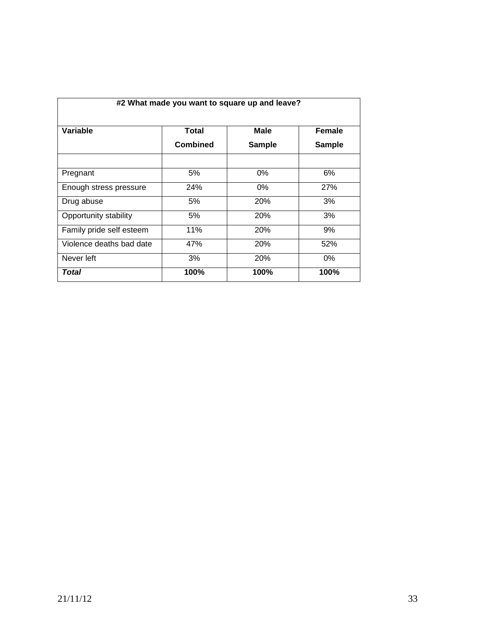| #2 What made you want to square up and leave? |                          |                              |                         |
|-----------------------------------------------|--------------------------|------------------------------|-------------------------|
| Variable                                      | Total<br><b>Combined</b> | <b>Male</b><br><b>Sample</b> | Female<br><b>Sample</b> |
|                                               |                          |                              |                         |
| Pregnant                                      | 5%                       | 0%                           | 6%                      |
| Enough stress pressure                        | 24%                      | $0\%$                        | 27%                     |
| Drug abuse                                    | 5%                       | <b>20%</b>                   | 3%                      |
| Opportunity stability                         | 5%                       | <b>20%</b>                   | 3%                      |
| Family pride self esteem                      | 11%                      | <b>20%</b>                   | 9%                      |
| Violence deaths bad date                      | 47%                      | <b>20%</b>                   | 52%                     |
| Never left                                    | 3%                       | <b>20%</b>                   | $0\%$                   |
| Total                                         | 100%                     | 100%                         | 100%                    |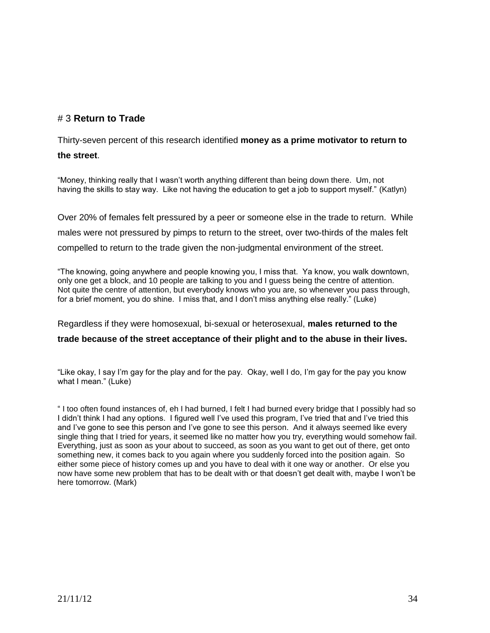# # 3 **Return to Trade**

Thirty-seven percent of this research identified **money as a prime motivator to return to the street**.

"Money, thinking really that I wasn't worth anything different than being down there. Um, not having the skills to stay way. Like not having the education to get a job to support myself." (Katlyn)

Over 20% of females felt pressured by a peer or someone else in the trade to return. While males were not pressured by pimps to return to the street, over two-thirds of the males felt compelled to return to the trade given the non-judgmental environment of the street.

"The knowing, going anywhere and people knowing you, I miss that. Ya know, you walk downtown, only one get a block, and 10 people are talking to you and I guess being the centre of attention. Not quite the centre of attention, but everybody knows who you are, so whenever you pass through, for a brief moment, you do shine. I miss that, and I don't miss anything else really." (Luke)

Regardless if they were homosexual, bi-sexual or heterosexual, **males returned to the** 

# **trade because of the street acceptance of their plight and to the abuse in their lives.**

"Like okay, I say I'm gay for the play and for the pay. Okay, well I do, I'm gay for the pay you know what I mean." (Luke)

" I too often found instances of, eh I had burned, I felt I had burned every bridge that I possibly had so I didn't think I had any options. I figured well I've used this program, I've tried that and I've tried this and I've gone to see this person and I've gone to see this person. And it always seemed like every single thing that I tried for years, it seemed like no matter how you try, everything would somehow fail. Everything, just as soon as your about to succeed, as soon as you want to get out of there, get onto something new, it comes back to you again where you suddenly forced into the position again. So either some piece of history comes up and you have to deal with it one way or another. Or else you now have some new problem that has to be dealt with or that doesn't get dealt with, maybe I won't be here tomorrow. (Mark)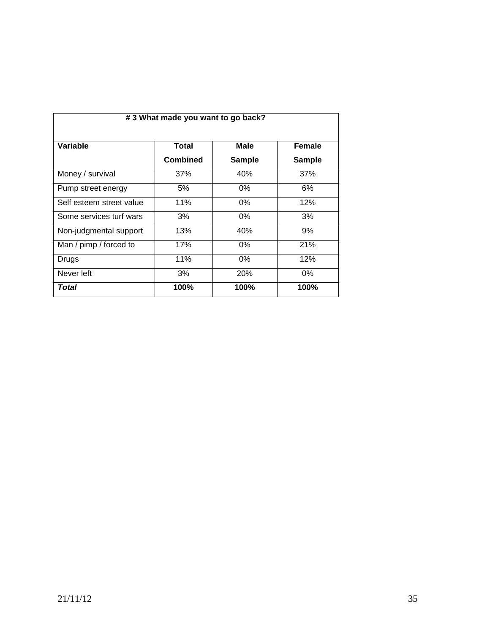| #3 What made you want to go back? |                          |                       |                                |
|-----------------------------------|--------------------------|-----------------------|--------------------------------|
| Variable                          | Total<br><b>Combined</b> | Male<br><b>Sample</b> | <b>Female</b><br><b>Sample</b> |
| Money / survival                  | 37%                      | 40%                   | 37%                            |
| Pump street energy                | 5%                       | $0\%$                 | 6%                             |
| Self esteem street value          | 11%                      | 0%                    | 12%                            |
| Some services turf wars           | 3%                       | 0%                    | 3%                             |
| Non-judgmental support            | 13%                      | 40%                   | 9%                             |
| Man / pimp / forced to            | 17%                      | $0\%$                 | 21%                            |
| Drugs                             | 11%                      | $0\%$                 | 12%                            |
| Never left                        | 3%                       | 20%                   | 0%                             |
| Total                             | 100%                     | 100%                  | 100%                           |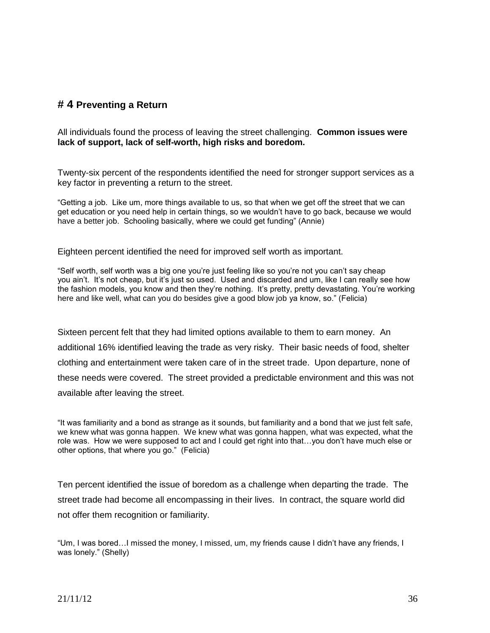# **# 4 Preventing a Return**

All individuals found the process of leaving the street challenging. **Common issues were lack of support, lack of self-worth, high risks and boredom.**

Twenty-six percent of the respondents identified the need for stronger support services as a key factor in preventing a return to the street.

"Getting a job. Like um, more things available to us, so that when we get off the street that we can get education or you need help in certain things, so we wouldn't have to go back, because we would have a better job. Schooling basically, where we could get funding" (Annie)

Eighteen percent identified the need for improved self worth as important.

"Self worth, self worth was a big one you're just feeling like so you're not you can't say cheap you ain't. It's not cheap, but it's just so used. Used and discarded and um, like I can really see how the fashion models, you know and then they're nothing. It's pretty, pretty devastating. You're working here and like well, what can you do besides give a good blow job ya know, so." (Felicia)

Sixteen percent felt that they had limited options available to them to earn money. An additional 16% identified leaving the trade as very risky. Their basic needs of food, shelter clothing and entertainment were taken care of in the street trade. Upon departure, none of these needs were covered. The street provided a predictable environment and this was not available after leaving the street.

"It was familiarity and a bond as strange as it sounds, but familiarity and a bond that we just felt safe, we knew what was gonna happen. We knew what was gonna happen, what was expected, what the role was. How we were supposed to act and I could get right into that…you don't have much else or other options, that where you go." (Felicia)

Ten percent identified the issue of boredom as a challenge when departing the trade. The street trade had become all encompassing in their lives. In contract, the square world did not offer them recognition or familiarity.

"Um, I was bored…I missed the money, I missed, um, my friends cause I didn't have any friends, I was lonely." (Shelly)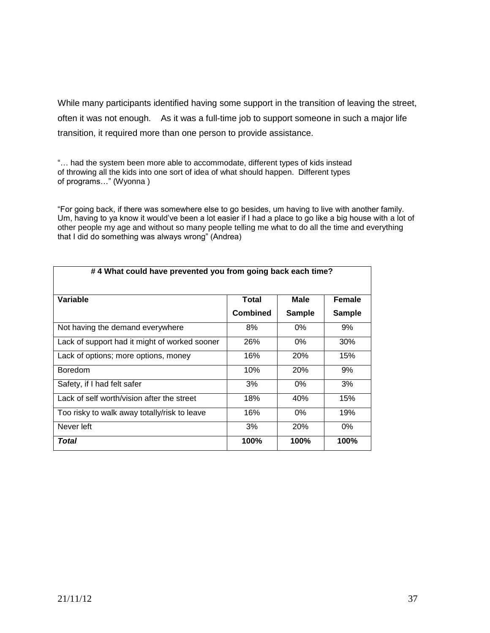While many participants identified having some support in the transition of leaving the street, often it was not enough. As it was a full-time job to support someone in such a major life transition, it required more than one person to provide assistance.

"… had the system been more able to accommodate, different types of kids instead of throwing all the kids into one sort of idea of what should happen. Different types of programs…" (Wyonna )

"For going back, if there was somewhere else to go besides, um having to live with another family. Um, having to ya know it would've been a lot easier if I had a place to go like a big house with a lot of other people my age and without so many people telling me what to do all the time and everything that I did do something was always wrong" (Andrea)

| #4 What could have prevented you from going back each time? |                 |               |               |
|-------------------------------------------------------------|-----------------|---------------|---------------|
| Variable                                                    | Total           | Male          | Female        |
|                                                             | <b>Combined</b> | <b>Sample</b> | <b>Sample</b> |
| Not having the demand everywhere                            | 8%              | 0%            | 9%            |
| Lack of support had it might of worked sooner               | 26%             | $0\%$         | 30%           |
| Lack of options; more options, money                        | 16%             | <b>20%</b>    | 15%           |
| <b>Boredom</b>                                              | 10%             | <b>20%</b>    | 9%            |
| Safety, if I had felt safer                                 | 3%              | $0\%$         | 3%            |
| Lack of self worth/vision after the street                  | 18%             | 40%           | 15%           |
| Too risky to walk away totally/risk to leave                | 16%             | $0\%$         | 19%           |
| Never left                                                  | 3%              | 20%           | 0%            |
| Total                                                       | 100%            | 100%          | 100%          |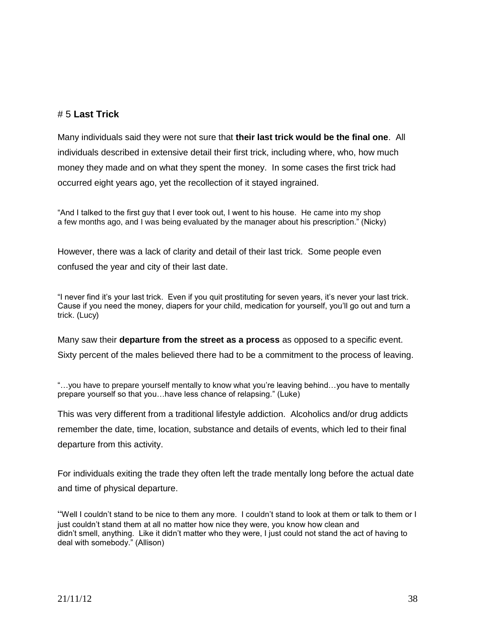## # 5 **Last Trick**

Many individuals said they were not sure that **their last trick would be the final one**. All individuals described in extensive detail their first trick, including where, who, how much money they made and on what they spent the money. In some cases the first trick had occurred eight years ago, yet the recollection of it stayed ingrained.

"And I talked to the first guy that I ever took out, I went to his house. He came into my shop a few months ago, and I was being evaluated by the manager about his prescription." (Nicky)

However, there was a lack of clarity and detail of their last trick. Some people even confused the year and city of their last date.

"I never find it's your last trick. Even if you quit prostituting for seven years, it's never your last trick. Cause if you need the money, diapers for your child, medication for yourself, you'll go out and turn a trick. (Lucy)

Many saw their **departure from the street as a process** as opposed to a specific event. Sixty percent of the males believed there had to be a commitment to the process of leaving.

"…you have to prepare yourself mentally to know what you're leaving behind…you have to mentally prepare yourself so that you…have less chance of relapsing." (Luke)

This was very different from a traditional lifestyle addiction. Alcoholics and/or drug addicts remember the date, time, location, substance and details of events, which led to their final departure from this activity.

For individuals exiting the trade they often left the trade mentally long before the actual date and time of physical departure.

"Well I couldn't stand to be nice to them any more. I couldn't stand to look at them or talk to them or I just couldn't stand them at all no matter how nice they were, you know how clean and didn't smell, anything. Like it didn't matter who they were, I just could not stand the act of having to deal with somebody." (Allison)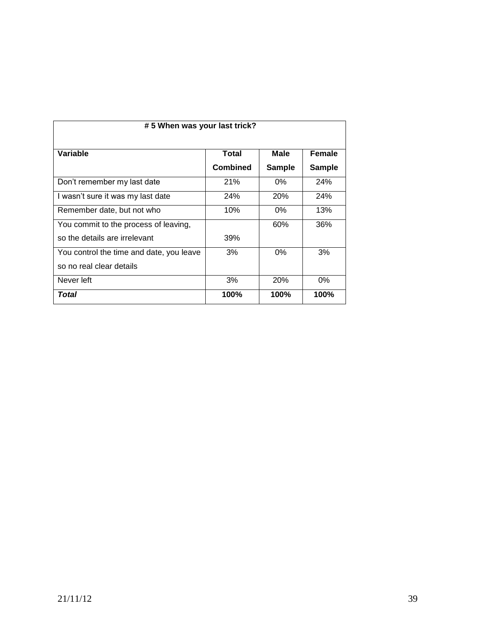| # 5 When was your last trick?            |                 |               |               |
|------------------------------------------|-----------------|---------------|---------------|
|                                          |                 |               |               |
| Variable                                 | Total           | Male          | Female        |
|                                          | <b>Combined</b> | <b>Sample</b> | <b>Sample</b> |
| Don't remember my last date              | 21%             | $0\%$         | 24%           |
| I wasn't sure it was my last date        | <b>24%</b>      | <b>20%</b>    | 24%           |
| Remember date, but not who               | 10%             | $0\%$         | 13%           |
| You commit to the process of leaving,    |                 | 60%           | 36%           |
| so the details are irrelevant            | 39%             |               |               |
| You control the time and date, you leave | 3%              | $0\%$         | 3%            |
| so no real clear details                 |                 |               |               |
| Never left                               | 3%              | <b>20%</b>    | $0\%$         |
| Total                                    | 100%            | 100%          | 100%          |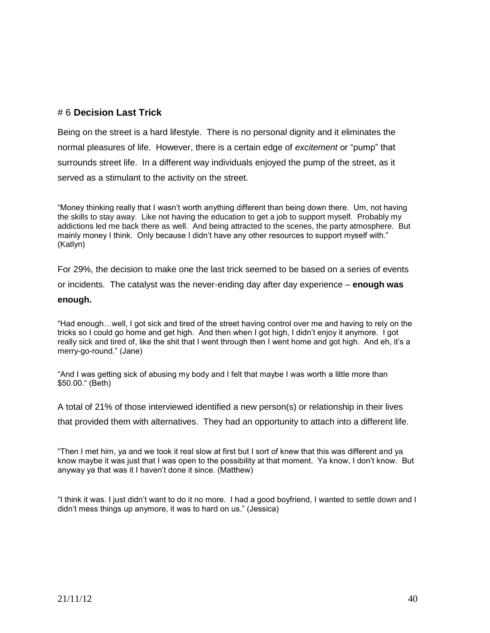## # 6 **Decision Last Trick**

Being on the street is a hard lifestyle. There is no personal dignity and it eliminates the normal pleasures of life. However, there is a certain edge of *excitement* or "pump" that surrounds street life. In a different way individuals enjoyed the pump of the street, as it served as a stimulant to the activity on the street.

"Money thinking really that I wasn't worth anything different than being down there. Um, not having the skills to stay away. Like not having the education to get a job to support myself. Probably my addictions led me back there as well. And being attracted to the scenes, the party atmosphere. But mainly money I think. Only because I didn't have any other resources to support myself with." (Katlyn)

For 29%, the decision to make one the last trick seemed to be based on a series of events or incidents. The catalyst was the never-ending day after day experience – **enough was enough.**

"Had enough…well, I got sick and tired of the street having control over me and having to rely on the tricks so I could go home and get high. And then when I got high, I didn't enjoy it anymore. I got really sick and tired of, like the shit that I went through then I went home and got high. And eh, it's a merry-go-round." (Jane)

"And I was getting sick of abusing my body and I felt that maybe I was worth a little more than \$50.00." (Beth)

A total of 21% of those interviewed identified a new person(s) or relationship in their lives that provided them with alternatives. They had an opportunity to attach into a different life.

"Then I met him, ya and we took it real slow at first but I sort of knew that this was different and ya know maybe it was just that I was open to the possibility at that moment. Ya know, I don't know. But anyway ya that was it I haven't done it since. (Matthew)

"I think it was. I just didn't want to do it no more. I had a good boyfriend, I wanted to settle down and I didn't mess things up anymore, it was to hard on us." (Jessica)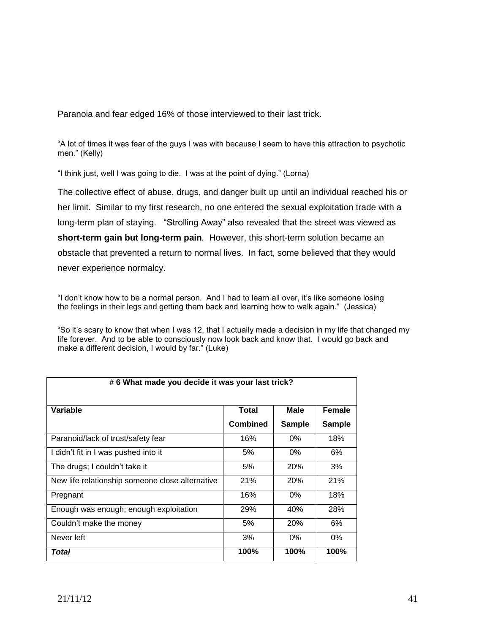Paranoia and fear edged 16% of those interviewed to their last trick.

"A lot of times it was fear of the guys I was with because I seem to have this attraction to psychotic men." (Kelly)

"I think just, well I was going to die. I was at the point of dying." (Lorna)

The collective effect of abuse, drugs, and danger built up until an individual reached his or her limit. Similar to my first research, no one entered the sexual exploitation trade with a long-term plan of staying. "Strolling Away" also revealed that the street was viewed as **short-term gain but long-term pain***.* However, this short-term solution became an obstacle that prevented a return to normal lives. In fact, some believed that they would never experience normalcy.

"I don't know how to be a normal person. And I had to learn all over, it's like someone losing the feelings in their legs and getting them back and learning how to walk again." (Jessica)

"So it's scary to know that when I was 12, that I actually made a decision in my life that changed my life forever. And to be able to consciously now look back and know that. I would go back and make a different decision, I would by far." (Luke)

| #6 What made you decide it was your last trick? |                 |               |               |
|-------------------------------------------------|-----------------|---------------|---------------|
| Variable                                        | Total           | <b>Male</b>   | <b>Female</b> |
|                                                 | <b>Combined</b> | <b>Sample</b> | <b>Sample</b> |
| Paranoid/lack of trust/safety fear              | 16%             | $0\%$         | 18%           |
| I didn't fit in I was pushed into it            | 5%              | $0\%$         | 6%            |
| The drugs; I couldn't take it                   | 5%              | 20%           | 3%            |
| New life relationship someone close alternative | 21%             | <b>20%</b>    | 21%           |
| Pregnant                                        | 16%             | $0\%$         | 18%           |
| Enough was enough; enough exploitation          | 29%             | 40%           | 28%           |
| Couldn't make the money                         | 5%              | 20%           | 6%            |
| Never left                                      | 3%              | 0%            | 0%            |
| Total                                           | 100%            | 100%          | 100%          |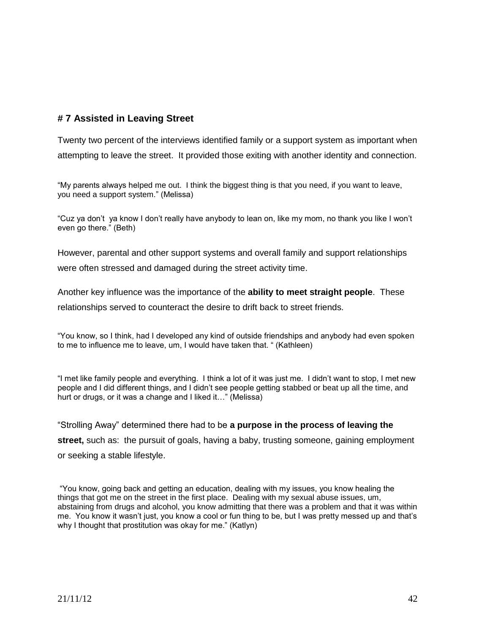## **# 7 Assisted in Leaving Street**

Twenty two percent of the interviews identified family or a support system as important when attempting to leave the street. It provided those exiting with another identity and connection.

"My parents always helped me out. I think the biggest thing is that you need, if you want to leave, you need a support system." (Melissa)

"Cuz ya don't ya know I don't really have anybody to lean on, like my mom, no thank you like I won't even go there." (Beth)

However, parental and other support systems and overall family and support relationships were often stressed and damaged during the street activity time.

Another key influence was the importance of the **ability to meet straight people**. These relationships served to counteract the desire to drift back to street friends.

"You know, so I think, had I developed any kind of outside friendships and anybody had even spoken to me to influence me to leave, um, I would have taken that. " (Kathleen)

"I met like family people and everything. I think a lot of it was just me. I didn't want to stop, I met new people and I did different things, and I didn't see people getting stabbed or beat up all the time, and hurt or drugs, or it was a change and I liked it…" (Melissa)

"Strolling Away" determined there had to be **a purpose in the process of leaving the street,** such as: the pursuit of goals, having a baby, trusting someone, gaining employment or seeking a stable lifestyle.

"You know, going back and getting an education, dealing with my issues, you know healing the things that got me on the street in the first place. Dealing with my sexual abuse issues, um, abstaining from drugs and alcohol, you know admitting that there was a problem and that it was within me. You know it wasn't just, you know a cool or fun thing to be, but I was pretty messed up and that's why I thought that prostitution was okay for me." (Katlyn)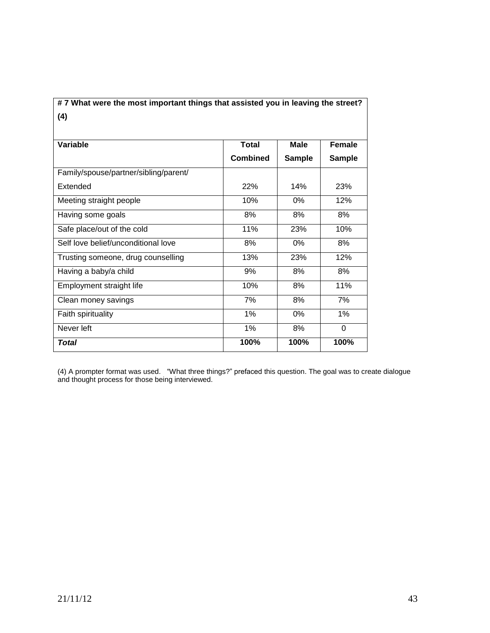# **# 7 What were the most important things that assisted you in leaving the street? (4)**

| Variable                              | <b>Total</b>    | Male          | <b>Female</b> |
|---------------------------------------|-----------------|---------------|---------------|
|                                       | <b>Combined</b> | <b>Sample</b> | <b>Sample</b> |
| Family/spouse/partner/sibling/parent/ |                 |               |               |
| Extended                              | <b>22%</b>      | 14%           | <b>23%</b>    |
| Meeting straight people               | 10%             | $0\%$         | 12%           |
| Having some goals                     | 8%              | 8%            | 8%            |
| Safe place/out of the cold            | 11%             | <b>23%</b>    | 10%           |
| Self love belief/unconditional love   | 8%              | 0%            | 8%            |
| Trusting someone, drug counselling    | 13%             | 23%           | 12%           |
| Having a baby/a child                 | 9%              | 8%            | 8%            |
| Employment straight life              | 10%             | 8%            | 11%           |
| Clean money savings                   | 7%              | 8%            | 7%            |
| Faith spirituality                    | 1%              | 0%            | 1%            |
| Never left                            | 1%              | 8%            | $\Omega$      |
| Total                                 | 100%            | 100%          | 100%          |

(4) A prompter format was used. "What three things?" prefaced this question. The goal was to create dialogue and thought process for those being interviewed.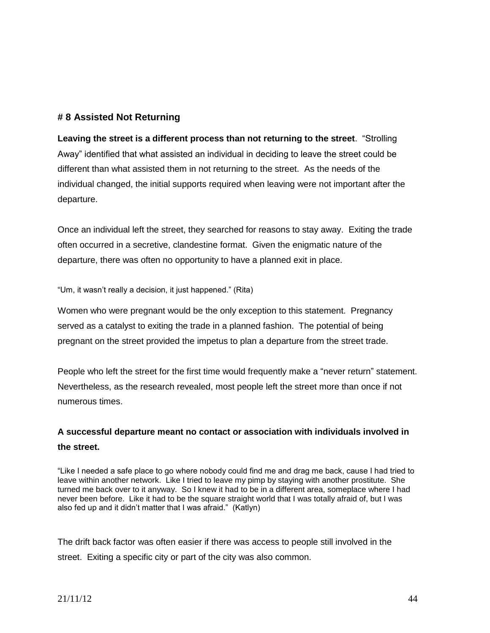## **# 8 Assisted Not Returning**

**Leaving the street is a different process than not returning to the street**. "Strolling Away" identified that what assisted an individual in deciding to leave the street could be different than what assisted them in not returning to the street. As the needs of the individual changed, the initial supports required when leaving were not important after the departure.

Once an individual left the street, they searched for reasons to stay away. Exiting the trade often occurred in a secretive, clandestine format. Given the enigmatic nature of the departure, there was often no opportunity to have a planned exit in place.

"Um, it wasn't really a decision, it just happened." (Rita)

Women who were pregnant would be the only exception to this statement. Pregnancy served as a catalyst to exiting the trade in a planned fashion. The potential of being pregnant on the street provided the impetus to plan a departure from the street trade.

People who left the street for the first time would frequently make a "never return" statement. Nevertheless, as the research revealed, most people left the street more than once if not numerous times.

# **A successful departure meant no contact or association with individuals involved in the street.**

"Like I needed a safe place to go where nobody could find me and drag me back, cause I had tried to leave within another network. Like I tried to leave my pimp by staying with another prostitute. She turned me back over to it anyway. So I knew it had to be in a different area, someplace where I had never been before. Like it had to be the square straight world that I was totally afraid of, but I was also fed up and it didn't matter that I was afraid." (Katlyn)

The drift back factor was often easier if there was access to people still involved in the street. Exiting a specific city or part of the city was also common.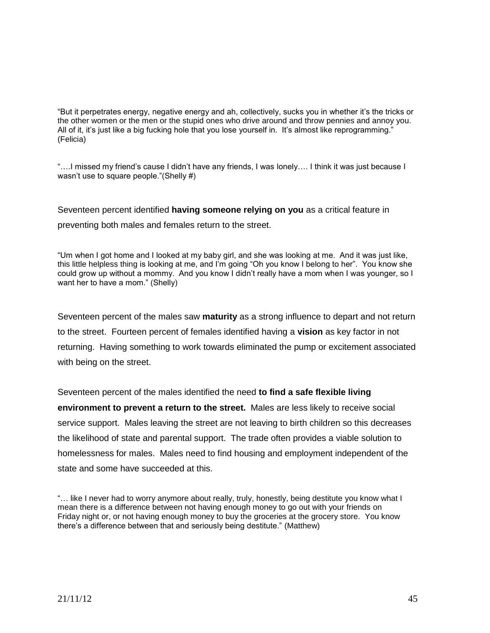"But it perpetrates energy, negative energy and ah, collectively, sucks you in whether it's the tricks or the other women or the men or the stupid ones who drive around and throw pennies and annoy you. All of it, it's just like a big fucking hole that you lose yourself in. It's almost like reprogramming." (Felicia)

"....I missed my friend's cause I didn't have any friends, I was lonely.... I think it was just because I wasn't use to square people."(Shelly #)

Seventeen percent identified **having someone relying on you** as a critical feature in

preventing both males and females return to the street.

"Um when I got home and I looked at my baby girl, and she was looking at me. And it was just like, this little helpless thing is looking at me, and I'm going "Oh you know I belong to her". You know she could grow up without a mommy. And you know I didn't really have a mom when I was younger, so I want her to have a mom." (Shelly)

Seventeen percent of the males saw **maturity** as a strong influence to depart and not return to the street. Fourteen percent of females identified having a **vision** as key factor in not returning. Having something to work towards eliminated the pump or excitement associated with being on the street.

Seventeen percent of the males identified the need **to find a safe flexible living environment to prevent a return to the street.** Males are less likely to receive social service support. Males leaving the street are not leaving to birth children so this decreases the likelihood of state and parental support. The trade often provides a viable solution to homelessness for males. Males need to find housing and employment independent of the state and some have succeeded at this.

<sup>&</sup>quot;… like I never had to worry anymore about really, truly, honestly, being destitute you know what I mean there is a difference between not having enough money to go out with your friends on Friday night or, or not having enough money to buy the groceries at the grocery store. You know there's a difference between that and seriously being destitute." (Matthew)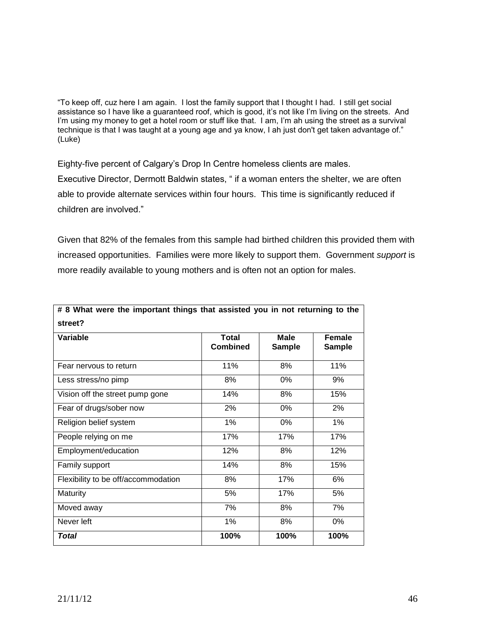"To keep off, cuz here I am again. I lost the family support that I thought I had. I still get social assistance so I have like a guaranteed roof, which is good, it's not like I'm living on the streets. And I'm using my money to get a hotel room or stuff like that. I am, I'm ah using the street as a survival technique is that I was taught at a young age and ya know, I ah just don't get taken advantage of." (Luke)

Eighty-five percent of Calgary's Drop In Centre homeless clients are males. Executive Director, Dermott Baldwin states, " if a woman enters the shelter, we are often able to provide alternate services within four hours. This time is significantly reduced if children are involved."

Given that 82% of the females from this sample had birthed children this provided them with increased opportunities. Families were more likely to support them. Government *support* is more readily available to young mothers and is often not an option for males.

| # 8 What were the important things that assisted you in not returning to the<br>street? |                                 |                              |                                |
|-----------------------------------------------------------------------------------------|---------------------------------|------------------------------|--------------------------------|
| Variable                                                                                | <b>Total</b><br><b>Combined</b> | <b>Male</b><br><b>Sample</b> | <b>Female</b><br><b>Sample</b> |
| Fear nervous to return                                                                  | 11%                             | 8%                           | 11%                            |
| Less stress/no pimp                                                                     | 8%                              | 0%                           | 9%                             |
| Vision off the street pump gone                                                         | 14%                             | 8%                           | 15%                            |
| Fear of drugs/sober now                                                                 | 2%                              | 0%                           | 2%                             |
| Religion belief system                                                                  | 1%                              | 0%                           | $1\%$                          |
| People relying on me                                                                    | 17%                             | 17%                          | 17%                            |
| Employment/education                                                                    | 12%                             | 8%                           | 12%                            |
| Family support                                                                          | 14%                             | 8%                           | 15%                            |
| Flexibility to be off/accommodation                                                     | 8%                              | 17%                          | 6%                             |
| Maturity                                                                                | 5%                              | 17%                          | 5%                             |
| Moved away                                                                              | 7%                              | 8%                           | 7%                             |
| Never left                                                                              | 1%                              | 8%                           | 0%                             |
| <b>Total</b>                                                                            | 100%                            | 100%                         | 100%                           |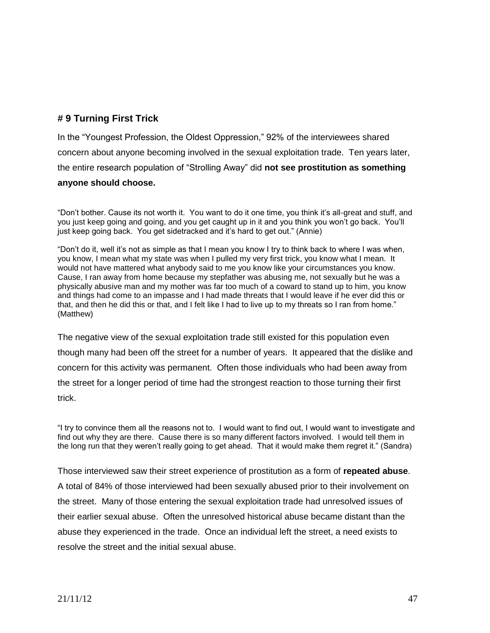## **# 9 Turning First Trick**

In the "Youngest Profession, the Oldest Oppression," 92% of the interviewees shared concern about anyone becoming involved in the sexual exploitation trade. Ten years later, the entire research population of "Strolling Away" did **not see prostitution as something anyone should choose.**

"Don't bother. Cause its not worth it. You want to do it one time, you think it's all-great and stuff, and you just keep going and going, and you get caught up in it and you think you won't go back. You'll just keep going back. You get sidetracked and it's hard to get out." (Annie)

"Don't do it, well it's not as simple as that I mean you know I try to think back to where I was when, you know, I mean what my state was when I pulled my very first trick, you know what I mean. It would not have mattered what anybody said to me you know like your circumstances you know. Cause, I ran away from home because my stepfather was abusing me, not sexually but he was a physically abusive man and my mother was far too much of a coward to stand up to him, you know and things had come to an impasse and I had made threats that I would leave if he ever did this or that, and then he did this or that, and I felt like I had to live up to my threats so I ran from home." (Matthew)

The negative view of the sexual exploitation trade still existed for this population even though many had been off the street for a number of years. It appeared that the dislike and concern for this activity was permanent. Often those individuals who had been away from the street for a longer period of time had the strongest reaction to those turning their first trick.

"I try to convince them all the reasons not to. I would want to find out, I would want to investigate and find out why they are there. Cause there is so many different factors involved. I would tell them in the long run that they weren't really going to get ahead. That it would make them regret it." (Sandra)

Those interviewed saw their street experience of prostitution as a form of **repeated abuse**. A total of 84% of those interviewed had been sexually abused prior to their involvement on the street. Many of those entering the sexual exploitation trade had unresolved issues of their earlier sexual abuse. Often the unresolved historical abuse became distant than the abuse they experienced in the trade. Once an individual left the street, a need exists to resolve the street and the initial sexual abuse.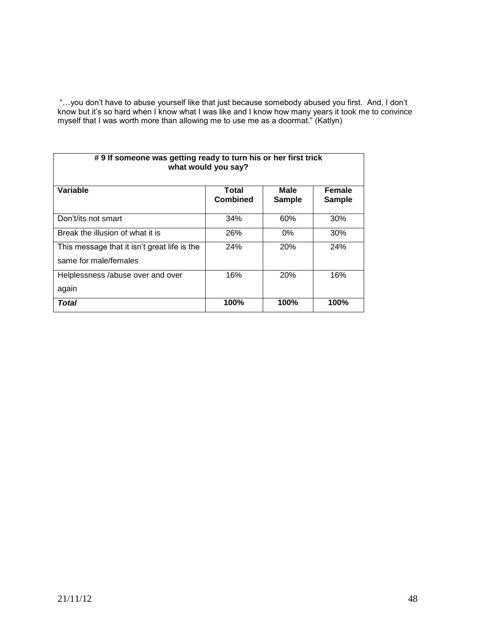"…you don't have to abuse yourself like that just because somebody abused you first. And, I don't know but it's so hard when I know what I was like and I know how many years it took me to convince myself that I was worth more than allowing me to use me as a doormat." (Katlyn)

| #9 If someone was getting ready to turn his or her first trick<br>what would you say? |                          |                       |                         |
|---------------------------------------------------------------------------------------|--------------------------|-----------------------|-------------------------|
| Variable                                                                              | Total<br><b>Combined</b> | Male<br><b>Sample</b> | Female<br><b>Sample</b> |
| Don't/its not smart                                                                   | 34%                      | 60%                   | 30%                     |
| Break the illusion of what it is                                                      | 26%                      | $0\%$                 | 30%                     |
| This message that it isn't great life is the<br>same for male/females                 | 24%                      | 20%                   | 24%                     |
| Helplessness /abuse over and over<br>again                                            | 16%                      | 20%                   | 16%                     |
| Total                                                                                 | 100%                     | 100%                  | 100%                    |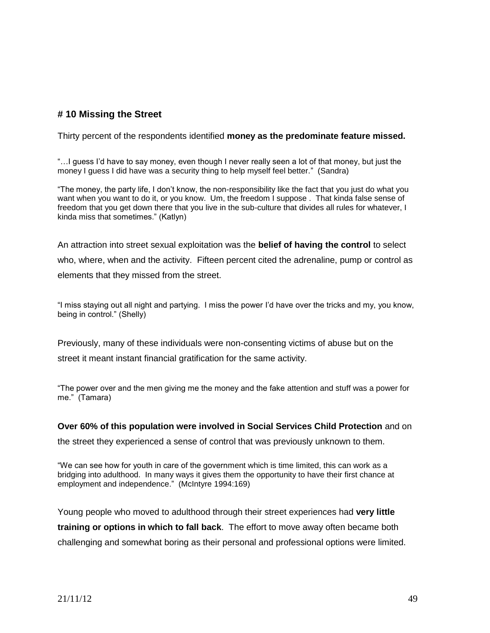## **# 10 Missing the Street**

Thirty percent of the respondents identified **money as the predominate feature missed.** 

"…I guess I'd have to say money, even though I never really seen a lot of that money, but just the money I guess I did have was a security thing to help myself feel better." (Sandra)

"The money, the party life, I don't know, the non-responsibility like the fact that you just do what you want when you want to do it, or you know. Um, the freedom I suppose . That kinda false sense of freedom that you get down there that you live in the sub-culture that divides all rules for whatever, I kinda miss that sometimes." (Katlyn)

An attraction into street sexual exploitation was the **belief of having the control** to select who, where, when and the activity. Fifteen percent cited the adrenaline, pump or control as elements that they missed from the street.

"I miss staying out all night and partying. I miss the power I'd have over the tricks and my, you know, being in control." (Shelly)

Previously, many of these individuals were non-consenting victims of abuse but on the street it meant instant financial gratification for the same activity.

"The power over and the men giving me the money and the fake attention and stuff was a power for me." (Tamara)

**Over 60% of this population were involved in Social Services Child Protection** and on

the street they experienced a sense of control that was previously unknown to them.

"We can see how for youth in care of the government which is time limited, this can work as a bridging into adulthood. In many ways it gives them the opportunity to have their first chance at employment and independence." (McIntyre 1994:169)

Young people who moved to adulthood through their street experiences had **very little training or options in which to fall back**. The effort to move away often became both challenging and somewhat boring as their personal and professional options were limited.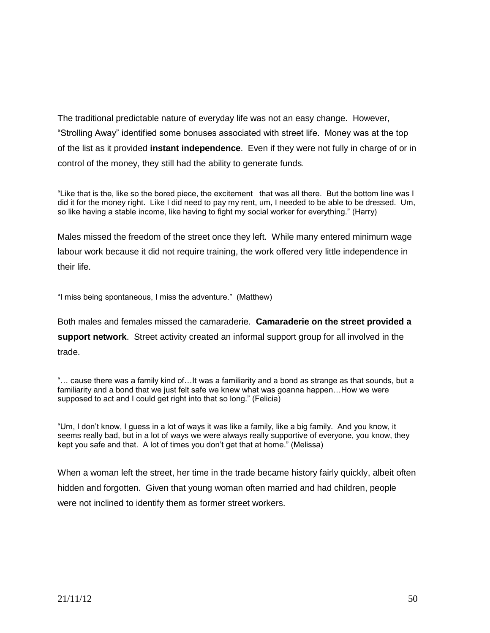The traditional predictable nature of everyday life was not an easy change. However, "Strolling Away" identified some bonuses associated with street life. Money was at the top of the list as it provided **instant independence**. Even if they were not fully in charge of or in control of the money, they still had the ability to generate funds.

"Like that is the, like so the bored piece, the excitement that was all there. But the bottom line was I did it for the money right. Like I did need to pay my rent, um, I needed to be able to be dressed. Um, so like having a stable income, like having to fight my social worker for everything." (Harry)

Males missed the freedom of the street once they left. While many entered minimum wage labour work because it did not require training, the work offered very little independence in their life.

"I miss being spontaneous, I miss the adventure." (Matthew)

Both males and females missed the camaraderie. **Camaraderie on the street provided a support network**. Street activity created an informal support group for all involved in the trade.

"… cause there was a family kind of…It was a familiarity and a bond as strange as that sounds, but a familiarity and a bond that we just felt safe we knew what was goanna happen...How we were supposed to act and I could get right into that so long." (Felicia)

"Um, I don't know, I guess in a lot of ways it was like a family, like a big family. And you know, it seems really bad, but in a lot of ways we were always really supportive of everyone, you know, they kept you safe and that. A lot of times you don't get that at home." (Melissa)

When a woman left the street, her time in the trade became history fairly quickly, albeit often hidden and forgotten. Given that young woman often married and had children, people were not inclined to identify them as former street workers.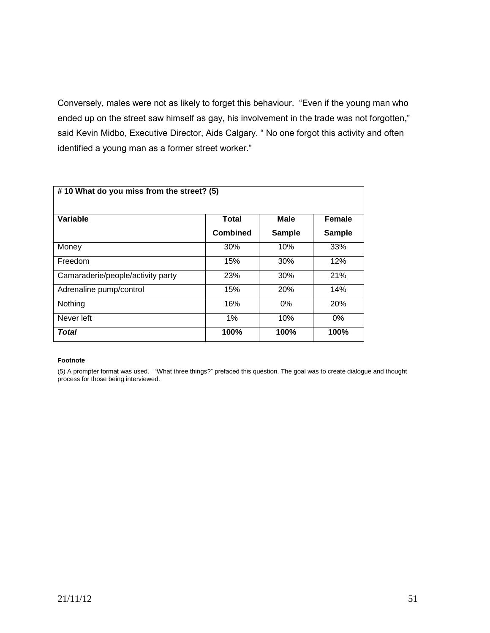Conversely, males were not as likely to forget this behaviour. "Even if the young man who ended up on the street saw himself as gay, his involvement in the trade was not forgotten," said Kevin Midbo, Executive Director, Aids Calgary. " No one forgot this activity and often identified a young man as a former street worker."

| #10 What do you miss from the street? (5) |                 |               |               |
|-------------------------------------------|-----------------|---------------|---------------|
| <b>Variable</b>                           | <b>Total</b>    | <b>Male</b>   | <b>Female</b> |
|                                           | <b>Combined</b> | <b>Sample</b> | <b>Sample</b> |
| Money                                     | 30%             | 10%           | 33%           |
| Freedom                                   | 15%             | 30%           | 12%           |
| Camaraderie/people/activity party         | 23%             | 30%           | 21%           |
| Adrenaline pump/control                   | 15%             | 20%           | 14%           |
| Nothing                                   | 16%             | $0\%$         | 20%           |
| Never left                                | 1%              | 10%           | 0%            |
| Total                                     | 100%            | 100%          | 100%          |

#### **Footnote**

(5) A prompter format was used. "What three things?" prefaced this question. The goal was to create dialogue and thought process for those being interviewed.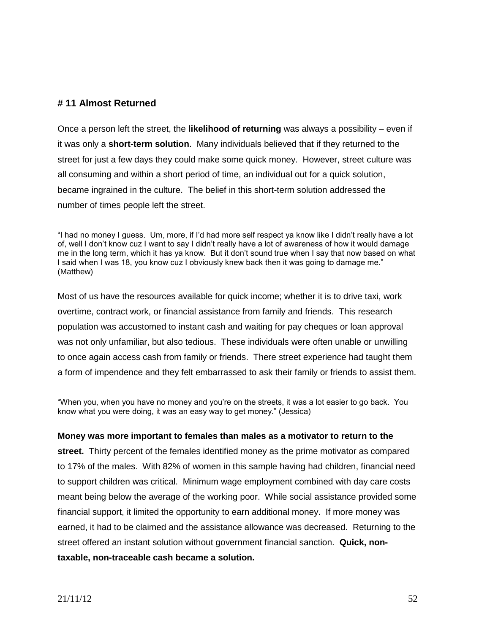### **# 11 Almost Returned**

Once a person left the street, the **likelihood of returning** was always a possibility – even if it was only a **short-term solution**. Many individuals believed that if they returned to the street for just a few days they could make some quick money. However, street culture was all consuming and within a short period of time, an individual out for a quick solution, became ingrained in the culture. The belief in this short-term solution addressed the number of times people left the street.

"I had no money I guess. Um, more, if I'd had more self respect ya know like I didn't really have a lot of, well I don't know cuz I want to say I didn't really have a lot of awareness of how it would damage me in the long term, which it has ya know. But it don't sound true when I say that now based on what I said when I was 18, you know cuz I obviously knew back then it was going to damage me." (Matthew)

Most of us have the resources available for quick income; whether it is to drive taxi, work overtime, contract work, or financial assistance from family and friends. This research population was accustomed to instant cash and waiting for pay cheques or loan approval was not only unfamiliar, but also tedious. These individuals were often unable or unwilling to once again access cash from family or friends. There street experience had taught them a form of impendence and they felt embarrassed to ask their family or friends to assist them.

"When you, when you have no money and you're on the streets, it was a lot easier to go back. You know what you were doing, it was an easy way to get money." (Jessica)

#### **Money was more important to females than males as a motivator to return to the**

**street.** Thirty percent of the females identified money as the prime motivator as compared to 17% of the males. With 82% of women in this sample having had children, financial need to support children was critical. Minimum wage employment combined with day care costs meant being below the average of the working poor. While social assistance provided some financial support, it limited the opportunity to earn additional money. If more money was earned, it had to be claimed and the assistance allowance was decreased. Returning to the street offered an instant solution without government financial sanction. **Quick, nontaxable, non-traceable cash became a solution.**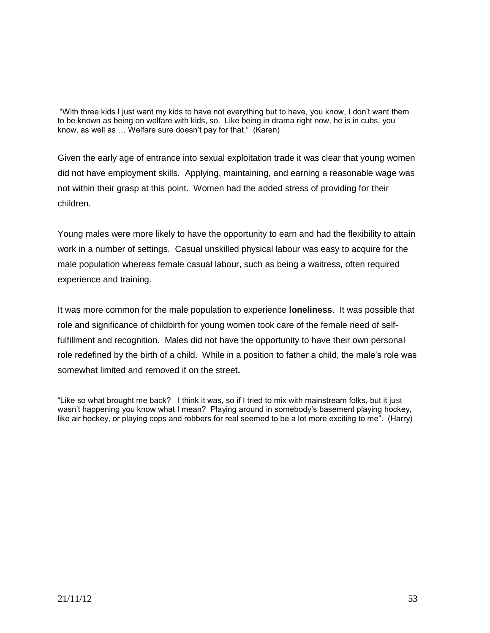"With three kids I just want my kids to have not everything but to have, you know, I don't want them to be known as being on welfare with kids, so. Like being in drama right now, he is in cubs, you know, as well as … Welfare sure doesn't pay for that." (Karen)

Given the early age of entrance into sexual exploitation trade it was clear that young women did not have employment skills. Applying, maintaining, and earning a reasonable wage was not within their grasp at this point. Women had the added stress of providing for their children.

Young males were more likely to have the opportunity to earn and had the flexibility to attain work in a number of settings. Casual unskilled physical labour was easy to acquire for the male population whereas female casual labour, such as being a waitress, often required experience and training.

It was more common for the male population to experience **loneliness**. It was possible that role and significance of childbirth for young women took care of the female need of selffulfillment and recognition. Males did not have the opportunity to have their own personal role redefined by the birth of a child. While in a position to father a child, the male's role was somewhat limited and removed if on the street**.** 

"Like so what brought me back? I think it was, so if I tried to mix with mainstream folks, but it just wasn't happening you know what I mean? Playing around in somebody's basement playing hockey, like air hockey, or playing cops and robbers for real seemed to be a lot more exciting to me". (Harry)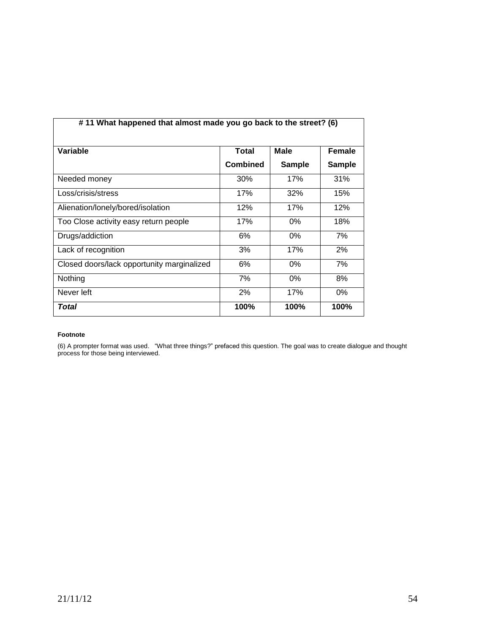| #11 What happened that almost made you go back to the street? (6) |                 |               |               |
|-------------------------------------------------------------------|-----------------|---------------|---------------|
| Variable                                                          | <b>Total</b>    | <b>Male</b>   | Female        |
|                                                                   | <b>Combined</b> | <b>Sample</b> | <b>Sample</b> |
| Needed money                                                      | 30%             | 17%           | 31%           |
| Loss/crisis/stress                                                | 17%             | 32%           | 15%           |
| Alienation/lonely/bored/isolation                                 | 12%             | 17%           | 12%           |
| Too Close activity easy return people                             | 17%             | $0\%$         | 18%           |
| Drugs/addiction                                                   | 6%              | $0\%$         | 7%            |
| Lack of recognition                                               | 3%              | 17%           | 2%            |
| Closed doors/lack opportunity marginalized                        | 6%              | 0%            | 7%            |
| Nothing                                                           | 7%              | $0\%$         | 8%            |
| Never left                                                        | 2%              | 17%           | $0\%$         |
| Total                                                             | 100%            | 100%          | 100%          |

#### **Footnote**

(6) A prompter format was used. "What three things?" prefaced this question. The goal was to create dialogue and thought process for those being interviewed.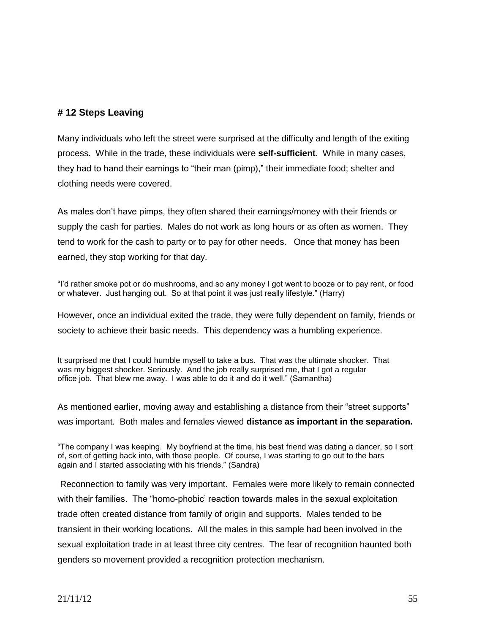## **# 12 Steps Leaving**

Many individuals who left the street were surprised at the difficulty and length of the exiting process. While in the trade, these individuals were **self-sufficient***.* While in many cases, they had to hand their earnings to "their man (pimp)," their immediate food; shelter and clothing needs were covered.

As males don't have pimps, they often shared their earnings/money with their friends or supply the cash for parties. Males do not work as long hours or as often as women. They tend to work for the cash to party or to pay for other needs. Once that money has been earned, they stop working for that day.

"I'd rather smoke pot or do mushrooms, and so any money I got went to booze or to pay rent, or food or whatever. Just hanging out. So at that point it was just really lifestyle." (Harry)

However, once an individual exited the trade, they were fully dependent on family, friends or society to achieve their basic needs. This dependency was a humbling experience.

It surprised me that I could humble myself to take a bus. That was the ultimate shocker. That was my biggest shocker. Seriously. And the job really surprised me, that I got a regular office job. That blew me away. I was able to do it and do it well." (Samantha)

As mentioned earlier, moving away and establishing a distance from their "street supports" was important. Both males and females viewed **distance as important in the separation.**

"The company I was keeping. My boyfriend at the time, his best friend was dating a dancer, so I sort of, sort of getting back into, with those people. Of course, I was starting to go out to the bars again and I started associating with his friends." (Sandra)

Reconnection to family was very important. Females were more likely to remain connected with their families. The "homo-phobic' reaction towards males in the sexual exploitation trade often created distance from family of origin and supports. Males tended to be transient in their working locations. All the males in this sample had been involved in the sexual exploitation trade in at least three city centres. The fear of recognition haunted both genders so movement provided a recognition protection mechanism.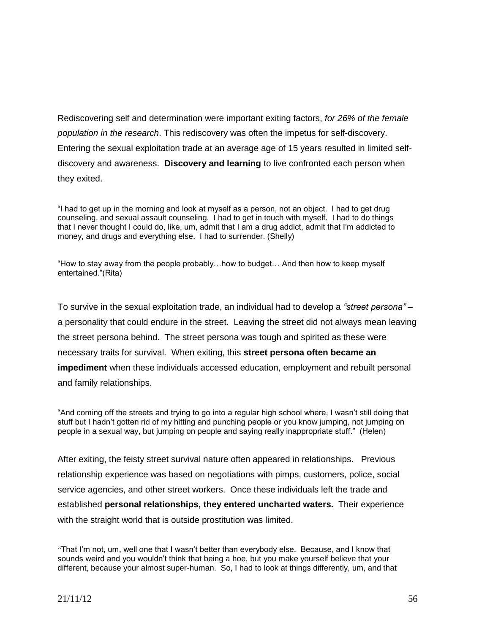Rediscovering self and determination were important exiting factors, *for 26% of the female population in the research*. This rediscovery was often the impetus for self-discovery. Entering the sexual exploitation trade at an average age of 15 years resulted in limited selfdiscovery and awareness. **Discovery and learning** to live confronted each person when they exited.

"I had to get up in the morning and look at myself as a person, not an object. I had to get drug counseling, and sexual assault counseling. I had to get in touch with myself. I had to do things that I never thought I could do, like, um, admit that I am a drug addict, admit that I'm addicted to money, and drugs and everything else. I had to surrender. (Shelly)

"How to stay away from the people probably…how to budget… And then how to keep myself entertained."(Rita)

To survive in the sexual exploitation trade, an individual had to develop a *"street persona" –* a personality that could endure in the street. Leaving the street did not always mean leaving the street persona behind. The street persona was tough and spirited as these were necessary traits for survival. When exiting, this **street persona often became an impediment** when these individuals accessed education, employment and rebuilt personal and family relationships.

"And coming off the streets and trying to go into a regular high school where, I wasn't still doing that stuff but I hadn't gotten rid of my hitting and punching people or you know jumping, not jumping on people in a sexual way, but jumping on people and saying really inappropriate stuff." (Helen)

After exiting, the feisty street survival nature often appeared in relationships. Previous relationship experience was based on negotiations with pimps, customers, police, social service agencies, and other street workers. Once these individuals left the trade and established **personal relationships, they entered uncharted waters.** Their experience with the straight world that is outside prostitution was limited.

<sup>&</sup>quot;That I'm not, um, well one that I wasn't better than everybody else. Because, and I know that sounds weird and you wouldn't think that being a hoe, but you make yourself believe that your different, because your almost super-human. So, I had to look at things differently, um, and that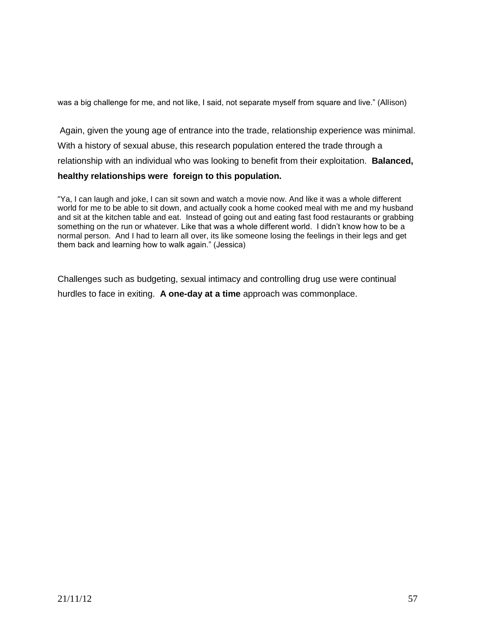was a big challenge for me, and not like, I said, not separate myself from square and live." (Allison)

Again, given the young age of entrance into the trade, relationship experience was minimal. With a history of sexual abuse, this research population entered the trade through a relationship with an individual who was looking to benefit from their exploitation. **Balanced, healthy relationships were foreign to this population.** 

#### "Ya, I can laugh and joke, I can sit sown and watch a movie now. And like it was a whole different world for me to be able to sit down, and actually cook a home cooked meal with me and my husband and sit at the kitchen table and eat. Instead of going out and eating fast food restaurants or grabbing something on the run or whatever. Like that was a whole different world. I didn't know how to be a normal person. And I had to learn all over, its like someone losing the feelings in their legs and get them back and learning how to walk again." (Jessica)

Challenges such as budgeting, sexual intimacy and controlling drug use were continual hurdles to face in exiting. **A one-day at a time** approach was commonplace.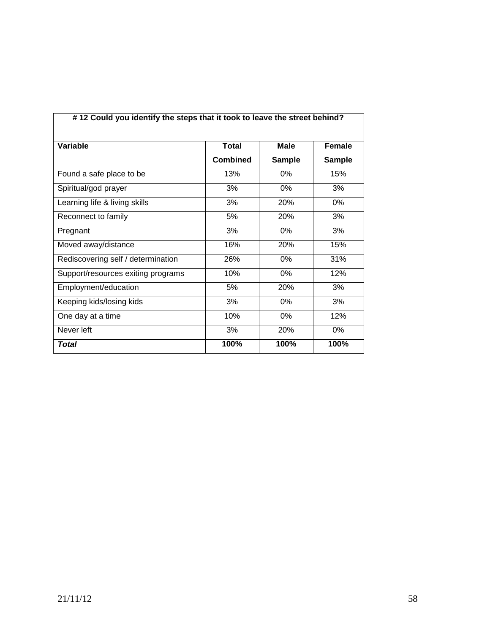| #12 Could you identify the steps that it took to leave the street behind? |                 |               |               |
|---------------------------------------------------------------------------|-----------------|---------------|---------------|
| Variable                                                                  | <b>Total</b>    | <b>Male</b>   | Female        |
|                                                                           | <b>Combined</b> | <b>Sample</b> | <b>Sample</b> |
| Found a safe place to be                                                  | 13%             | $0\%$         | 15%           |
| Spiritual/god prayer                                                      | 3%              | 0%            | 3%            |
| Learning life & living skills                                             | 3%              | 20%           | $0\%$         |
| Reconnect to family                                                       | 5%              | 20%           | 3%            |
| Pregnant                                                                  | 3%              | 0%            | 3%            |
| Moved away/distance                                                       | 16%             | 20%           | 15%           |
| Rediscovering self / determination                                        | 26%             | 0%            | 31%           |
| Support/resources exiting programs                                        | 10%             | $0\%$         | 12%           |
| Employment/education                                                      | 5%              | 20%           | 3%            |
| Keeping kids/losing kids                                                  | 3%              | 0%            | 3%            |
| One day at a time                                                         | 10%             | 0%            | 12%           |
| Never left                                                                | 3%              | 20%           | $0\%$         |
| Total                                                                     | 100%            | 100%          | 100%          |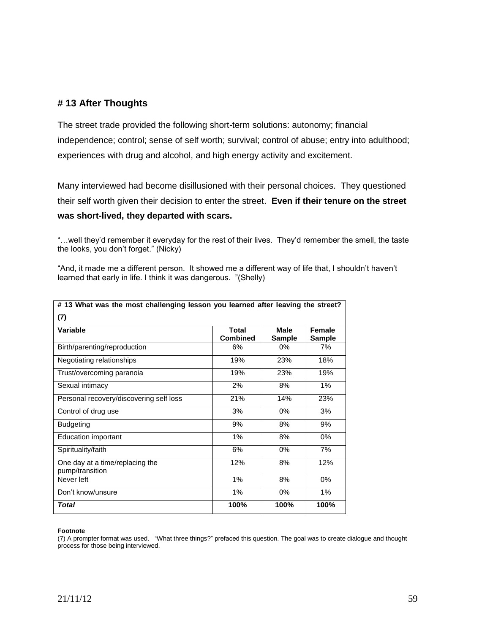### **# 13 After Thoughts**

The street trade provided the following short-term solutions: autonomy; financial independence; control; sense of self worth; survival; control of abuse; entry into adulthood; experiences with drug and alcohol, and high energy activity and excitement.

Many interviewed had become disillusioned with their personal choices. They questioned their self worth given their decision to enter the street. **Even if their tenure on the street was short-lived, they departed with scars.** 

"…well they'd remember it everyday for the rest of their lives. They'd remember the smell, the taste the looks, you don't forget." (Nicky)

"And, it made me a different person. It showed me a different way of life that, I shouldn't haven't learned that early in life. I think it was dangerous. "(Shelly)

| # 13 What was the most challenging lesson you learned after leaving the street? |                                 |                |                                |
|---------------------------------------------------------------------------------|---------------------------------|----------------|--------------------------------|
| (7)                                                                             |                                 |                |                                |
| Variable                                                                        | <b>Total</b><br><b>Combined</b> | Male<br>Sample | <b>Female</b><br><b>Sample</b> |
| Birth/parenting/reproduction                                                    | 6%                              | $0\%$          | 7%                             |
| Negotiating relationships                                                       | 19%                             | 23%            | 18%                            |
| Trust/overcoming paranoia                                                       | 19%                             | 23%            | 19%                            |
| Sexual intimacy                                                                 | 2%                              | 8%             | 1%                             |
| Personal recovery/discovering self loss                                         | 21%                             | 14%            | 23%                            |
| Control of drug use                                                             | 3%                              | $0\%$          | 3%                             |
| <b>Budgeting</b>                                                                | 9%                              | 8%             | 9%                             |
| <b>Education important</b>                                                      | 1%                              | 8%             | 0%                             |
| Spirituality/faith                                                              | 6%                              | $0\%$          | 7%                             |
| One day at a time/replacing the<br>pump/transition                              | 12%                             | 8%             | 12%                            |
| Never left                                                                      | $1\%$                           | 8%             | $0\%$                          |
| Don't know/unsure                                                               | 1%                              | $0\%$          | 1%                             |
| Total                                                                           | 100%                            | 100%           | 100%                           |

#### **Footnote**

(7) A prompter format was used. "What three things?" prefaced this question. The goal was to create dialogue and thought process for those being interviewed.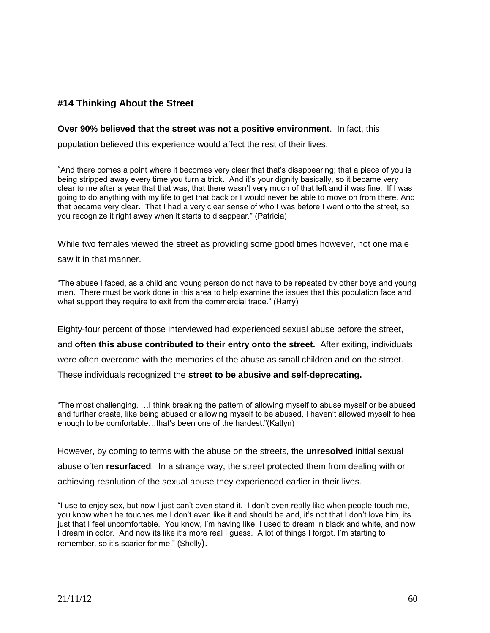## **#14 Thinking About the Street**

#### **Over 90% believed that the street was not a positive environment**. In fact, this

population believed this experience would affect the rest of their lives.

"And there comes a point where it becomes very clear that that's disappearing; that a piece of you is being stripped away every time you turn a trick. And it's your dignity basically, so it became very clear to me after a year that that was, that there wasn't very much of that left and it was fine. If I was going to do anything with my life to get that back or I would never be able to move on from there. And that became very clear. That I had a very clear sense of who I was before I went onto the street, so you recognize it right away when it starts to disappear." (Patricia)

While two females viewed the street as providing some good times however, not one male

saw it in that manner.

"The abuse I faced, as a child and young person do not have to be repeated by other boys and young men. There must be work done in this area to help examine the issues that this population face and what support they require to exit from the commercial trade." (Harry)

Eighty-four percent of those interviewed had experienced sexual abuse before the street**,** 

and **often this abuse contributed to their entry onto the street.** After exiting, individuals

were often overcome with the memories of the abuse as small children and on the street.

These individuals recognized the **street to be abusive and self-deprecating.** 

"The most challenging, …I think breaking the pattern of allowing myself to abuse myself or be abused and further create, like being abused or allowing myself to be abused, I haven't allowed myself to heal enough to be comfortable…that's been one of the hardest."(Katlyn)

However, by coming to terms with the abuse on the streets, the **unresolved** initial sexual abuse often **resurfaced***.* In a strange way, the street protected them from dealing with or achieving resolution of the sexual abuse they experienced earlier in their lives.

"I use to enjoy sex, but now I just can't even stand it. I don't even really like when people touch me, you know when he touches me I don't even like it and should be and, it's not that I don't love him, its just that I feel uncomfortable. You know, I'm having like, I used to dream in black and white, and now I dream in color. And now its like it's more real I guess. A lot of things I forgot, I'm starting to remember, so it's scarier for me." (Shelly).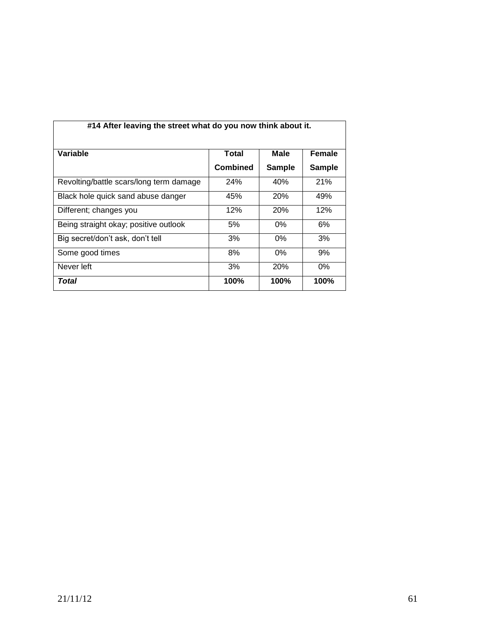| #14 After leaving the street what do you now think about it. |                 |               |               |
|--------------------------------------------------------------|-----------------|---------------|---------------|
| Variable                                                     | Total           | Male          | <b>Female</b> |
|                                                              | <b>Combined</b> | <b>Sample</b> | <b>Sample</b> |
| Revolting/battle scars/long term damage                      | <b>24%</b>      | 40%           | 21%           |
| Black hole quick sand abuse danger                           | 45%             | <b>20%</b>    | 49%           |
| Different; changes you                                       | 12%             | <b>20%</b>    | 12%           |
| Being straight okay; positive outlook                        | 5%              | $0\%$         | 6%            |
| Big secret/don't ask, don't tell                             | 3%              | $0\%$         | 3%            |
| Some good times                                              | 8%              | $0\%$         | 9%            |
| Never left                                                   | 3%              | <b>20%</b>    | $0\%$         |
| Total                                                        | 100%            | 100%          | 100%          |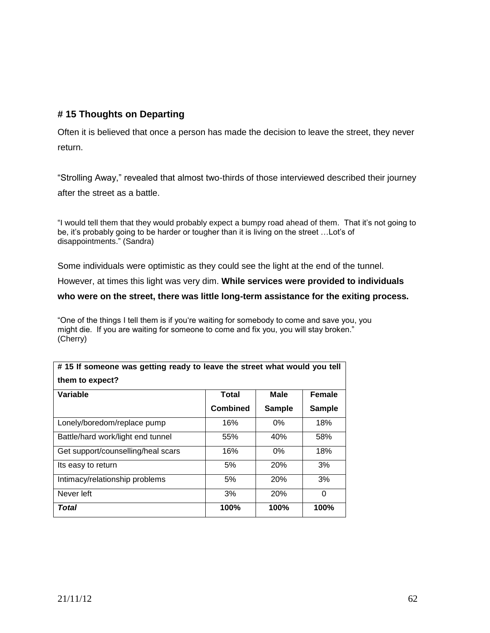## **# 15 Thoughts on Departing**

Often it is believed that once a person has made the decision to leave the street, they never return.

"Strolling Away," revealed that almost two-thirds of those interviewed described their journey after the street as a battle.

"I would tell them that they would probably expect a bumpy road ahead of them. That it's not going to be, it's probably going to be harder or tougher than it is living on the street …Lot's of disappointments." (Sandra)

Some individuals were optimistic as they could see the light at the end of the tunnel.

However, at times this light was very dim. **While services were provided to individuals** 

**who were on the street, there was little long-term assistance for the exiting process.**

"One of the things I tell them is if you're waiting for somebody to come and save you, you might die. If you are waiting for someone to come and fix you, you will stay broken." (Cherry)

| Variable                           | Total           | Male          | <b>Female</b> |
|------------------------------------|-----------------|---------------|---------------|
|                                    | <b>Combined</b> | <b>Sample</b> | <b>Sample</b> |
| Lonely/boredom/replace pump        | 16%             | $0\%$         | 18%           |
| Battle/hard work/light end tunnel  | 55%             | 40%           | 58%           |
| Get support/counselling/heal scars | 16%             | 0%            | 18%           |
| Its easy to return                 | 5%              | <b>20%</b>    | 3%            |
| Intimacy/relationship problems     | 5%              | 20%           | 3%            |
| Never left                         | 3%              | <b>20%</b>    | 0             |
| Total                              | 100%            | 100%          | 100%          |

**# 15 If someone was getting ready to leave the street what would you tell**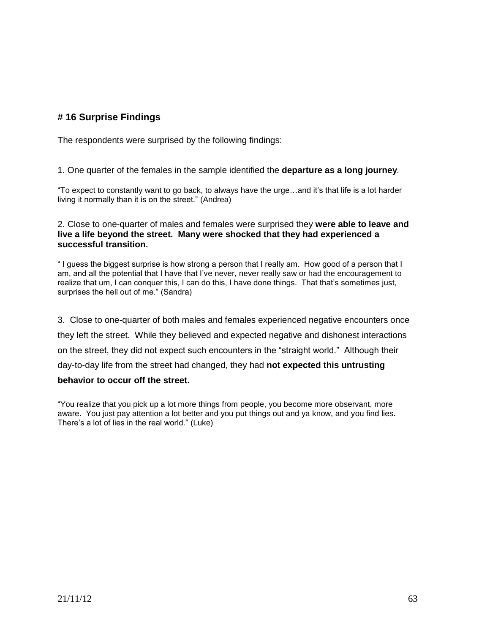## **# 16 Surprise Findings**

The respondents were surprised by the following findings:

1. One quarter of the females in the sample identified the **departure as a long journey***.* 

"To expect to constantly want to go back, to always have the urge…and it's that life is a lot harder living it normally than it is on the street." (Andrea)

2. Close to one-quarter of males and females were surprised they **were able to leave and live a life beyond the street. Many were shocked that they had experienced a successful transition.**

" I guess the biggest surprise is how strong a person that I really am. How good of a person that I am, and all the potential that I have that I've never, never really saw or had the encouragement to realize that um, I can conquer this, I can do this, I have done things. That that's sometimes just, surprises the hell out of me." (Sandra)

3. Close to one-quarter of both males and females experienced negative encounters once they left the street. While they believed and expected negative and dishonest interactions on the street, they did not expect such encounters in the "straight world." Although their day-to-day life from the street had changed, they had **not expected this untrusting** 

#### **behavior to occur off the street.**

"You realize that you pick up a lot more things from people, you become more observant, more aware. You just pay attention a lot better and you put things out and ya know, and you find lies. There's a lot of lies in the real world." (Luke)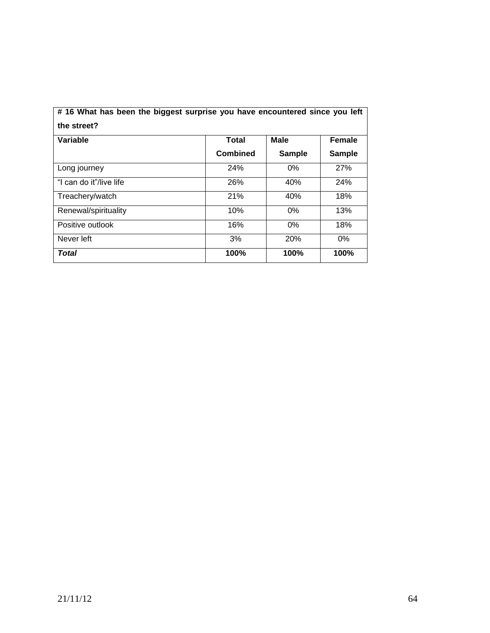| #16 What has been the biggest surprise you have encountered since you left<br>the street? |                 |               |               |
|-------------------------------------------------------------------------------------------|-----------------|---------------|---------------|
| Variable                                                                                  | Total           | <b>Male</b>   | <b>Female</b> |
|                                                                                           | <b>Combined</b> | <b>Sample</b> | <b>Sample</b> |
| Long journey                                                                              | <b>24%</b>      | $0\%$         | 27%           |
| "I can do it"/live life                                                                   | 26%             | 40%           | 24%           |
| Treachery/watch                                                                           | 21%             | 40%           | 18%           |
| Renewal/spirituality                                                                      | 10%             | $0\%$         | 13%           |
| Positive outlook                                                                          | 16%             | $0\%$         | 18%           |
| Never left                                                                                | 3%              | 20%           | $0\%$         |
| Total                                                                                     | 100%            | 100%          | 100%          |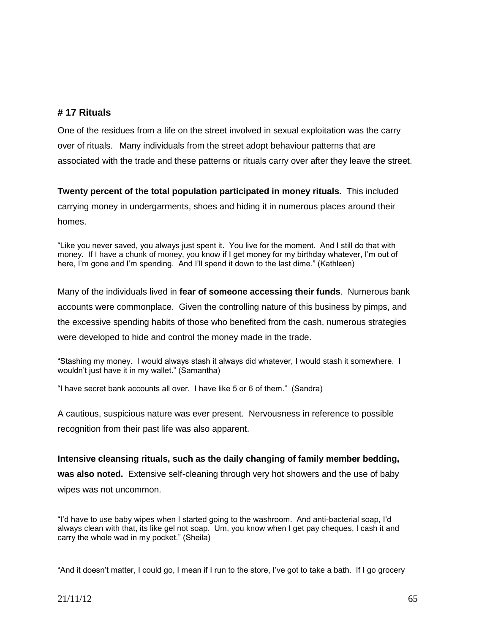## **# 17 Rituals**

One of the residues from a life on the street involved in sexual exploitation was the carry over of rituals. Many individuals from the street adopt behaviour patterns that are associated with the trade and these patterns or rituals carry over after they leave the street.

**Twenty percent of the total population participated in money rituals.** This included carrying money in undergarments, shoes and hiding it in numerous places around their homes.

"Like you never saved, you always just spent it. You live for the moment. And I still do that with money. If I have a chunk of money, you know if I get money for my birthday whatever, I'm out of here, I'm gone and I'm spending. And I'll spend it down to the last dime." (Kathleen)

Many of the individuals lived in **fear of someone accessing their funds**. Numerous bank accounts were commonplace. Given the controlling nature of this business by pimps, and the excessive spending habits of those who benefited from the cash, numerous strategies were developed to hide and control the money made in the trade.

"Stashing my money. I would always stash it always did whatever, I would stash it somewhere. I wouldn't just have it in my wallet." (Samantha)

"I have secret bank accounts all over. I have like 5 or 6 of them." (Sandra)

A cautious, suspicious nature was ever present. Nervousness in reference to possible recognition from their past life was also apparent.

**Intensive cleansing rituals, such as the daily changing of family member bedding, was also noted.** Extensive self-cleaning through very hot showers and the use of baby wipes was not uncommon.

"I'd have to use baby wipes when I started going to the washroom. And anti-bacterial soap, I'd always clean with that, its like gel not soap. Um, you know when I get pay cheques, I cash it and carry the whole wad in my pocket." (Sheila)

"And it doesn't matter, I could go, I mean if I run to the store, I've got to take a bath. If I go grocery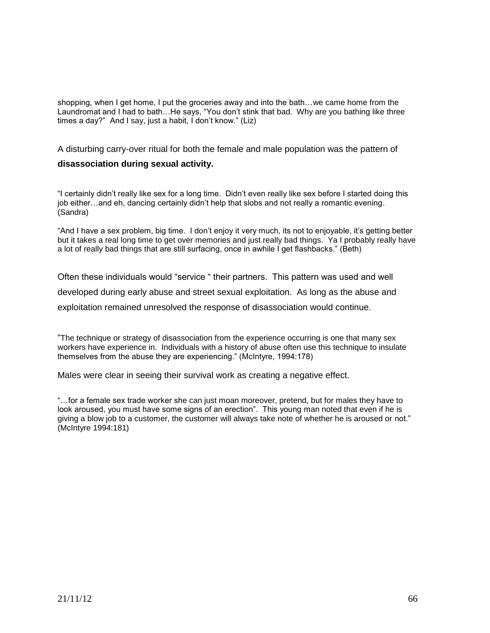shopping, when I get home, I put the groceries away and into the bath…we came home from the Laundromat and I had to bath…He says, "You don't stink that bad. Why are you bathing like three times a day?" And I say, just a habit, I don't know." (Liz)

A disturbing carry-over ritual for both the female and male population was the pattern of

#### **disassociation during sexual activity.**

"I certainly didn't really like sex for a long time. Didn't even really like sex before I started doing this job either…and eh, dancing certainly didn't help that slobs and not really a romantic evening. (Sandra)

"And I have a sex problem, big time. I don't enjoy it very much, its not to enjoyable, it's getting better but it takes a real long time to get over memories and just really bad things. Ya I probably really have a lot of really bad things that are still surfacing, once in awhile I get flashbacks." (Beth)

Often these individuals would "service " their partners. This pattern was used and well developed during early abuse and street sexual exploitation. As long as the abuse and exploitation remained unresolved the response of disassociation would continue.

"The technique or strategy of disassociation from the experience occurring is one that many sex workers have experience in. Individuals with a history of abuse often use this technique to insulate themselves from the abuse they are experiencing." (McIntyre, 1994:178)

Males were clear in seeing their survival work as creating a negative effect.

"…for a female sex trade worker she can just moan moreover, pretend, but for males they have to look aroused, you must have some signs of an erection". This young man noted that even if he is giving a blow job to a customer, the customer will always take note of whether he is aroused or not." (McIntyre 1994:181)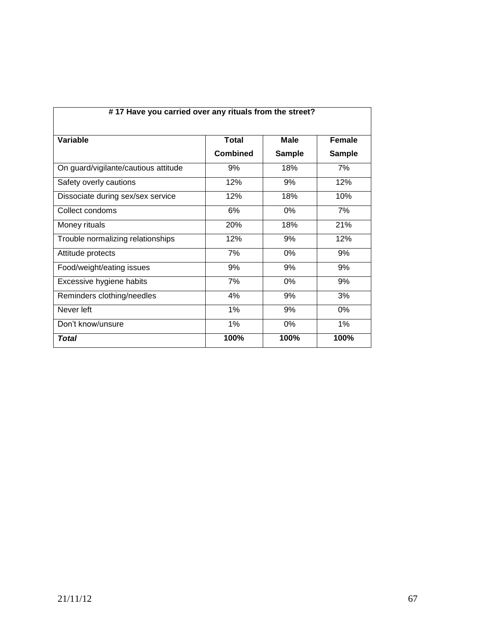| #17 Have you carried over any rituals from the street? |                 |               |               |  |
|--------------------------------------------------------|-----------------|---------------|---------------|--|
| Variable                                               | <b>Total</b>    | <b>Male</b>   | Female        |  |
|                                                        | <b>Combined</b> | <b>Sample</b> | <b>Sample</b> |  |
| On guard/vigilante/cautious attitude                   | 9%              | 18%           | 7%            |  |
| Safety overly cautions                                 | 12%             | 9%            | 12%           |  |
| Dissociate during sex/sex service                      | 12%             | 18%           | 10%           |  |
| Collect condoms                                        | 6%              | 0%            | 7%            |  |
| Money rituals                                          | 20%             | 18%           | 21%           |  |
| Trouble normalizing relationships                      | 12%             | 9%            | 12%           |  |
| Attitude protects                                      | 7%              | 0%            | 9%            |  |
| Food/weight/eating issues                              | 9%              | 9%            | 9%            |  |
| Excessive hygiene habits                               | 7%              | 0%            | 9%            |  |
| Reminders clothing/needles                             | 4%              | 9%            | 3%            |  |
| Never left                                             | 1%              | 9%            | 0%            |  |
| Don't know/unsure                                      | 1%              | 0%            | 1%            |  |
| Total                                                  | 100%            | 100%          | 100%          |  |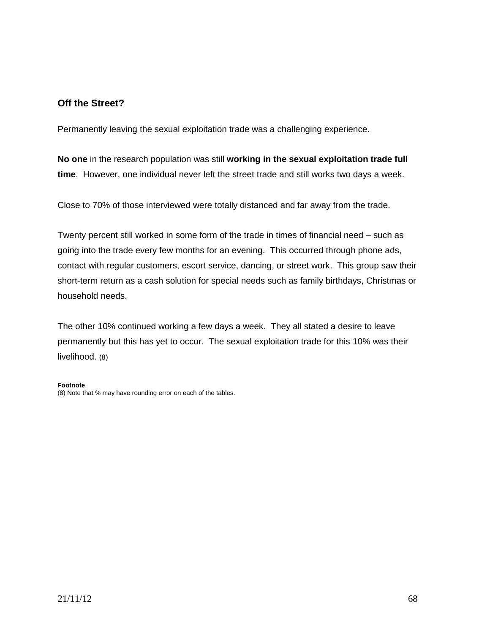## **Off the Street?**

Permanently leaving the sexual exploitation trade was a challenging experience.

**No one** in the research population was still **working in the sexual exploitation trade full time**. However, one individual never left the street trade and still works two days a week.

Close to 70% of those interviewed were totally distanced and far away from the trade.

Twenty percent still worked in some form of the trade in times of financial need – such as going into the trade every few months for an evening. This occurred through phone ads, contact with regular customers, escort service, dancing, or street work. This group saw their short-term return as a cash solution for special needs such as family birthdays, Christmas or household needs.

The other 10% continued working a few days a week. They all stated a desire to leave permanently but this has yet to occur. The sexual exploitation trade for this 10% was their livelihood. (8)

#### **Footnote**

(8) Note that % may have rounding error on each of the tables.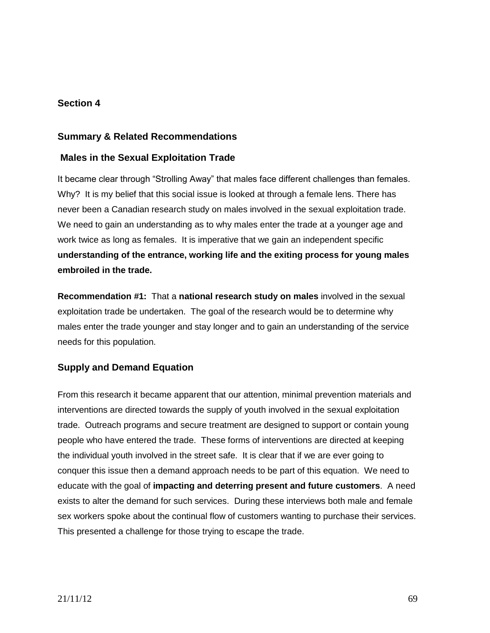## **Section 4**

## **Summary & Related Recommendations**

## **Males in the Sexual Exploitation Trade**

It became clear through "Strolling Away" that males face different challenges than females. Why? It is my belief that this social issue is looked at through a female lens. There has never been a Canadian research study on males involved in the sexual exploitation trade. We need to gain an understanding as to why males enter the trade at a younger age and work twice as long as females. It is imperative that we gain an independent specific **understanding of the entrance, working life and the exiting process for young males embroiled in the trade.** 

**Recommendation #1:** That a **national research study on males** involved in the sexual exploitation trade be undertaken. The goal of the research would be to determine why males enter the trade younger and stay longer and to gain an understanding of the service needs for this population.

## **Supply and Demand Equation**

From this research it became apparent that our attention, minimal prevention materials and interventions are directed towards the supply of youth involved in the sexual exploitation trade. Outreach programs and secure treatment are designed to support or contain young people who have entered the trade. These forms of interventions are directed at keeping the individual youth involved in the street safe. It is clear that if we are ever going to conquer this issue then a demand approach needs to be part of this equation. We need to educate with the goal of **impacting and deterring present and future customers**. A need exists to alter the demand for such services. During these interviews both male and female sex workers spoke about the continual flow of customers wanting to purchase their services. This presented a challenge for those trying to escape the trade.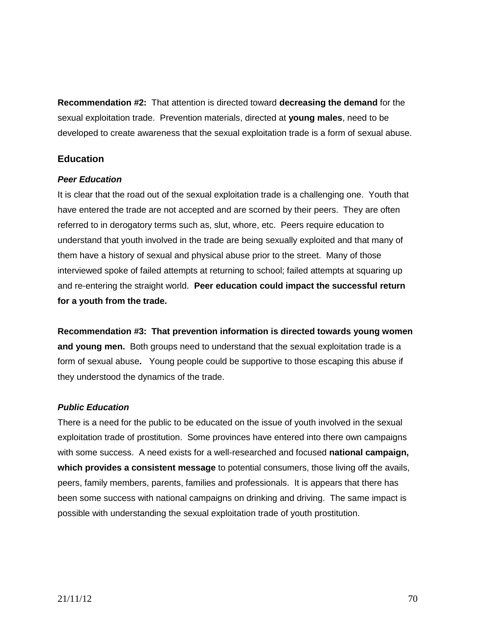**Recommendation #2:** That attention is directed toward **decreasing the demand** for the sexual exploitation trade. Prevention materials, directed at **young males**, need to be developed to create awareness that the sexual exploitation trade is a form of sexual abuse.

### **Education**

### *Peer Education*

It is clear that the road out of the sexual exploitation trade is a challenging one. Youth that have entered the trade are not accepted and are scorned by their peers. They are often referred to in derogatory terms such as, slut, whore, etc. Peers require education to understand that youth involved in the trade are being sexually exploited and that many of them have a history of sexual and physical abuse prior to the street. Many of those interviewed spoke of failed attempts at returning to school; failed attempts at squaring up and re-entering the straight world. **Peer education could impact the successful return for a youth from the trade.**

**Recommendation #3: That prevention information is directed towards young women and young men.** Both groups need to understand that the sexual exploitation trade is a form of sexual abuse**.** Young people could be supportive to those escaping this abuse if they understood the dynamics of the trade.

### *Public Education*

There is a need for the public to be educated on the issue of youth involved in the sexual exploitation trade of prostitution. Some provinces have entered into there own campaigns with some success. A need exists for a well-researched and focused **national campaign, which provides a consistent message** to potential consumers, those living off the avails, peers, family members, parents, families and professionals. It is appears that there has been some success with national campaigns on drinking and driving. The same impact is possible with understanding the sexual exploitation trade of youth prostitution.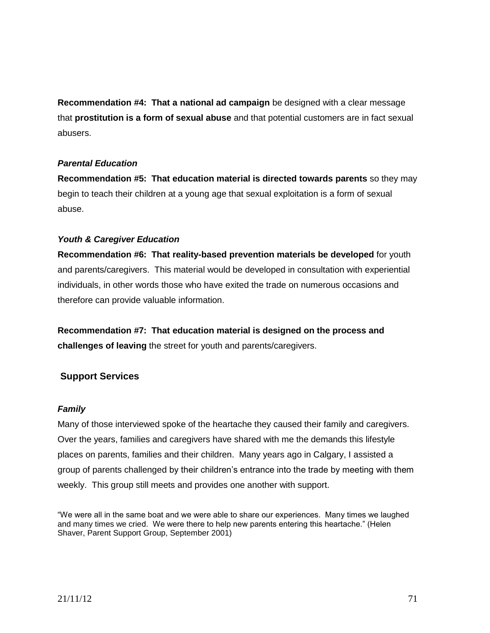**Recommendation #4: That a national ad campaign** be designed with a clear message that **prostitution is a form of sexual abuse** and that potential customers are in fact sexual abusers.

### *Parental Education*

**Recommendation #5: That education material is directed towards parents** so they may begin to teach their children at a young age that sexual exploitation is a form of sexual abuse.

### *Youth & Caregiver Education*

**Recommendation #6: That reality-based prevention materials be developed** for youth and parents/caregivers. This material would be developed in consultation with experiential individuals, in other words those who have exited the trade on numerous occasions and therefore can provide valuable information.

**Recommendation #7: That education material is designed on the process and challenges of leaving** the street for youth and parents/caregivers.

## **Support Services**

#### *Family*

Many of those interviewed spoke of the heartache they caused their family and caregivers. Over the years, families and caregivers have shared with me the demands this lifestyle places on parents, families and their children. Many years ago in Calgary, I assisted a group of parents challenged by their children's entrance into the trade by meeting with them weekly. This group still meets and provides one another with support.

"We were all in the same boat and we were able to share our experiences. Many times we laughed and many times we cried. We were there to help new parents entering this heartache." (Helen Shaver, Parent Support Group, September 2001)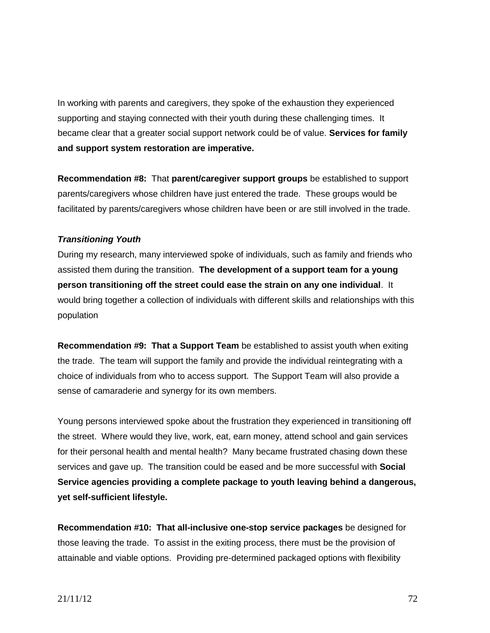In working with parents and caregivers, they spoke of the exhaustion they experienced supporting and staying connected with their youth during these challenging times. It became clear that a greater social support network could be of value. **Services for family and support system restoration are imperative.**

**Recommendation #8:** That **parent/caregiver support groups** be established to support parents/caregivers whose children have just entered the trade. These groups would be facilitated by parents/caregivers whose children have been or are still involved in the trade.

### *Transitioning Youth*

During my research, many interviewed spoke of individuals, such as family and friends who assisted them during the transition. **The development of a support team for a young person transitioning off the street could ease the strain on any one individual**. It would bring together a collection of individuals with different skills and relationships with this population

**Recommendation #9: That a Support Team** be established to assist youth when exiting the trade. The team will support the family and provide the individual reintegrating with a choice of individuals from who to access support. The Support Team will also provide a sense of camaraderie and synergy for its own members.

Young persons interviewed spoke about the frustration they experienced in transitioning off the street. Where would they live, work, eat, earn money, attend school and gain services for their personal health and mental health? Many became frustrated chasing down these services and gave up. The transition could be eased and be more successful with **Social Service agencies providing a complete package to youth leaving behind a dangerous, yet self-sufficient lifestyle.** 

**Recommendation #10: That all-inclusive one-stop service packages** be designed for those leaving the trade. To assist in the exiting process, there must be the provision of attainable and viable options. Providing pre-determined packaged options with flexibility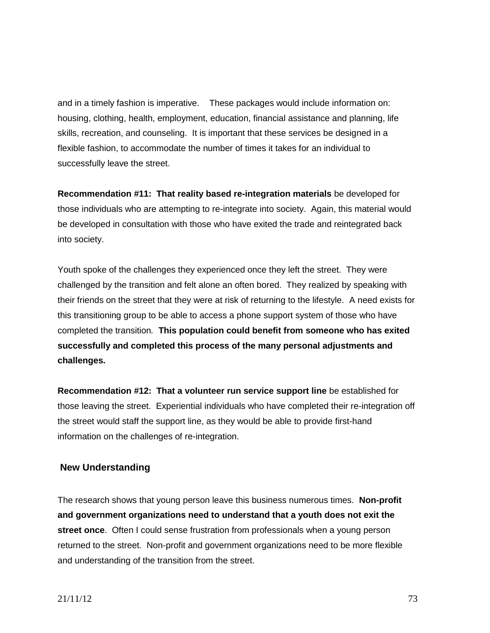and in a timely fashion is imperative. These packages would include information on: housing, clothing, health, employment, education, financial assistance and planning, life skills, recreation, and counseling. It is important that these services be designed in a flexible fashion, to accommodate the number of times it takes for an individual to successfully leave the street.

**Recommendation #11: That reality based re-integration materials** be developed for those individuals who are attempting to re-integrate into society. Again, this material would be developed in consultation with those who have exited the trade and reintegrated back into society.

Youth spoke of the challenges they experienced once they left the street. They were challenged by the transition and felt alone an often bored. They realized by speaking with their friends on the street that they were at risk of returning to the lifestyle. A need exists for this transitioning group to be able to access a phone support system of those who have completed the transition*.* **This population could benefit from someone who has exited successfully and completed this process of the many personal adjustments and challenges.**

**Recommendation #12: That a volunteer run service support line** be established for those leaving the street. Experiential individuals who have completed their re-integration off the street would staff the support line, as they would be able to provide first-hand information on the challenges of re-integration.

# **New Understanding**

The research shows that young person leave this business numerous times. **Non-profit and government organizations need to understand that a youth does not exit the street once**. Often I could sense frustration from professionals when a young person returned to the street. Non-profit and government organizations need to be more flexible and understanding of the transition from the street.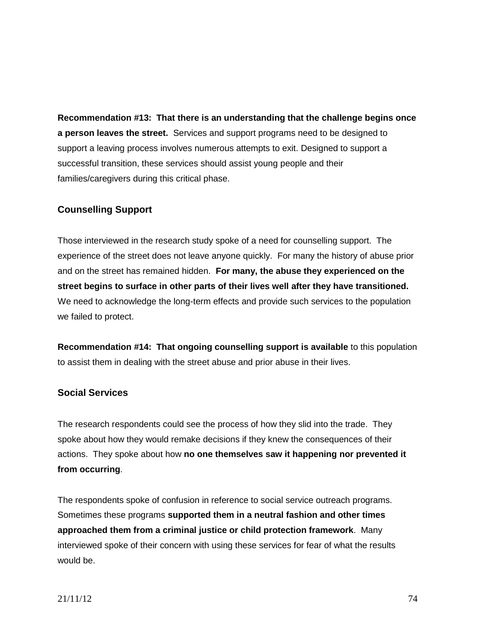**Recommendation #13: That there is an understanding that the challenge begins once a person leaves the street.** Services and support programs need to be designed to support a leaving process involves numerous attempts to exit. Designed to support a successful transition, these services should assist young people and their families/caregivers during this critical phase.

# **Counselling Support**

Those interviewed in the research study spoke of a need for counselling support. The experience of the street does not leave anyone quickly. For many the history of abuse prior and on the street has remained hidden. **For many, the abuse they experienced on the street begins to surface in other parts of their lives well after they have transitioned.** We need to acknowledge the long-term effects and provide such services to the population we failed to protect.

**Recommendation #14: That ongoing counselling support is available** to this population to assist them in dealing with the street abuse and prior abuse in their lives.

# **Social Services**

The research respondents could see the process of how they slid into the trade. They spoke about how they would remake decisions if they knew the consequences of their actions. They spoke about how **no one themselves saw it happening nor prevented it from occurring**.

The respondents spoke of confusion in reference to social service outreach programs. Sometimes these programs **supported them in a neutral fashion and other times approached them from a criminal justice or child protection framework**. Many interviewed spoke of their concern with using these services for fear of what the results would be.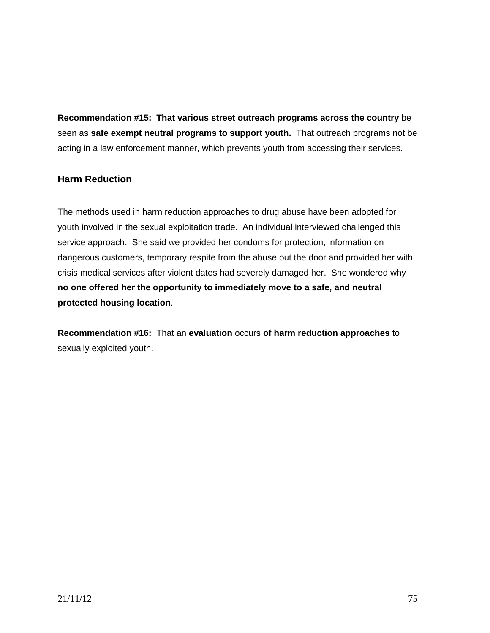**Recommendation #15: That various street outreach programs across the country** be seen as **safe exempt neutral programs to support youth.** That outreach programs not be acting in a law enforcement manner, which prevents youth from accessing their services.

# **Harm Reduction**

The methods used in harm reduction approaches to drug abuse have been adopted for youth involved in the sexual exploitation trade. An individual interviewed challenged this service approach. She said we provided her condoms for protection, information on dangerous customers, temporary respite from the abuse out the door and provided her with crisis medical services after violent dates had severely damaged her. She wondered why **no one offered her the opportunity to immediately move to a safe, and neutral protected housing location**.

**Recommendation #16:** That an **evaluation** occurs **of harm reduction approaches** to sexually exploited youth.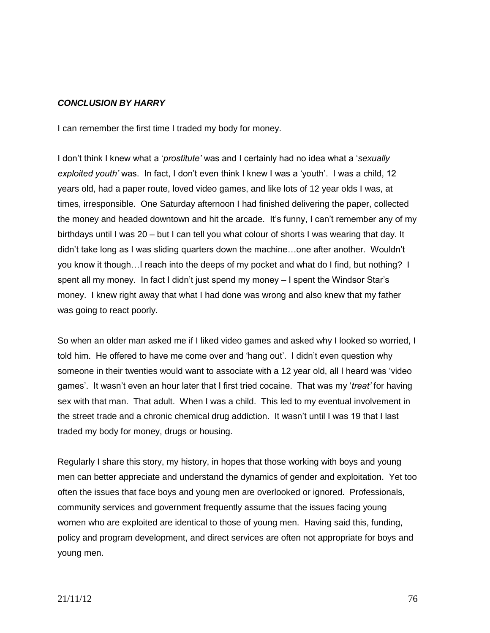## *CONCLUSION BY HARRY*

I can remember the first time I traded my body for money.

I don't think I knew what a '*prostitute'* was and I certainly had no idea what a '*sexually exploited youth'* was. In fact, I don't even think I knew I was a 'youth'. I was a child, 12 years old, had a paper route, loved video games, and like lots of 12 year olds I was, at times, irresponsible. One Saturday afternoon I had finished delivering the paper, collected the money and headed downtown and hit the arcade. It's funny, I can't remember any of my birthdays until I was 20 – but I can tell you what colour of shorts I was wearing that day. It didn't take long as I was sliding quarters down the machine…one after another. Wouldn't you know it though…I reach into the deeps of my pocket and what do I find, but nothing? I spent all my money. In fact I didn't just spend my money – I spent the Windsor Star's money. I knew right away that what I had done was wrong and also knew that my father was going to react poorly.

So when an older man asked me if I liked video games and asked why I looked so worried, I told him. He offered to have me come over and 'hang out'. I didn't even question why someone in their twenties would want to associate with a 12 year old, all I heard was 'video games'. It wasn't even an hour later that I first tried cocaine. That was my '*treat'* for having sex with that man. That adult. When I was a child. This led to my eventual involvement in the street trade and a chronic chemical drug addiction. It wasn't until I was 19 that I last traded my body for money, drugs or housing.

Regularly I share this story, my history, in hopes that those working with boys and young men can better appreciate and understand the dynamics of gender and exploitation. Yet too often the issues that face boys and young men are overlooked or ignored. Professionals, community services and government frequently assume that the issues facing young women who are exploited are identical to those of young men. Having said this, funding, policy and program development, and direct services are often not appropriate for boys and young men.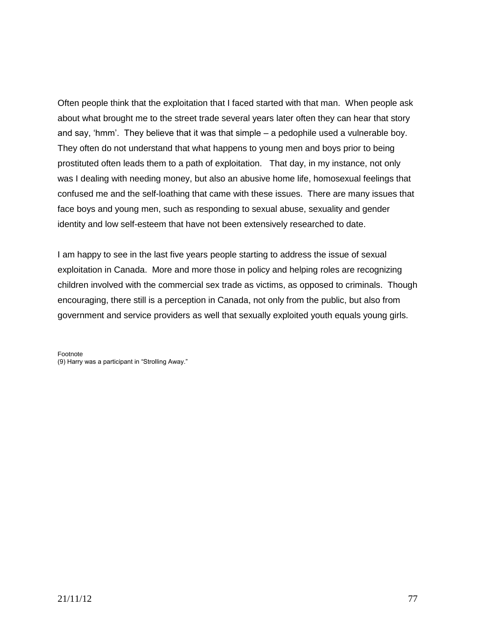Often people think that the exploitation that I faced started with that man. When people ask about what brought me to the street trade several years later often they can hear that story and say, 'hmm'. They believe that it was that simple – a pedophile used a vulnerable boy. They often do not understand that what happens to young men and boys prior to being prostituted often leads them to a path of exploitation. That day, in my instance, not only was I dealing with needing money, but also an abusive home life, homosexual feelings that confused me and the self-loathing that came with these issues. There are many issues that face boys and young men, such as responding to sexual abuse, sexuality and gender identity and low self-esteem that have not been extensively researched to date.

I am happy to see in the last five years people starting to address the issue of sexual exploitation in Canada. More and more those in policy and helping roles are recognizing children involved with the commercial sex trade as victims, as opposed to criminals. Though encouraging, there still is a perception in Canada, not only from the public, but also from government and service providers as well that sexually exploited youth equals young girls.

Footnote (9) Harry was a participant in "Strolling Away."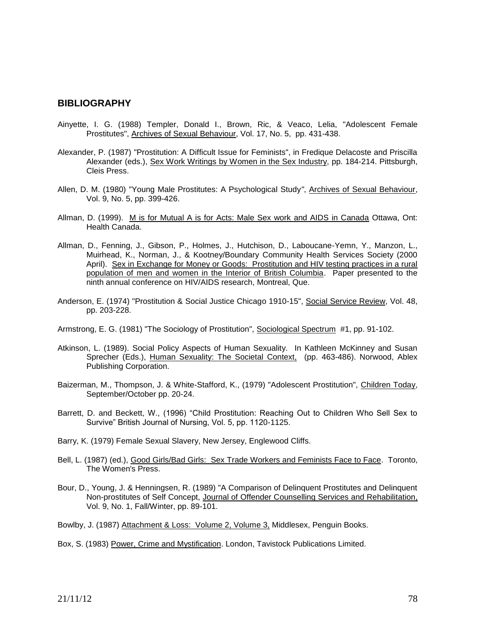### **BIBLIOGRAPHY**

- Ainyette, I. G. (1988) Templer, Donald I., Brown, Ric, & Veaco, Lelia, "Adolescent Female Prostitutes", Archives of Sexual Behaviour, Vol. 17, No. 5, pp. 431-438.
- Alexander, P. (1987) "Prostitution: A Difficult Issue for Feminists", in Fredique Delacoste and Priscilla Alexander (eds.), Sex Work Writings by Women in the Sex Industry, pp. 184-214. Pittsburgh, Cleis Press.
- Allen, D. M. (1980) "Young Male Prostitutes: A Psychological Study*"*, Archives of Sexual Behaviour, Vol. 9, No. 5, pp. 399-426.
- Allman, D. (1999). M is for Mutual A is for Acts: Male Sex work and AIDS in Canada Ottawa, Ont: Health Canada.
- Allman, D., Fenning, J., Gibson, P., Holmes, J., Hutchison, D., Laboucane-Yemn, Y., Manzon, L., Muirhead, K., Norman, J., & Kootney/Boundary Community Health Services Society (2000 April). Sex in Exchange for Money or Goods: Prostitution and HIV testing practices in a rural population of men and women in the Interior of British Columbia. Paper presented to the ninth annual conference on HIV/AIDS research, Montreal, Que.
- Anderson, E. (1974) "Prostitution & Social Justice Chicago 1910-15", Social Service Review, Vol. 48, pp. 203-228.
- Armstrong, E. G. (1981) "The Sociology of Prostitution", Sociological Spectrum #1, pp. 91-102.
- Atkinson, L. (1989). Social Policy Aspects of Human Sexuality. In Kathleen McKinney and Susan Sprecher (Eds.), Human Sexuality: The Societal Context, (pp. 463-486). Norwood, Ablex Publishing Corporation.
- Baizerman, M., Thompson, J. & White-Stafford, K., (1979) "Adolescent Prostitution", Children Today, September/October pp. 20-24.
- Barrett, D. and Beckett, W., (1996) "Child Prostitution: Reaching Out to Children Who Sell Sex to Survive" British Journal of Nursing, Vol. 5, pp. 1120-1125.
- Barry, K. (1979) Female Sexual Slavery, New Jersey, Englewood Cliffs.
- Bell, L. (1987) (ed.), Good Girls/Bad Girls: Sex Trade Workers and Feminists Face to Face. Toronto, The Women's Press.
- Bour, D., Young, J. & Henningsen, R. (1989) "A Comparison of Delinquent Prostitutes and Delinquent Non-prostitutes of Self Concept, Journal of Offender Counselling Services and Rehabilitation, Vol. 9, No. 1, Fall/Winter, pp. 89-101.

Bowlby, J. (1987) Attachment & Loss: Volume 2, Volume 3, Middlesex, Penguin Books.

Box, S. (1983) Power, Crime and Mystification. London, Tavistock Publications Limited.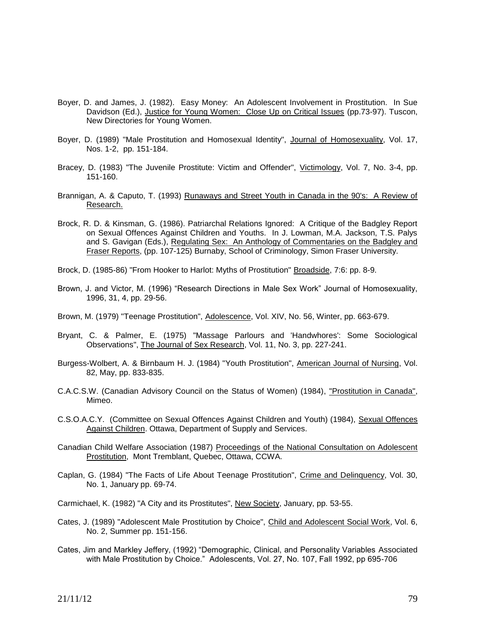- Boyer, D. and James, J. (1982). Easy Money: An Adolescent Involvement in Prostitution. In Sue Davidson (Ed.), Justice for Young Women: Close Up on Critical Issues (pp.73-97). Tuscon, New Directories for Young Women.
- Boyer, D. (1989) "Male Prostitution and Homosexual Identity", Journal of Homosexuality, Vol. 17, Nos. 1-2, pp. 151-184.
- Bracey, D. (1983) "The Juvenile Prostitute: Victim and Offender", Victimology, Vol. 7, No. 3-4, pp. 151-160.
- Brannigan, A. & Caputo, T. (1993) Runaways and Street Youth in Canada in the 90's: A Review of Research.
- Brock, R. D. & Kinsman, G. (1986). Patriarchal Relations Ignored: A Critique of the Badgley Report on Sexual Offences Against Children and Youths. In J. Lowman, M.A. Jackson, T.S. Palys and S. Gavigan (Eds.), Regulating Sex: An Anthology of Commentaries on the Badgley and Fraser Reports, (pp. 107-125) Burnaby, School of Criminology, Simon Fraser University.
- Brock, D. (1985-86) "From Hooker to Harlot: Myths of Prostitution" Broadside, 7:6: pp. 8-9.
- Brown, J. and Victor, M. (1996) "Research Directions in Male Sex Work" Journal of Homosexuality, 1996, 31, 4, pp. 29-56.
- Brown, M. (1979) "Teenage Prostitution", Adolescence, Vol. XIV, No. 56, Winter, pp. 663-679.
- Bryant, C. & Palmer, E. (1975) "Massage Parlours and 'Handwhores': Some Sociological Observations", The Journal of Sex Research, Vol. 11, No. 3, pp. 227-241.
- Burgess-Wolbert, A. & Birnbaum H. J. (1984) "Youth Prostitution", American Journal of Nursing, Vol. 82, May, pp. 833-835.
- C.A.C.S.W. (Canadian Advisory Council on the Status of Women) (1984), "Prostitution in Canada", Mimeo.
- C.S.O.A.C.Y. (Committee on Sexual Offences Against Children and Youth) (1984), Sexual Offences Against Children. Ottawa, Department of Supply and Services.
- Canadian Child Welfare Association (1987) Proceedings of the National Consultation on Adolescent Prostitution, Mont Tremblant, Quebec, Ottawa, CCWA.
- Caplan, G. (1984) "The Facts of Life About Teenage Prostitution", Crime and Delinquency, Vol. 30, No. 1, January pp. 69-74.

Carmichael, K. (1982) "A City and its Prostitutes", New Society, January, pp. 53-55.

- Cates, J. (1989) "Adolescent Male Prostitution by Choice", Child and Adolescent Social Work, Vol. 6, No. 2, Summer pp. 151-156.
- Cates, Jim and Markley Jeffery, (1992) "Demographic, Clinical, and Personality Variables Associated with Male Prostitution by Choice." Adolescents, Vol. 27, No. 107, Fall 1992, pp 695-706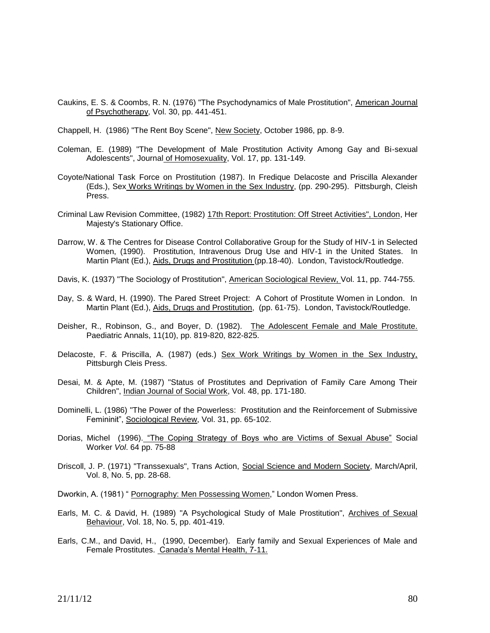Caukins, E. S. & Coombs, R. N. (1976) "The Psychodynamics of Male Prostitution", American Journal of Psychotherapy, Vol. 30, pp. 441-451.

Chappell, H. (1986) "The Rent Boy Scene", New Society, October 1986, pp. 8-9.

- Coleman, E. (1989) "The Development of Male Prostitution Activity Among Gay and Bi-sexual Adolescents", Journal of Homosexuality, Vol. 17, pp. 131-149.
- Coyote/National Task Force on Prostitution (1987). In Fredique Delacoste and Priscilla Alexander (Eds.), Sex Works Writings by Women in the Sex Industry, (pp. 290-295). Pittsburgh, Cleish Press.
- Criminal Law Revision Committee, (1982) 17th Report: Prostitution: Off Street Activities", London, Her Majesty's Stationary Office.
- Darrow, W. & The Centres for Disease Control Collaborative Group for the Study of HIV-1 in Selected Women, (1990). Prostitution, Intravenous Drug Use and HIV-1 in the United States. In Martin Plant (Ed.), Aids, Drugs and Prostitution (pp.18-40). London, Tavistock/Routledge.
- Davis, K. (1937) "The Sociology of Prostitution", American Sociological Review, Vol. 11, pp. 744-755.
- Day, S. & Ward, H. (1990). The Pared Street Project: A Cohort of Prostitute Women in London. In Martin Plant (Ed.), Aids, Drugs and Prostitution, (pp. 61-75). London, Tavistock/Routledge.
- Deisher, R., Robinson, G., and Boyer, D. (1982). The Adolescent Female and Male Prostitute. Paediatric Annals, 11(10), pp. 819-820, 822-825.
- Delacoste, F. & Priscilla, A. (1987) (eds.) Sex Work Writings by Women in the Sex Industry, Pittsburgh Cleis Press.
- Desai, M. & Apte, M. (1987) "Status of Prostitutes and Deprivation of Family Care Among Their Children", Indian Journal of Social Work, Vol. 48, pp. 171-180.
- Dominelli, L. (1986) "The Power of the Powerless: Prostitution and the Reinforcement of Submissive Femininit", Sociological Review, Vol. 31, pp. 65-102.
- Dorias, Michel (1996). "The Coping Strategy of Boys who are Victims of Sexual Abuse" Social Worker *Vol*. 64 pp. 75-88
- Driscoll, J. P. (1971) "Transsexuals", Trans Action, Social Science and Modern Society, March/April, Vol. 8, No. 5, pp. 28-68.

Dworkin, A. (1981) " Pornography: Men Possessing Women," London Women Press.

- Earls, M. C. & David, H. (1989) "A Psychological Study of Male Prostitution", Archives of Sexual Behaviour, Vol. 18, No. 5, pp. 401-419.
- Earls, C.M., and David, H., (1990, December). Early family and Sexual Experiences of Male and Female Prostitutes. Canada's Mental Health, 7-11.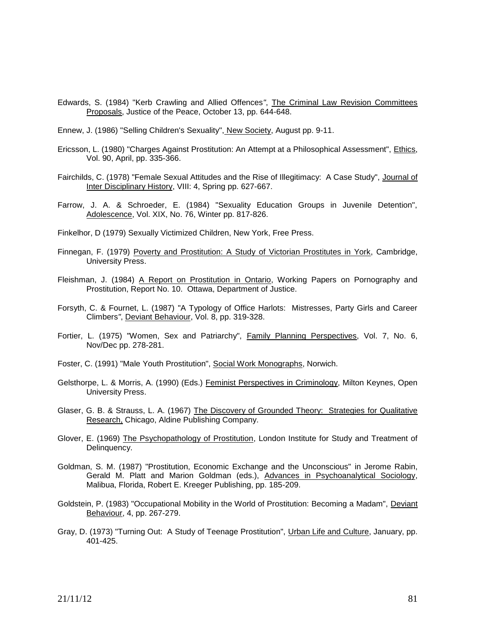- Edwards, S. (1984) "Kerb Crawling and Allied Offences*"*, The Criminal Law Revision Committees Proposals, Justice of the Peace, October 13, pp. 644-648.
- Ennew, J. (1986) "Selling Children's Sexuality", New Society, August pp. 9-11.
- Ericsson, L. (1980) "Charges Against Prostitution: An Attempt at a Philosophical Assessment", Ethics, Vol. 90, April, pp. 335-366.
- Fairchilds, C. (1978) "Female Sexual Attitudes and the Rise of Illegitimacy: A Case Study", Journal of Inter Disciplinary History, VIII: 4, Spring pp. 627-667.
- Farrow, J. A. & Schroeder, E. (1984) "Sexuality Education Groups in Juvenile Detention", Adolescence, Vol. XIX, No. 76, Winter pp. 817-826.
- Finkelhor, D (1979) Sexually Victimized Children, New York, Free Press.
- Finnegan, F. (1979) Poverty and Prostitution: A Study of Victorian Prostitutes in York, Cambridge, University Press.
- Fleishman, J. (1984) A Report on Prostitution in Ontario, Working Papers on Pornography and Prostitution, Report No. 10. Ottawa, Department of Justice.
- Forsyth, C. & Fournet, L. (1987) "A Typology of Office Harlots: Mistresses, Party Girls and Career Climbers*"*, Deviant Behaviour, Vol. 8, pp. 319-328.
- Fortier, L. (1975) "Women, Sex and Patriarchy", Family Planning Perspectives, Vol. 7, No. 6, Nov/Dec pp. 278-281.
- Foster, C. (1991) "Male Youth Prostitution", Social Work Monographs, Norwich.
- Gelsthorpe, L. & Morris, A. (1990) (Eds.) Feminist Perspectives in Criminology, Milton Keynes, Open University Press.
- Glaser, G. B. & Strauss, L. A. (1967) The Discovery of Grounded Theory: Strategies for Qualitative Research, Chicago, Aldine Publishing Company.
- Glover, E. (1969) The Psychopathology of Prostitution, London Institute for Study and Treatment of Delinquency.
- Goldman, S. M. (1987) "Prostitution, Economic Exchange and the Unconscious" in Jerome Rabin, Gerald M. Platt and Marion Goldman (eds.), Advances in Psychoanalytical Sociology, Malibua, Florida, Robert E. Kreeger Publishing, pp. 185-209.
- Goldstein, P. (1983) "Occupational Mobility in the World of Prostitution: Becoming a Madam", Deviant Behaviour, 4, pp. 267-279.
- Gray, D. (1973) "Turning Out: A Study of Teenage Prostitution", Urban Life and Culture, January, pp. 401-425.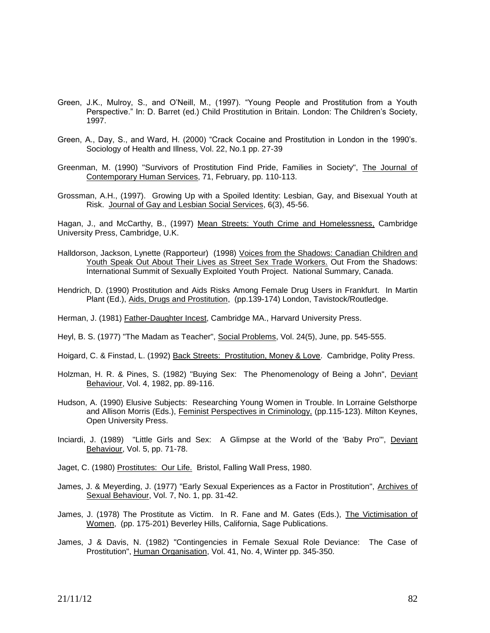- Green, J.K., Mulroy, S., and O'Neill, M., (1997). "Young People and Prostitution from a Youth Perspective." In: D. Barret (ed.) Child Prostitution in Britain. London: The Children's Society, 1997.
- Green, A., Day, S., and Ward, H. (2000) "Crack Cocaine and Prostitution in London in the 1990's. Sociology of Health and Illness, Vol. 22, No.1 pp. 27-39
- Greenman, M. (1990) "Survivors of Prostitution Find Pride, Families in Society", The Journal of Contemporary Human Services, 71, February, pp. 110-113.
- Grossman, A.H., (1997). Growing Up with a Spoiled Identity: Lesbian, Gay, and Bisexual Youth at Risk. Journal of Gay and Lesbian Social Services, 6(3), 45-56.

Hagan, J., and McCarthy, B., (1997) Mean Streets: Youth Crime and Homelessness, Cambridge University Press, Cambridge, U.K.

- Halldorson, Jackson, Lynette (Rapporteur) (1998) Voices from the Shadows: Canadian Children and Youth Speak Out About Their Lives as Street Sex Trade Workers. Out From the Shadows: International Summit of Sexually Exploited Youth Project. National Summary, Canada.
- Hendrich, D. (1990) Prostitution and Aids Risks Among Female Drug Users in Frankfurt. In Martin Plant (Ed.), Aids, Drugs and Prostitution, (pp.139-174) London, Tavistock/Routledge.
- Herman, J. (1981) Father-Daughter Incest, Cambridge MA., Harvard University Press.
- Heyl, B. S. (1977) "The Madam as Teacher", Social Problems, Vol. 24(5), June, pp. 545-555.
- Hoigard, C. & Finstad, L. (1992) Back Streets: Prostitution, Money & Love. Cambridge, Polity Press.
- Holzman, H. R. & Pines, S. (1982) "Buying Sex: The Phenomenology of Being a John", Deviant Behaviour, Vol. 4, 1982, pp. 89-116.
- Hudson, A. (1990) Elusive Subjects: Researching Young Women in Trouble. In Lorraine Gelsthorpe and Allison Morris (Eds.), Feminist Perspectives in Criminology, (pp.115-123). Milton Keynes, Open University Press.
- Inciardi, J. (1989) "Little Girls and Sex: A Glimpse at the World of the 'Baby Pro'", Deviant Behaviour, Vol. 5, pp. 71-78.
- Jaget, C. (1980) Prostitutes: Our Life. Bristol, Falling Wall Press, 1980.
- James, J. & Meyerding, J. (1977) "Early Sexual Experiences as a Factor in Prostitution", Archives of Sexual Behaviour, Vol. 7, No. 1, pp. 31-42.
- James, J. (1978) The Prostitute as Victim. In R. Fane and M. Gates (Eds.), The Victimisation of Women, (pp. 175-201) Beverley Hills, California, Sage Publications.
- James, J & Davis, N. (1982) "Contingencies in Female Sexual Role Deviance: The Case of Prostitution", Human Organisation, Vol. 41, No. 4, Winter pp. 345-350.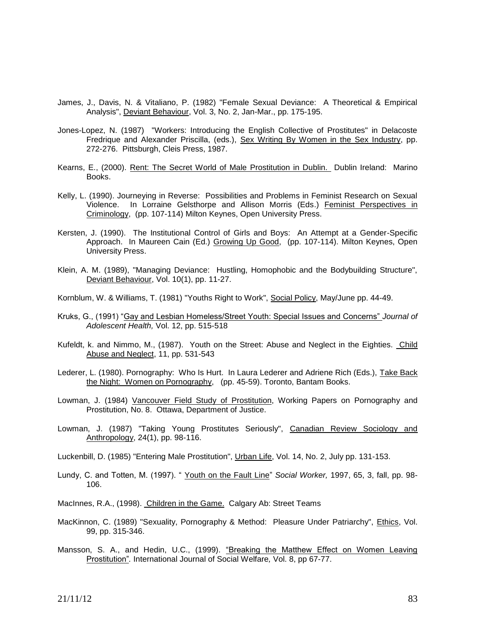- James, J., Davis, N. & Vitaliano, P. (1982) "Female Sexual Deviance: A Theoretical & Empirical Analysis", Deviant Behaviour, Vol. 3, No. 2, Jan-Mar., pp. 175-195.
- Jones-Lopez, N. (1987) "Workers: Introducing the English Collective of Prostitutes" in Delacoste Fredrique and Alexander Priscilla, (eds.), Sex Writing By Women in the Sex Industry, pp. 272-276. Pittsburgh, Cleis Press, 1987.
- Kearns, E., (2000). Rent: The Secret World of Male Prostitution in Dublin. Dublin Ireland: Marino Books.
- Kelly, L. (1990). Journeying in Reverse: Possibilities and Problems in Feminist Research on Sexual Violence. In Lorraine Gelsthorpe and Allison Morris (Eds.) Feminist Perspectives in Criminology, (pp. 107-114) Milton Keynes, Open University Press.
- Kersten, J. (1990). The Institutional Control of Girls and Boys: An Attempt at a Gender-Specific Approach. In Maureen Cain (Ed.) Growing Up Good, (pp. 107-114). Milton Keynes, Open University Press.
- Klein, A. M. (1989), "Managing Deviance: Hustling, Homophobic and the Bodybuilding Structure", Deviant Behaviour, Vol. 10(1), pp. 11-27.
- Kornblum, W. & Williams, T. (1981) "Youths Right to Work", Social Policy, May/June pp. 44-49.
- Kruks, G., (1991) "Gay and Lesbian Homeless/Street Youth: Special Issues and Concerns" *Journal of Adolescent Health,* Vol. 12, pp. 515-518
- Kufeldt, k. and Nimmo, M., (1987). Youth on the Street: Abuse and Neglect in the Eighties. Child Abuse and Neglect, 11, pp. 531-543
- Lederer, L. (1980). Pornography: Who Is Hurt. In Laura Lederer and Adriene Rich (Eds.), Take Back the Night: Women on Pornography, (pp. 45-59). Toronto, Bantam Books.
- Lowman, J. (1984) Vancouver Field Study of Prostitution, Working Papers on Pornography and Prostitution, No. 8. Ottawa, Department of Justice.
- Lowman, J. (1987) "Taking Young Prostitutes Seriously", Canadian Review Sociology and Anthropology, 24(1), pp. 98-116.
- Luckenbill, D. (1985) "Entering Male Prostitution", Urban Life, Vol. 14, No. 2, July pp. 131-153.
- Lundy, C. and Totten, M. (1997). " Youth on the Fault Line" *Social Worker,* 1997, 65, 3, fall, pp. 98- 106.
- MacInnes, R.A., (1998). Children in the Game. Calgary Ab: Street Teams
- MacKinnon, C. (1989) "Sexuality, Pornography & Method: Pleasure Under Patriarchy", *Ethics*, Vol. 99, pp. 315-346.
- Mansson, S. A., and Hedin, U.C., (1999). "Breaking the Matthew Effect on Women Leaving Prostitution"*.* International Journal of Social Welfare*,* Vol. 8, pp 67-77.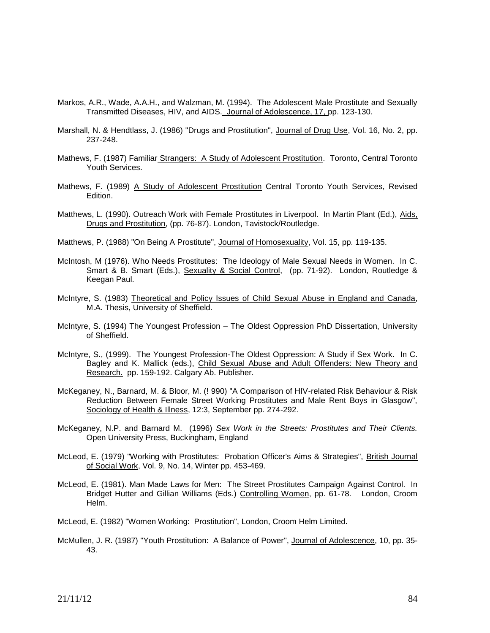- Markos, A.R., Wade, A.A.H., and Walzman, M. (1994). The Adolescent Male Prostitute and Sexually Transmitted Diseases, HIV, and AIDS. Journal of Adolescence, 17, pp. 123-130.
- Marshall, N. & Hendtlass, J. (1986) "Drugs and Prostitution", Journal of Drug Use, Vol. 16, No. 2, pp. 237-248.
- Mathews, F. (1987) Familiar Strangers: A Study of Adolescent Prostitution. Toronto, Central Toronto Youth Services.
- Mathews, F. (1989) A Study of Adolescent Prostitution Central Toronto Youth Services, Revised Edition.
- Matthews, L. (1990). Outreach Work with Female Prostitutes in Liverpool. In Martin Plant (Ed.), Aids, Drugs and Prostitution, (pp. 76-87). London, Tavistock/Routledge.
- Matthews, P. (1988) "On Being A Prostitute", Journal of Homosexuality, Vol. 15, pp. 119-135.
- McIntosh, M (1976). Who Needs Prostitutes: The Ideology of Male Sexual Needs in Women. In C. Smart & B. Smart (Eds.), Sexuality & Social Control, (pp. 71-92). London, Routledge & Keegan Paul.
- McIntyre, S. (1983) Theoretical and Policy Issues of Child Sexual Abuse in England and Canada, M.A. Thesis, University of Sheffield.
- McIntyre, S. (1994) The Youngest Profession The Oldest Oppression PhD Dissertation, University of Sheffield.
- McIntyre, S., (1999). The Youngest Profession-The Oldest Oppression: A Study if Sex Work. In C. Bagley and K. Mallick (eds.), Child Sexual Abuse and Adult Offenders: New Theory and Research. pp. 159-192. Calgary Ab. Publisher.
- McKeganey, N., Barnard, M. & Bloor, M. (! 990) "A Comparison of HIV-related Risk Behaviour & Risk Reduction Between Female Street Working Prostitutes and Male Rent Boys in Glasgow", Sociology of Health & Illness, 12:3, September pp. 274-292.
- McKeganey, N.P. and Barnard M. (1996) *Sex Work in the Streets: Prostitutes and Their Clients.*  Open University Press, Buckingham, England
- McLeod, E. (1979) "Working with Prostitutes: Probation Officer's Aims & Strategies", British Journal of Social Work, Vol. 9, No. 14, Winter pp. 453-469.
- McLeod, E. (1981). Man Made Laws for Men: The Street Prostitutes Campaign Against Control. In Bridget Hutter and Gillian Williams (Eds.) Controlling Women, pp. 61-78. London, Croom Helm.
- McLeod, E. (1982) "Women Working: Prostitution", London, Croom Helm Limited.
- McMullen, J. R. (1987) "Youth Prostitution: A Balance of Power", Journal of Adolescence, 10, pp. 35-43.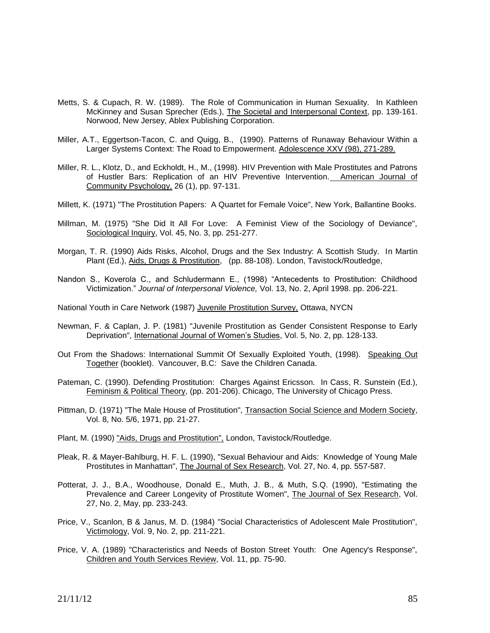- Metts, S. & Cupach, R. W. (1989). The Role of Communication in Human Sexuality. In Kathleen McKinney and Susan Sprecher (Eds.), The Societal and Interpersonal Context, pp. 139-161. Norwood, New Jersey, Ablex Publishing Corporation.
- Miller, A.T., Eggertson-Tacon, C. and Quigg, B., (1990). Patterns of Runaway Behaviour Within a Larger Systems Context: The Road to Empowerment. Adolescence XXV (98), 271-289.
- Miller, R. L., Klotz, D., and Eckholdt, H., M., (1998). HIV Prevention with Male Prostitutes and Patrons of Hustler Bars: Replication of an HIV Preventive Intervention. American Journal of Community Psychology, 26 (1), pp. 97-131.
- Millett, K. (1971) "The Prostitution Papers: A Quartet for Female Voice", New York, Ballantine Books.
- Millman, M. (1975) "She Did It All For Love: A Feminist View of the Sociology of Deviance", Sociological Inquiry, Vol. 45, No. 3, pp. 251-277.
- Morgan, T. R. (1990) Aids Risks, Alcohol, Drugs and the Sex Industry: A Scottish Study. In Martin Plant (Ed.), Aids, Drugs & Prostitution, (pp. 88-108). London, Tavistock/Routledge,
- Nandon S., Koverola C., and Schludermann E., (1998) "Antecedents to Prostitution: Childhood Victimization." *Journal of Interpersonal Violence,* Vol. 13, No. 2, April 1998. pp. 206-221.

National Youth in Care Network (1987) Juvenile Prostitution Survey, Ottawa, NYCN

- Newman, F. & Caplan, J. P. (1981) "Juvenile Prostitution as Gender Consistent Response to Early Deprivation", International Journal of Women's Studies, Vol. 5, No. 2, pp. 128-133.
- Out From the Shadows: International Summit Of Sexually Exploited Youth, (1998). Speaking Out Together (booklet). Vancouver, B.C: Save the Children Canada.
- Pateman, C. (1990). Defending Prostitution: Charges Against Ericsson. In Cass, R. Sunstein (Ed.), Feminism & Political Theory, (pp. 201-206). Chicago, The University of Chicago Press.
- Pittman, D. (1971) "The Male House of Prostitution", Transaction Social Science and Modern Society, Vol. 8, No. 5/6, 1971, pp. 21-27.
- Plant, M. (1990) "Aids, Drugs and Prostitution", London, Tavistock/Routledge.
- Pleak, R. & Mayer-Bahlburg, H. F. L. (1990), "Sexual Behaviour and Aids: Knowledge of Young Male Prostitutes in Manhattan", The Journal of Sex Research, Vol. 27, No. 4, pp. 557-587.
- Potterat, J. J., B.A., Woodhouse, Donald E., Muth, J. B., & Muth, S.Q. (1990), "Estimating the Prevalence and Career Longevity of Prostitute Women", The Journal of Sex Research, Vol. 27, No. 2, May, pp. 233-243.
- Price, V., Scanlon, B & Janus, M. D. (1984) "Social Characteristics of Adolescent Male Prostitution", Victimology, Vol. 9, No. 2, pp. 211-221.
- Price, V. A. (1989) "Characteristics and Needs of Boston Street Youth: One Agency's Response", Children and Youth Services Review, Vol. 11, pp. 75-90.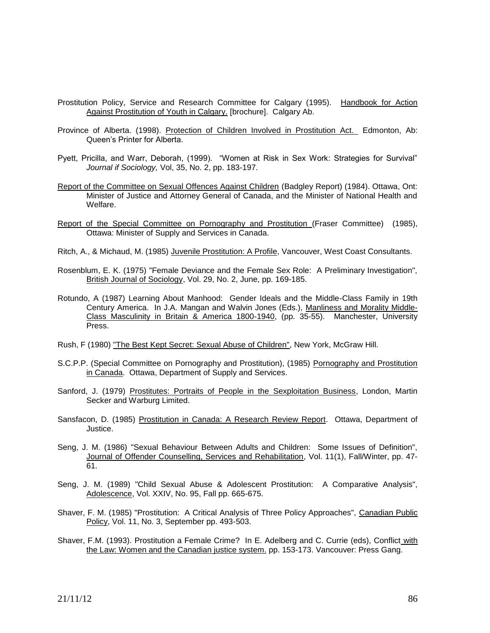- Prostitution Policy, Service and Research Committee for Calgary (1995). Handbook for Action Against Prostitution of Youth in Calgary. [brochure]. Calgary Ab.
- Province of Alberta. (1998). Protection of Children Involved in Prostitution Act. Edmonton, Ab: Queen's Printer for Alberta.
- Pyett, Pricilla, and Warr, Deborah, (1999). "Women at Risk in Sex Work: Strategies for Survival" *Journal if Sociology,* Vol, 35, No. 2, pp. 183-197.
- Report of the Committee on Sexual Offences Against Children (Badgley Report) (1984). Ottawa, Ont: Minister of Justice and Attorney General of Canada, and the Minister of National Health and Welfare.
- Report of the Special Committee on Pornography and Prostitution (Fraser Committee) (1985), Ottawa: Minister of Supply and Services in Canada.
- Ritch, A., & Michaud, M. (1985) Juvenile Prostitution: A Profile, Vancouver, West Coast Consultants.
- Rosenblum, E. K. (1975) "Female Deviance and the Female Sex Role: A Preliminary Investigation", British Journal of Sociology, Vol. 29, No. 2, June, pp. 169-185.
- Rotundo, A (1987) Learning About Manhood: Gender Ideals and the Middle-Class Family in 19th Century America. In J.A. Mangan and Walvin Jones (Eds.), Manliness and Morality Middle-Class Masculinity in Britain & America 1800-1940, (pp. 35-55). Manchester, University Press.
- Rush, F (1980) "The Best Kept Secret: Sexual Abuse of Children", New York, McGraw Hill.
- S.C.P.P. (Special Committee on Pornography and Prostitution), (1985) Pornography and Prostitution in Canada. Ottawa, Department of Supply and Services.
- Sanford, J. (1979) Prostitutes: Portraits of People in the Sexploitation Business, London, Martin Secker and Warburg Limited.
- Sansfacon, D. (1985) Prostitution in Canada: A Research Review Report. Ottawa, Department of Justice.
- Seng, J. M. (1986) "Sexual Behaviour Between Adults and Children: Some Issues of Definition", Journal of Offender Counselling, Services and Rehabilitation, Vol. 11(1), Fall/Winter, pp. 47-61.
- Seng, J. M. (1989) "Child Sexual Abuse & Adolescent Prostitution: A Comparative Analysis", Adolescence, Vol. XXIV, No. 95, Fall pp. 665-675.
- Shaver, F. M. (1985) "Prostitution: A Critical Analysis of Three Policy Approaches", Canadian Public Policy, Vol. 11, No. 3, September pp. 493-503.
- Shaver, F.M. (1993). Prostitution a Female Crime? In E. Adelberg and C. Currie (eds), Conflict with the Law: Women and the Canadian justice system. pp. 153-173. Vancouver: Press Gang.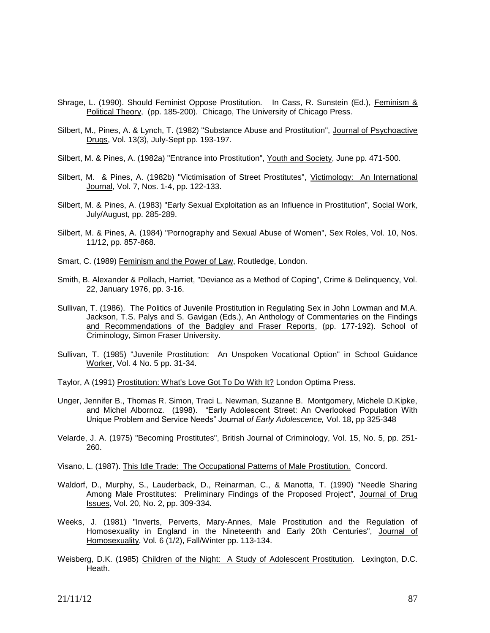- Shrage, L. (1990). Should Feminist Oppose Prostitution. In Cass, R. Sunstein (Ed.), Feminism & Political Theory, (pp. 185-200). Chicago, The University of Chicago Press.
- Silbert, M., Pines, A. & Lynch, T. (1982) "Substance Abuse and Prostitution", Journal of Psychoactive Drugs, Vol. 13(3), July-Sept pp. 193-197.
- Silbert, M. & Pines, A. (1982a) "Entrance into Prostitution", Youth and Society, June pp. 471-500.
- Silbert, M. & Pines, A. (1982b) "Victimisation of Street Prostitutes", Victimology: An International Journal, Vol. 7, Nos. 1-4, pp. 122-133.
- Silbert, M. & Pines, A. (1983) "Early Sexual Exploitation as an Influence in Prostitution", Social Work, July/August, pp. 285-289.
- Silbert, M. & Pines, A. (1984) "Pornography and Sexual Abuse of Women", Sex Roles, Vol. 10, Nos. 11/12, pp. 857-868.
- Smart, C. (1989) Feminism and the Power of Law, Routledge, London.
- Smith, B. Alexander & Pollach, Harriet, "Deviance as a Method of Coping", Crime & Delinquency, Vol. 22, January 1976, pp. 3-16.
- Sullivan, T. (1986). The Politics of Juvenile Prostitution in Regulating Sex in John Lowman and M.A. Jackson, T.S. Palys and S. Gavigan (Eds.), An Anthology of Commentaries on the Findings and Recommendations of the Badgley and Fraser Reports, (pp. 177-192). School of Criminology, Simon Fraser University.
- Sullivan, T. (1985) "Juvenile Prostitution: An Unspoken Vocational Option" in School Guidance Worker, Vol. 4 No. 5 pp. 31-34.
- Taylor, A (1991) Prostitution: What's Love Got To Do With It? London Optima Press.
- Unger, Jennifer B., Thomas R. Simon, Traci L. Newman, Suzanne B. Montgomery, Michele D.Kipke, and Michel Albornoz. (1998). "Early Adolescent Street: An Overlooked Population With Unique Problem and Service Needs" Journal *of Early Adolescence,* Vol. 18, pp 325-348
- Velarde, J. A. (1975) "Becoming Prostitutes", British Journal of Criminology, Vol. 15, No. 5, pp. 251- 260.

Visano, L. (1987). This Idle Trade: The Occupational Patterns of Male Prostitution. Concord.

- Waldorf, D., Murphy, S., Lauderback, D., Reinarman, C., & Manotta, T. (1990) "Needle Sharing Among Male Prostitutes: Preliminary Findings of the Proposed Project", Journal of Drug Issues, Vol. 20, No. 2, pp. 309-334.
- Weeks, J. (1981) "Inverts, Perverts, Mary-Annes, Male Prostitution and the Regulation of Homosexuality in England in the Nineteenth and Early 20th Centuries", Journal of Homosexuality, Vol. 6 (1/2), Fall/Winter pp. 113-134.
- Weisberg, D.K. (1985) Children of the Night: A Study of Adolescent Prostitution. Lexington, D.C. Heath.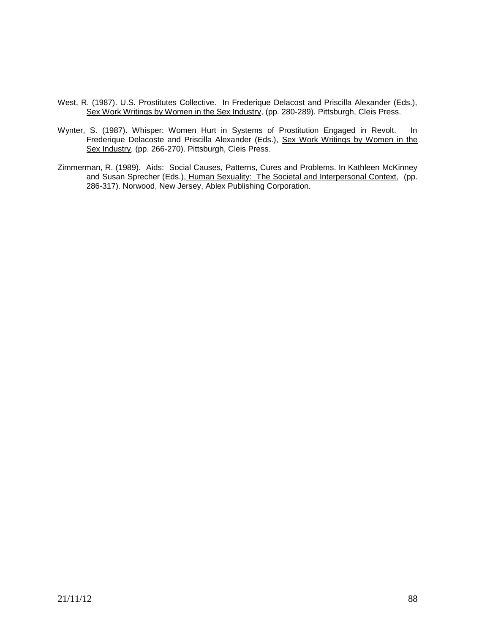- West, R. (1987). U.S. Prostitutes Collective. In Frederique Delacost and Priscilla Alexander (Eds.), Sex Work Writings by Women in the Sex Industry, (pp. 280-289). Pittsburgh, Cleis Press.
- Wynter, S. (1987). Whisper: Women Hurt in Systems of Prostitution Engaged in Revolt. In Frederique Delacoste and Priscilla Alexander (Eds.), Sex Work Writings by Women in the Sex Industry, (pp. 266-270). Pittsburgh, Cleis Press.
- Zimmerman, R. (1989). Aids: Social Causes, Patterns, Cures and Problems. In Kathleen McKinney and Susan Sprecher (Eds.), Human Sexuality: The Societal and Interpersonal Context, (pp. 286-317). Norwood, New Jersey, Ablex Publishing Corporation.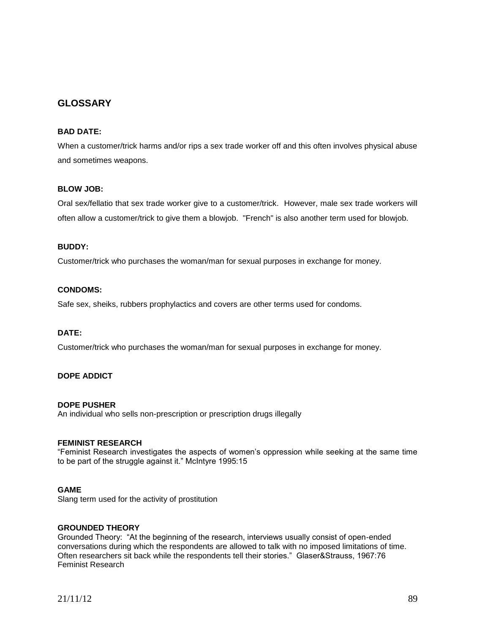## **GLOSSARY**

## **BAD DATE:**

When a customer/trick harms and/or rips a sex trade worker off and this often involves physical abuse and sometimes weapons.

## **BLOW JOB:**

Oral sex/fellatio that sex trade worker give to a customer/trick. However, male sex trade workers will often allow a customer/trick to give them a blowjob. "French" is also another term used for blowjob.

### **BUDDY:**

Customer/trick who purchases the woman/man for sexual purposes in exchange for money.

## **CONDOMS:**

Safe sex, sheiks, rubbers prophylactics and covers are other terms used for condoms.

#### **DATE:**

Customer/trick who purchases the woman/man for sexual purposes in exchange for money.

#### **DOPE ADDICT**

#### **DOPE PUSHER**

An individual who sells non-prescription or prescription drugs illegally

#### **FEMINIST RESEARCH**

"Feminist Research investigates the aspects of women's oppression while seeking at the same time to be part of the struggle against it." McIntyre 1995:15

#### **GAME**

Slang term used for the activity of prostitution

### **GROUNDED THEORY**

Grounded Theory: "At the beginning of the research, interviews usually consist of open-ended conversations during which the respondents are allowed to talk with no imposed limitations of time. Often researchers sit back while the respondents tell their stories." Glaser&Strauss, 1967:76 Feminist Research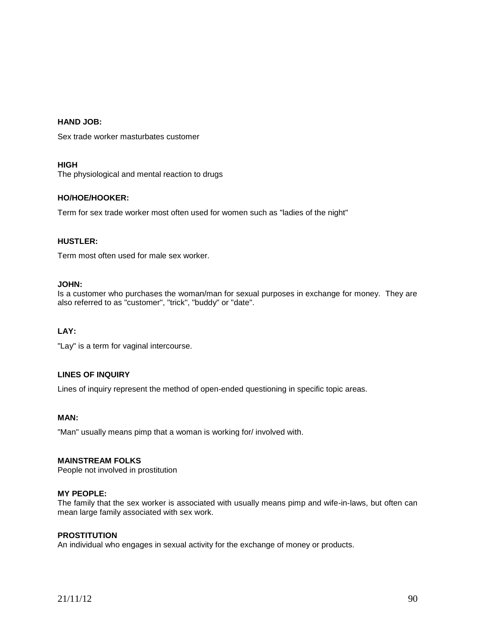## **HAND JOB:**

Sex trade worker masturbates customer

#### **HIGH**

The physiological and mental reaction to drugs

#### **HO/HOE/HOOKER:**

Term for sex trade worker most often used for women such as "ladies of the night"

#### **HUSTLER:**

Term most often used for male sex worker.

#### **JOHN:**

Is a customer who purchases the woman/man for sexual purposes in exchange for money. They are also referred to as "customer", "trick", "buddy" or "date".

#### **LAY:**

"Lay" is a term for vaginal intercourse.

#### **LINES OF INQUIRY**

Lines of inquiry represent the method of open-ended questioning in specific topic areas.

### **MAN:**

"Man" usually means pimp that a woman is working for/ involved with.

#### **MAINSTREAM FOLKS**

People not involved in prostitution

## **MY PEOPLE:**

The family that the sex worker is associated with usually means pimp and wife-in-laws, but often can mean large family associated with sex work.

#### **PROSTITUTION**

An individual who engages in sexual activity for the exchange of money or products.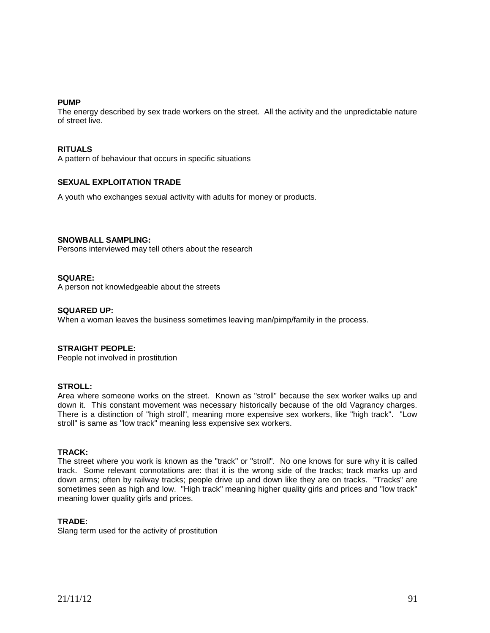#### **PUMP**

The energy described by sex trade workers on the street. All the activity and the unpredictable nature of street live.

#### **RITUALS**

A pattern of behaviour that occurs in specific situations

#### **SEXUAL EXPLOITATION TRADE**

A youth who exchanges sexual activity with adults for money or products.

#### **SNOWBALL SAMPLING:**

Persons interviewed may tell others about the research

#### **SQUARE:**

A person not knowledgeable about the streets

#### **SQUARED UP:**

When a woman leaves the business sometimes leaving man/pimp/family in the process.

#### **STRAIGHT PEOPLE:**

People not involved in prostitution

#### **STROLL:**

Area where someone works on the street. Known as "stroll" because the sex worker walks up and down it. This constant movement was necessary historically because of the old Vagrancy charges. There is a distinction of "high stroll", meaning more expensive sex workers, like "high track". "Low stroll" is same as "low track" meaning less expensive sex workers.

#### **TRACK:**

The street where you work is known as the "track" or "stroll". No one knows for sure why it is called track. Some relevant connotations are: that it is the wrong side of the tracks; track marks up and down arms; often by railway tracks; people drive up and down like they are on tracks. "Tracks" are sometimes seen as high and low. "High track" meaning higher quality girls and prices and "low track" meaning lower quality girls and prices.

#### **TRADE:**

Slang term used for the activity of prostitution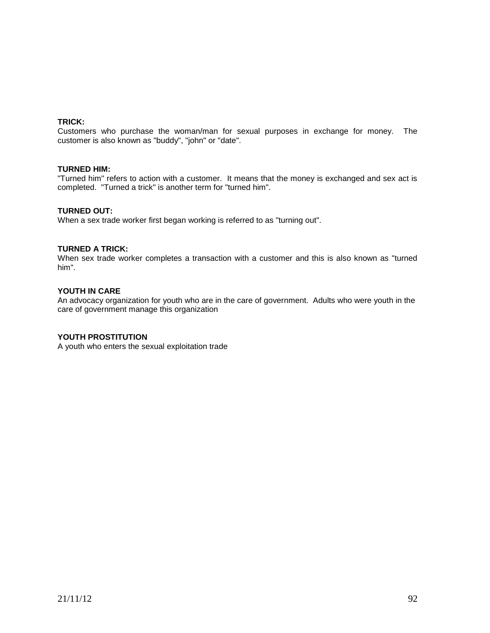## **TRICK:**

Customers who purchase the woman/man for sexual purposes in exchange for money. The customer is also known as "buddy", "john" or "date".

#### **TURNED HIM:**

"Turned him" refers to action with a customer. It means that the money is exchanged and sex act is completed. "Turned a trick" is another term for "turned him".

### **TURNED OUT:**

When a sex trade worker first began working is referred to as "turning out".

### **TURNED A TRICK:**

When sex trade worker completes a transaction with a customer and this is also known as "turned him".

## **YOUTH IN CARE**

An advocacy organization for youth who are in the care of government. Adults who were youth in the care of government manage this organization

#### **YOUTH PROSTITUTION**

A youth who enters the sexual exploitation trade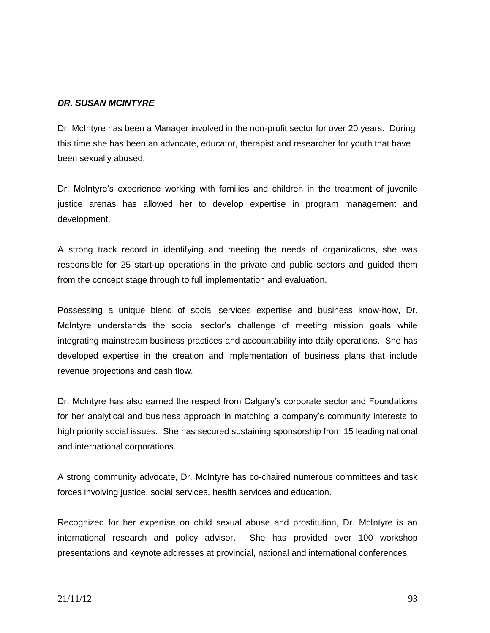## *DR. SUSAN MCINTYRE*

Dr. McIntyre has been a Manager involved in the non-profit sector for over 20 years. During this time she has been an advocate, educator, therapist and researcher for youth that have been sexually abused.

Dr. McIntyre's experience working with families and children in the treatment of juvenile justice arenas has allowed her to develop expertise in program management and development.

A strong track record in identifying and meeting the needs of organizations, she was responsible for 25 start-up operations in the private and public sectors and guided them from the concept stage through to full implementation and evaluation.

Possessing a unique blend of social services expertise and business know-how, Dr. McIntyre understands the social sector's challenge of meeting mission goals while integrating mainstream business practices and accountability into daily operations. She has developed expertise in the creation and implementation of business plans that include revenue projections and cash flow.

Dr. McIntyre has also earned the respect from Calgary's corporate sector and Foundations for her analytical and business approach in matching a company's community interests to high priority social issues. She has secured sustaining sponsorship from 15 leading national and international corporations.

A strong community advocate, Dr. McIntyre has co-chaired numerous committees and task forces involving justice, social services, health services and education.

Recognized for her expertise on child sexual abuse and prostitution, Dr. McIntyre is an international research and policy advisor. She has provided over 100 workshop presentations and keynote addresses at provincial, national and international conferences.